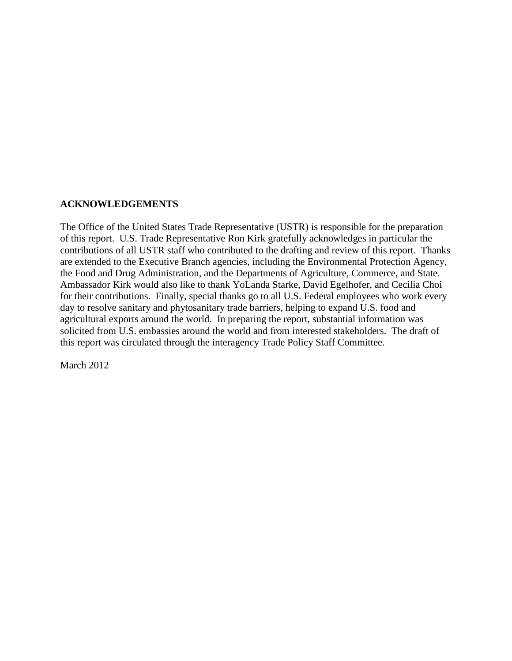#### **ACKNOWLEDGEMENTS**

The Office of the United States Trade Representative (USTR) is responsible for the preparation of this report. U.S. Trade Representative Ron Kirk gratefully acknowledges in particular the contributions of all USTR staff who contributed to the drafting and review of this report. Thanks are extended to the Executive Branch agencies, including the Environmental Protection Agency, the Food and Drug Administration, and the Departments of Agriculture, Commerce, and State. Ambassador Kirk would also like to thank YoLanda Starke, David Egelhofer, and Cecilia Choi for their contributions. Finally, special thanks go to all U.S. Federal employees who work every day to resolve sanitary and phytosanitary trade barriers, helping to expand U.S. food and agricultural exports around the world. In preparing the report, substantial information was solicited from U.S. embassies around the world and from interested stakeholders. The draft of this report was circulated through the interagency Trade Policy Staff Committee.

March 2012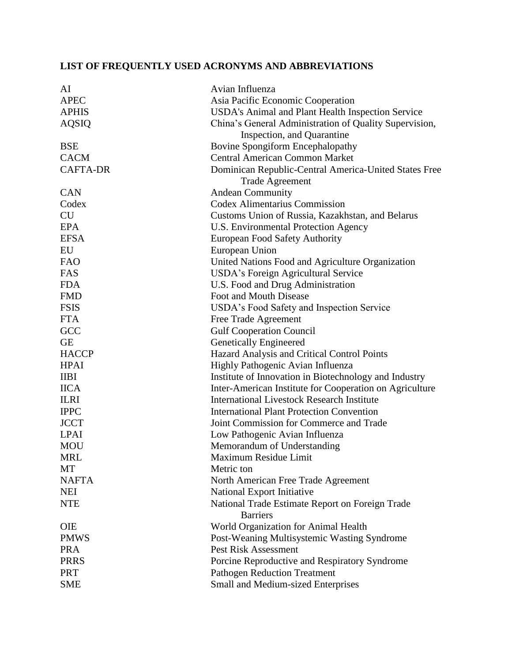# **LIST OF FREQUENTLY USED ACRONYMS AND ABBREVIATIONS**

| AI              | Avian Influenza                                                    |
|-----------------|--------------------------------------------------------------------|
| <b>APEC</b>     | Asia Pacific Economic Cooperation                                  |
| <b>APHIS</b>    | USDA's Animal and Plant Health Inspection Service                  |
| <b>AQSIQ</b>    | China's General Administration of Quality Supervision,             |
|                 | Inspection, and Quarantine                                         |
| <b>BSE</b>      | Bovine Spongiform Encephalopathy                                   |
| <b>CACM</b>     | <b>Central American Common Market</b>                              |
| <b>CAFTA-DR</b> | Dominican Republic-Central America-United States Free              |
|                 | <b>Trade Agreement</b>                                             |
| <b>CAN</b>      | Andean Community                                                   |
| Codex           | <b>Codex Alimentarius Commission</b>                               |
| <b>CU</b>       | Customs Union of Russia, Kazakhstan, and Belarus                   |
| <b>EPA</b>      | U.S. Environmental Protection Agency                               |
| <b>EFSA</b>     | <b>European Food Safety Authority</b>                              |
| EU              | European Union                                                     |
| <b>FAO</b>      | United Nations Food and Agriculture Organization                   |
| FAS             | USDA's Foreign Agricultural Service                                |
| <b>FDA</b>      | U.S. Food and Drug Administration                                  |
| <b>FMD</b>      | Foot and Mouth Disease                                             |
| <b>FSIS</b>     | USDA's Food Safety and Inspection Service                          |
| <b>FTA</b>      | Free Trade Agreement                                               |
| GCC             | <b>Gulf Cooperation Council</b>                                    |
| <b>GE</b>       | Genetically Engineered                                             |
| <b>HACCP</b>    | Hazard Analysis and Critical Control Points                        |
| <b>HPAI</b>     | Highly Pathogenic Avian Influenza                                  |
| <b>IIBI</b>     | Institute of Innovation in Biotechnology and Industry              |
| <b>IICA</b>     | Inter-American Institute for Cooperation on Agriculture            |
| <b>ILRI</b>     | <b>International Livestock Research Institute</b>                  |
| <b>IPPC</b>     | <b>International Plant Protection Convention</b>                   |
| <b>JCCT</b>     | Joint Commission for Commerce and Trade                            |
| <b>LPAI</b>     | Low Pathogenic Avian Influenza                                     |
| <b>MOU</b>      | Memorandum of Understanding                                        |
| <b>MRL</b>      | Maximum Residue Limit                                              |
| MT              | Metric ton                                                         |
| <b>NAFTA</b>    | North American Free Trade Agreement                                |
| <b>NEI</b>      | National Export Initiative                                         |
| <b>NTE</b>      | National Trade Estimate Report on Foreign Trade<br><b>Barriers</b> |
| OIE             | World Organization for Animal Health                               |
| <b>PMWS</b>     | Post-Weaning Multisystemic Wasting Syndrome                        |
| <b>PRA</b>      | <b>Pest Risk Assessment</b>                                        |
| <b>PRRS</b>     | Porcine Reproductive and Respiratory Syndrome                      |
| <b>PRT</b>      | <b>Pathogen Reduction Treatment</b>                                |
| <b>SME</b>      | Small and Medium-sized Enterprises                                 |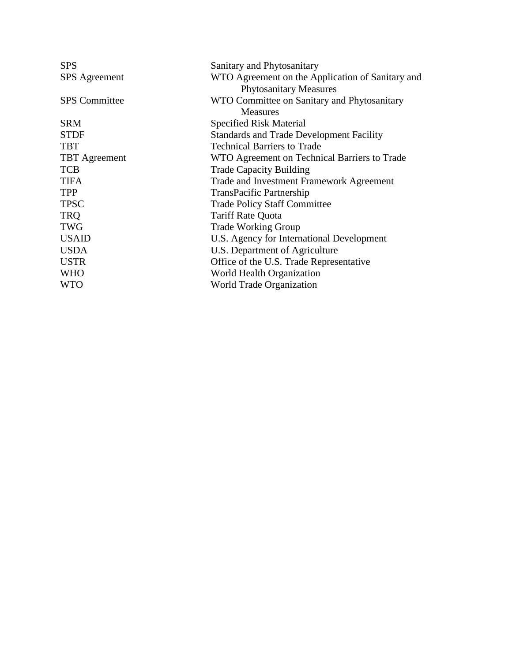| <b>SPS</b>           | Sanitary and Phytosanitary                       |
|----------------------|--------------------------------------------------|
| <b>SPS</b> Agreement | WTO Agreement on the Application of Sanitary and |
|                      | <b>Phytosanitary Measures</b>                    |
| <b>SPS</b> Committee | WTO Committee on Sanitary and Phytosanitary      |
|                      | <b>Measures</b>                                  |
| <b>SRM</b>           | Specified Risk Material                          |
| <b>STDF</b>          | <b>Standards and Trade Development Facility</b>  |
| <b>TBT</b>           | <b>Technical Barriers to Trade</b>               |
| <b>TBT</b> Agreement | WTO Agreement on Technical Barriers to Trade     |
| <b>TCB</b>           | <b>Trade Capacity Building</b>                   |
| <b>TIFA</b>          | Trade and Investment Framework Agreement         |
| <b>TPP</b>           | <b>TransPacific Partnership</b>                  |
| <b>TPSC</b>          | <b>Trade Policy Staff Committee</b>              |
| <b>TRQ</b>           | <b>Tariff Rate Quota</b>                         |
| <b>TWG</b>           | <b>Trade Working Group</b>                       |
| <b>USAID</b>         | U.S. Agency for International Development        |
| <b>USDA</b>          | U.S. Department of Agriculture                   |
| <b>USTR</b>          | Office of the U.S. Trade Representative          |
| <b>WHO</b>           | World Health Organization                        |
| <b>WTO</b>           | <b>World Trade Organization</b>                  |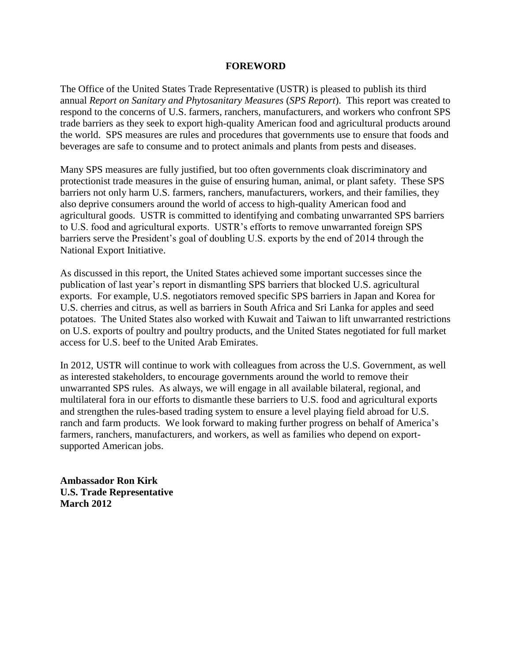#### **FOREWORD**

The Office of the United States Trade Representative (USTR) is pleased to publish its third annual *Report on Sanitary and Phytosanitary Measures* (*SPS Report*). This report was created to respond to the concerns of U.S. farmers, ranchers, manufacturers, and workers who confront SPS trade barriers as they seek to export high-quality American food and agricultural products around the world. SPS measures are rules and procedures that governments use to ensure that foods and beverages are safe to consume and to protect animals and plants from pests and diseases.

Many SPS measures are fully justified, but too often governments cloak discriminatory and protectionist trade measures in the guise of ensuring human, animal, or plant safety. These SPS barriers not only harm U.S. farmers, ranchers, manufacturers, workers, and their families, they also deprive consumers around the world of access to high-quality American food and agricultural goods. USTR is committed to identifying and combating unwarranted SPS barriers to U.S. food and agricultural exports. USTR's efforts to remove unwarranted foreign SPS barriers serve the President's goal of doubling U.S. exports by the end of 2014 through the National Export Initiative.

As discussed in this report, the United States achieved some important successes since the publication of last year's report in dismantling SPS barriers that blocked U.S. agricultural exports. For example, U.S. negotiators removed specific SPS barriers in Japan and Korea for U.S. cherries and citrus, as well as barriers in South Africa and Sri Lanka for apples and seed potatoes. The United States also worked with Kuwait and Taiwan to lift unwarranted restrictions on U.S. exports of poultry and poultry products, and the United States negotiated for full market access for U.S. beef to the United Arab Emirates.

In 2012, USTR will continue to work with colleagues from across the U.S. Government, as well as interested stakeholders, to encourage governments around the world to remove their unwarranted SPS rules. As always, we will engage in all available bilateral, regional, and multilateral fora in our efforts to dismantle these barriers to U.S. food and agricultural exports and strengthen the rules-based trading system to ensure a level playing field abroad for U.S. ranch and farm products. We look forward to making further progress on behalf of America's farmers, ranchers, manufacturers, and workers, as well as families who depend on exportsupported American jobs.

**Ambassador Ron Kirk U.S. Trade Representative March 2012**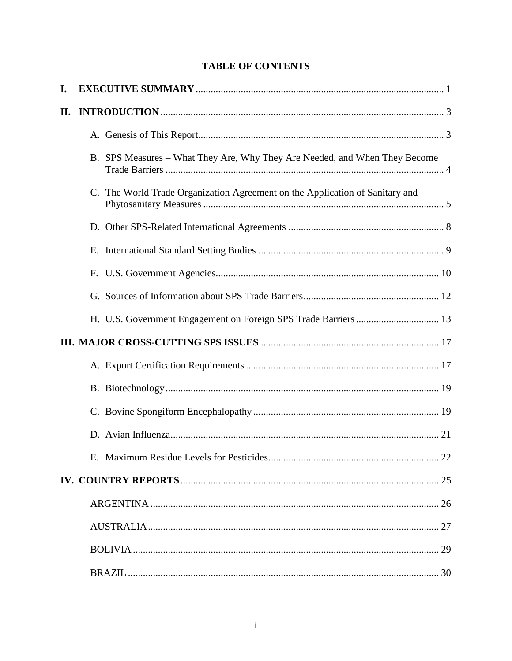# **TABLE OF CONTENTS**

| I. |                                                                              |
|----|------------------------------------------------------------------------------|
| П. |                                                                              |
|    |                                                                              |
|    | B. SPS Measures – What They Are, Why They Are Needed, and When They Become   |
|    | C. The World Trade Organization Agreement on the Application of Sanitary and |
|    |                                                                              |
|    |                                                                              |
|    |                                                                              |
|    |                                                                              |
|    |                                                                              |
|    |                                                                              |
|    |                                                                              |
|    |                                                                              |
|    |                                                                              |
|    |                                                                              |
|    |                                                                              |
|    |                                                                              |
|    |                                                                              |
|    |                                                                              |
|    |                                                                              |
|    |                                                                              |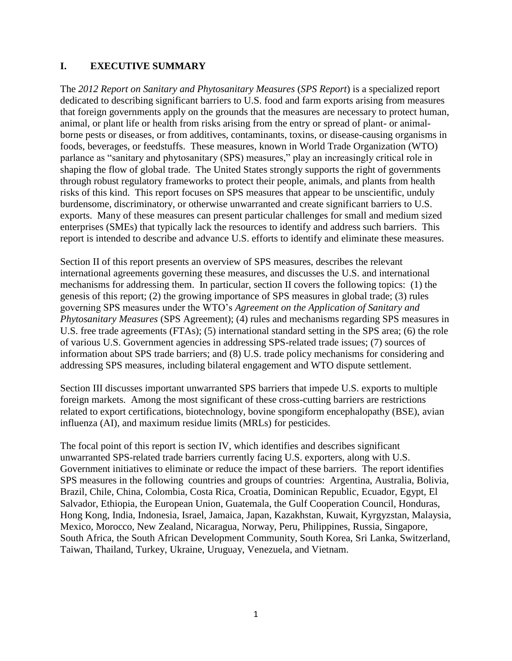#### **I. EXECUTIVE SUMMARY**

The *2012 Report on Sanitary and Phytosanitary Measures* (*SPS Report*) is a specialized report dedicated to describing significant barriers to U.S. food and farm exports arising from measures that foreign governments apply on the grounds that the measures are necessary to protect human, animal, or plant life or health from risks arising from the entry or spread of plant- or animalborne pests or diseases, or from additives, contaminants, toxins, or disease-causing organisms in foods, beverages, or feedstuffs. These measures, known in World Trade Organization (WTO) parlance as "sanitary and phytosanitary (SPS) measures," play an increasingly critical role in shaping the flow of global trade. The United States strongly supports the right of governments through robust regulatory frameworks to protect their people, animals, and plants from health risks of this kind. This report focuses on SPS measures that appear to be unscientific, unduly burdensome, discriminatory, or otherwise unwarranted and create significant barriers to U.S. exports. Many of these measures can present particular challenges for small and medium sized enterprises (SMEs) that typically lack the resources to identify and address such barriers. This report is intended to describe and advance U.S. efforts to identify and eliminate these measures.

Section II of this report presents an overview of SPS measures, describes the relevant international agreements governing these measures, and discusses the U.S. and international mechanisms for addressing them. In particular, section II covers the following topics: (1) the genesis of this report; (2) the growing importance of SPS measures in global trade; (3) rules governing SPS measures under the WTO's *Agreement on the Application of Sanitary and Phytosanitary Measures* (SPS Agreement); (4) rules and mechanisms regarding SPS measures in U.S. free trade agreements (FTAs); (5) international standard setting in the SPS area; (6) the role of various U.S. Government agencies in addressing SPS-related trade issues; (7) sources of information about SPS trade barriers; and (8) U.S. trade policy mechanisms for considering and addressing SPS measures, including bilateral engagement and WTO dispute settlement.

Section III discusses important unwarranted SPS barriers that impede U.S. exports to multiple foreign markets. Among the most significant of these cross-cutting barriers are restrictions related to export certifications, biotechnology, bovine spongiform encephalopathy (BSE), avian influenza (AI), and maximum residue limits (MRLs) for pesticides.

The focal point of this report is section IV, which identifies and describes significant unwarranted SPS-related trade barriers currently facing U.S. exporters, along with U.S. Government initiatives to eliminate or reduce the impact of these barriers. The report identifies SPS measures in the following countries and groups of countries: Argentina, Australia, Bolivia, Brazil, Chile, China, Colombia, Costa Rica, Croatia, Dominican Republic, Ecuador, Egypt, El Salvador, Ethiopia, the European Union, Guatemala, the Gulf Cooperation Council, Honduras, Hong Kong, India, Indonesia, Israel, Jamaica, Japan, Kazakhstan, Kuwait, Kyrgyzstan, Malaysia, Mexico, Morocco, New Zealand, Nicaragua, Norway, Peru, Philippines, Russia, Singapore, South Africa, the South African Development Community, South Korea, Sri Lanka, Switzerland, Taiwan, Thailand, Turkey, Ukraine, Uruguay, Venezuela, and Vietnam.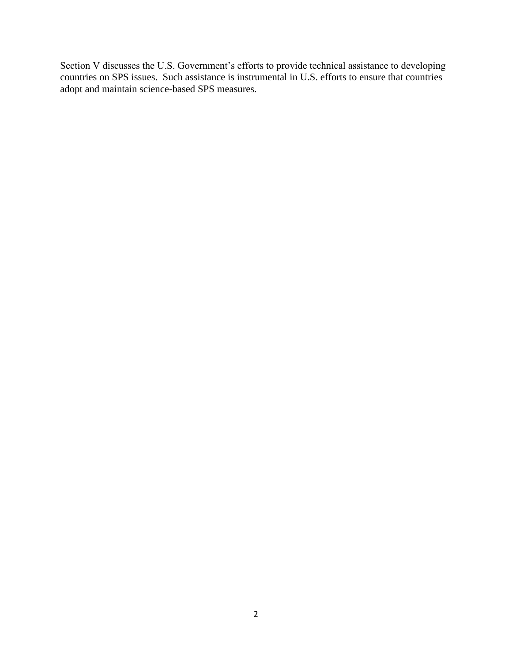Section V discusses the U.S. Government's efforts to provide technical assistance to developing countries on SPS issues. Such assistance is instrumental in U.S. efforts to ensure that countries adopt and maintain science-based SPS measures.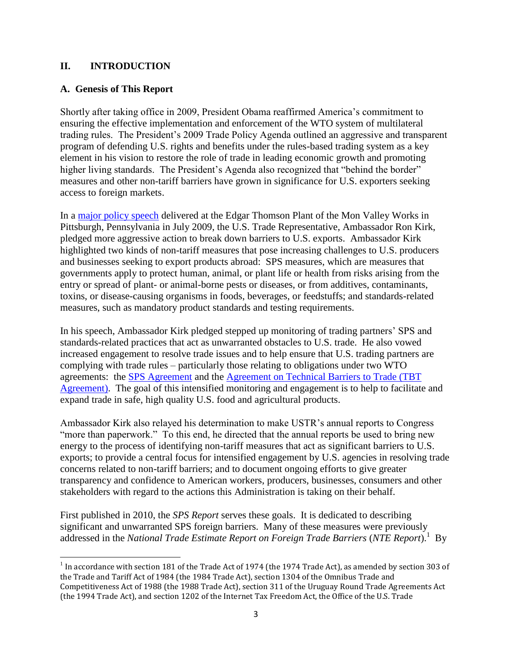## **II. INTRODUCTION**

#### **A. Genesis of This Report**

 $\overline{a}$ 

Shortly after taking office in 2009, President Obama reaffirmed America's commitment to ensuring the effective implementation and enforcement of the WTO system of multilateral trading rules. The President's 2009 Trade Policy Agenda outlined an aggressive and transparent program of defending U.S. rights and benefits under the rules-based trading system as a key element in his vision to restore the role of trade in leading economic growth and promoting higher living standards. The President's Agenda also recognized that "behind the border" measures and other non-tariff barriers have grown in significance for U.S. exporters seeking access to foreign markets.

In a [major policy speech](http://www.ustr.gov/about-us/press-office/speeches/transcripts/2009/july/ambassador-kirk-announces-new-initiatives-trade) delivered at the Edgar Thomson Plant of the Mon Valley Works in Pittsburgh, Pennsylvania in July 2009, the U.S. Trade Representative, Ambassador Ron Kirk, pledged more aggressive action to break down barriers to U.S. exports. Ambassador Kirk highlighted two kinds of non-tariff measures that pose increasing challenges to U.S. producers and businesses seeking to export products abroad: SPS measures, which are measures that governments apply to protect human, animal, or plant life or health from risks arising from the entry or spread of plant- or animal-borne pests or diseases, or from additives, contaminants, toxins, or disease-causing organisms in foods, beverages, or feedstuffs; and standards-related measures, such as mandatory product standards and testing requirements.

In his speech, Ambassador Kirk pledged stepped up monitoring of trading partners' SPS and standards-related practices that act as unwarranted obstacles to U.S. trade. He also vowed increased engagement to resolve trade issues and to help ensure that U.S. trading partners are complying with trade rules – particularly those relating to obligations under two WTO agreements: the [SPS Agreement](http://www.wto.org/english/docs_e/legal_e/15-sps.pdf) and the [Agreement on Technical Barriers to Trade \(TBT](http://www.wto.org/english/docs_e/legal_e/17-tbt_e.htm)  [Agreement\).](http://www.wto.org/english/docs_e/legal_e/17-tbt_e.htm) The goal of this intensified monitoring and engagement is to help to facilitate and expand trade in safe, high quality U.S. food and agricultural products.

Ambassador Kirk also relayed his determination to make USTR's annual reports to Congress "more than paperwork." To this end, he directed that the annual reports be used to bring new energy to the process of identifying non-tariff measures that act as significant barriers to U.S. exports; to provide a central focus for intensified engagement by U.S. agencies in resolving trade concerns related to non-tariff barriers; and to document ongoing efforts to give greater transparency and confidence to American workers, producers, businesses, consumers and other stakeholders with regard to the actions this Administration is taking on their behalf.

First published in 2010, the *SPS Report* serves these goals. It is dedicated to describing significant and unwarranted SPS foreign barriers. Many of these measures were previously addressed in the *National Trade Estimate Report on Foreign Trade Barriers* (*NTE Report*).<sup>1</sup> By

<sup>&</sup>lt;sup>1</sup> In accordance with section 181 of the Trade Act of 1974 (the 1974 Trade Act), as amended by section 303 of the Trade and Tariff Act of 1984 (the 1984 Trade Act), section 1304 of the Omnibus Trade and Competitiveness Act of 1988 (the 1988 Trade Act), section 311 of the Uruguay Round Trade Agreements Act (the 1994 Trade Act), and section 1202 of the Internet Tax Freedom Act, the Office of the U.S. Trade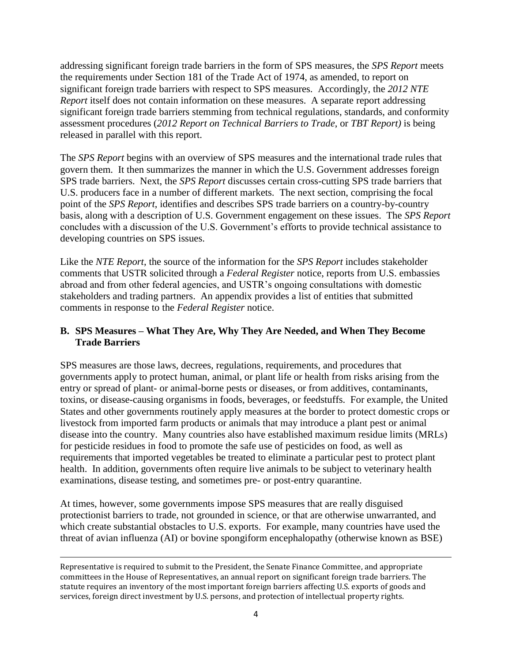addressing significant foreign trade barriers in the form of SPS measures, the *SPS Report* meets the requirements under Section 181 of the Trade Act of 1974, as amended, to report on significant foreign trade barriers with respect to SPS measures. Accordingly, the *2012 NTE Report* itself does not contain information on these measures. A separate report addressing significant foreign trade barriers stemming from technical regulations, standards, and conformity assessment procedures (*2012 Report on Technical Barriers to Trade*, or *TBT Report)* is being released in parallel with this report.

The *SPS Report* begins with an overview of SPS measures and the international trade rules that govern them. It then summarizes the manner in which the U.S. Government addresses foreign SPS trade barriers. Next, the *SPS Report* discusses certain cross-cutting SPS trade barriers that U.S. producers face in a number of different markets. The next section, comprising the focal point of the *SPS Report*, identifies and describes SPS trade barriers on a country-by-country basis, along with a description of U.S. Government engagement on these issues. The *SPS Report* concludes with a discussion of the U.S. Government's efforts to provide technical assistance to developing countries on SPS issues.

Like the *NTE Report*, the source of the information for the *SPS Report* includes stakeholder comments that USTR solicited through a *Federal Register* notice, reports from U.S. embassies abroad and from other federal agencies, and USTR's ongoing consultations with domestic stakeholders and trading partners. An appendix provides a list of entities that submitted comments in response to the *Federal Register* notice.

## **B. SPS Measures – What They Are, Why They Are Needed, and When They Become Trade Barriers**

SPS measures are those laws, decrees, regulations, requirements, and procedures that governments apply to protect human, animal, or plant life or health from risks arising from the entry or spread of plant- or animal-borne pests or diseases, or from additives, contaminants, toxins, or disease-causing organisms in foods, beverages, or feedstuffs. For example, the United States and other governments routinely apply measures at the border to protect domestic crops or livestock from imported farm products or animals that may introduce a plant pest or animal disease into the country. Many countries also have established maximum residue limits (MRLs) for pesticide residues in food to promote the safe use of pesticides on food, as well as requirements that imported vegetables be treated to eliminate a particular pest to protect plant health. In addition, governments often require live animals to be subject to veterinary health examinations, disease testing, and sometimes pre- or post-entry quarantine.

At times, however, some governments impose SPS measures that are really disguised protectionist barriers to trade, not grounded in science, or that are otherwise unwarranted, and which create substantial obstacles to U.S. exports. For example, many countries have used the threat of avian influenza (AI) or bovine spongiform encephalopathy (otherwise known as BSE)

 $\overline{a}$ Representative is required to submit to the President, the Senate Finance Committee, and appropriate committees in the House of Representatives, an annual report on significant foreign trade barriers. The statute requires an inventory of the most important foreign barriers affecting U.S. exports of goods and services, foreign direct investment by U.S. persons, and protection of intellectual property rights.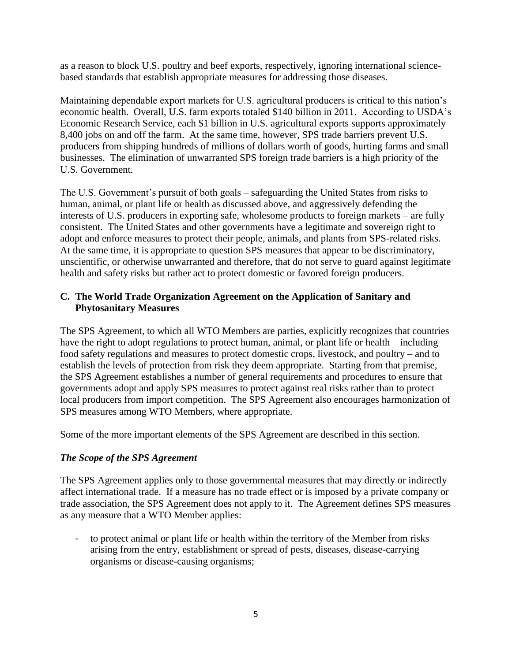as a reason to block U.S. poultry and beef exports, respectively, ignoring international sciencebased standards that establish appropriate measures for addressing those diseases.

Maintaining dependable export markets for U.S. agricultural producers is critical to this nation's economic health. Overall, U.S. farm exports totaled \$140 billion in 2011. According to USDA's Economic Research Service, each \$1 billion in U.S. agricultural exports supports approximately 8,400 jobs on and off the farm. At the same time, however, SPS trade barriers prevent U.S. producers from shipping hundreds of millions of dollars worth of goods, hurting farms and small businesses. The elimination of unwarranted SPS foreign trade barriers is a high priority of the U.S. Government.

The U.S. Government's pursuit of both goals – safeguarding the United States from risks to human, animal, or plant life or health as discussed above, and aggressively defending the interests of U.S. producers in exporting safe, wholesome products to foreign markets – are fully consistent. The United States and other governments have a legitimate and sovereign right to adopt and enforce measures to protect their people, animals, and plants from SPS-related risks. At the same time, it is appropriate to question SPS measures that appear to be discriminatory, unscientific, or otherwise unwarranted and therefore, that do not serve to guard against legitimate health and safety risks but rather act to protect domestic or favored foreign producers.

## **C. The World Trade Organization Agreement on the Application of Sanitary and Phytosanitary Measures**

The SPS Agreement, to which all WTO Members are parties, explicitly recognizes that countries have the right to adopt regulations to protect human, animal, or plant life or health – including food safety regulations and measures to protect domestic crops, livestock, and poultry – and to establish the levels of protection from risk they deem appropriate. Starting from that premise, the SPS Agreement establishes a number of general requirements and procedures to ensure that governments adopt and apply SPS measures to protect against real risks rather than to protect local producers from import competition. The SPS Agreement also encourages harmonization of SPS measures among WTO Members, where appropriate.

Some of the more important elements of the SPS Agreement are described in this section.

# *The Scope of the SPS Agreement*

The SPS Agreement applies only to those governmental measures that may directly or indirectly affect international trade. If a measure has no trade effect or is imposed by a private company or trade association, the SPS Agreement does not apply to it. The Agreement defines SPS measures as any measure that a WTO Member applies:

to protect animal or plant life or health within the territory of the Member from risks arising from the entry, establishment or spread of pests, diseases, disease-carrying organisms or disease-causing organisms;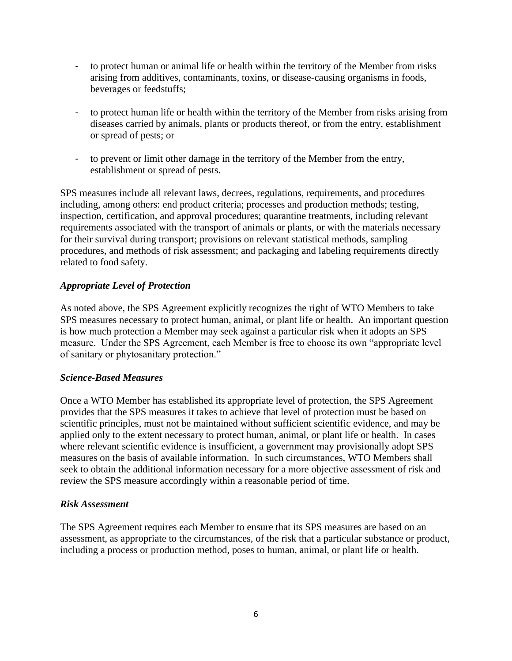- to protect human or animal life or health within the territory of the Member from risks arising from additives, contaminants, toxins, or disease-causing organisms in foods, beverages or feedstuffs;
- to protect human life or health within the territory of the Member from risks arising from diseases carried by animals, plants or products thereof, or from the entry, establishment or spread of pests; or
- to prevent or limit other damage in the territory of the Member from the entry, establishment or spread of pests.

SPS measures include all relevant laws, decrees, regulations, requirements, and procedures including, among others: end product criteria; processes and production methods; testing, inspection, certification, and approval procedures; quarantine treatments, including relevant requirements associated with the transport of animals or plants, or with the materials necessary for their survival during transport; provisions on relevant statistical methods, sampling procedures, and methods of risk assessment; and packaging and labeling requirements directly related to food safety.

## *Appropriate Level of Protection*

As noted above, the SPS Agreement explicitly recognizes the right of WTO Members to take SPS measures necessary to protect human, animal, or plant life or health. An important question is how much protection a Member may seek against a particular risk when it adopts an SPS measure. Under the SPS Agreement, each Member is free to choose its own "appropriate level of sanitary or phytosanitary protection."

#### *Science-Based Measures*

Once a WTO Member has established its appropriate level of protection, the SPS Agreement provides that the SPS measures it takes to achieve that level of protection must be based on scientific principles, must not be maintained without sufficient scientific evidence, and may be applied only to the extent necessary to protect human, animal, or plant life or health. In cases where relevant scientific evidence is insufficient, a government may provisionally adopt SPS measures on the basis of available information. In such circumstances, WTO Members shall seek to obtain the additional information necessary for a more objective assessment of risk and review the SPS measure accordingly within a reasonable period of time.

#### *Risk Assessment*

The SPS Agreement requires each Member to ensure that its SPS measures are based on an assessment, as appropriate to the circumstances, of the risk that a particular substance or product, including a process or production method, poses to human, animal, or plant life or health.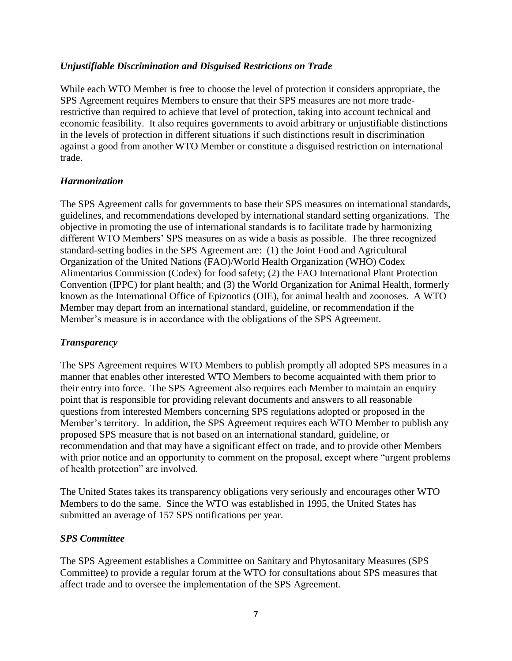#### *Unjustifiable Discrimination and Disguised Restrictions on Trade*

While each WTO Member is free to choose the level of protection it considers appropriate, the SPS Agreement requires Members to ensure that their SPS measures are not more traderestrictive than required to achieve that level of protection, taking into account technical and economic feasibility. It also requires governments to avoid arbitrary or unjustifiable distinctions in the levels of protection in different situations if such distinctions result in discrimination against a good from another WTO Member or constitute a disguised restriction on international trade.

#### *Harmonization*

The SPS Agreement calls for governments to base their SPS measures on international standards, guidelines, and recommendations developed by international standard setting organizations. The objective in promoting the use of international standards is to facilitate trade by harmonizing different WTO Members' SPS measures on as wide a basis as possible. The three recognized standard-setting bodies in the SPS Agreement are: (1) the Joint Food and Agricultural Organization of the United Nations (FAO)/World Health Organization (WHO) Codex Alimentarius Commission (Codex) for food safety; (2) the FAO International Plant Protection Convention (IPPC) for plant health; and (3) the World Organization for Animal Health, formerly known as the International Office of Epizootics (OIE), for animal health and zoonoses. A WTO Member may depart from an international standard, guideline, or recommendation if the Member's measure is in accordance with the obligations of the SPS Agreement.

#### *Transparency*

The SPS Agreement requires WTO Members to publish promptly all adopted SPS measures in a manner that enables other interested WTO Members to become acquainted with them prior to their entry into force. The SPS Agreement also requires each Member to maintain an enquiry point that is responsible for providing relevant documents and answers to all reasonable questions from interested Members concerning SPS regulations adopted or proposed in the Member's territory. In addition, the SPS Agreement requires each WTO Member to publish any proposed SPS measure that is not based on an international standard, guideline, or recommendation and that may have a significant effect on trade, and to provide other Members with prior notice and an opportunity to comment on the proposal, except where "urgent problems of health protection" are involved.

The United States takes its transparency obligations very seriously and encourages other WTO Members to do the same. Since the WTO was established in 1995, the United States has submitted an average of 157 SPS notifications per year.

#### *SPS Committee*

The SPS Agreement establishes a Committee on Sanitary and Phytosanitary Measures (SPS Committee) to provide a regular forum at the WTO for consultations about SPS measures that affect trade and to oversee the implementation of the SPS Agreement.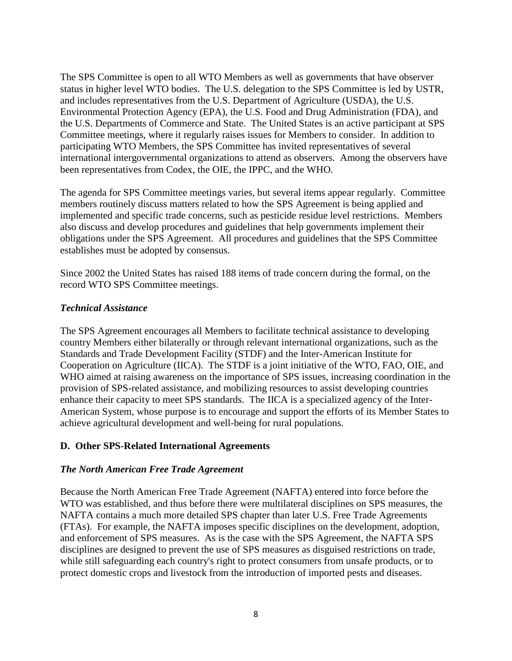The SPS Committee is open to all WTO Members as well as governments that have observer status in higher level WTO bodies. The U.S. delegation to the SPS Committee is led by USTR, and includes representatives from the U.S. Department of Agriculture (USDA), the U.S. Environmental Protection Agency (EPA), the U.S. Food and Drug Administration (FDA), and the U.S. Departments of Commerce and State. The United States is an active participant at SPS Committee meetings, where it regularly raises issues for Members to consider. In addition to participating WTO Members, the SPS Committee has invited representatives of several international intergovernmental organizations to attend as observers. Among the observers have been representatives from Codex, the OIE, the IPPC, and the WHO.

The agenda for SPS Committee meetings varies, but several items appear regularly. Committee members routinely discuss matters related to how the SPS Agreement is being applied and implemented and specific trade concerns, such as pesticide residue level restrictions. Members also discuss and develop procedures and guidelines that help governments implement their obligations under the SPS Agreement. All procedures and guidelines that the SPS Committee establishes must be adopted by consensus.

Since 2002 the United States has raised 188 items of trade concern during the formal, on the record WTO SPS Committee meetings.

#### *Technical Assistance*

The SPS Agreement encourages all Members to facilitate technical assistance to developing country Members either bilaterally or through relevant international organizations, such as the Standards and Trade Development Facility (STDF) and the Inter-American Institute for Cooperation on Agriculture (IICA). The STDF is a joint initiative of the WTO, FAO, OIE, and WHO aimed at raising awareness on the importance of SPS issues, increasing coordination in the provision of SPS-related assistance, and mobilizing resources to assist developing countries enhance their capacity to meet SPS standards. The IICA is a specialized agency of the Inter-American System, whose purpose is to encourage and support the efforts of its Member States to achieve agricultural development and well-being for rural populations.

#### **D. Other SPS-Related International Agreements**

#### *The North American Free Trade Agreement*

Because the North American Free Trade Agreement (NAFTA) entered into force before the WTO was established, and thus before there were multilateral disciplines on SPS measures, the NAFTA contains a much more detailed SPS chapter than later U.S. Free Trade Agreements (FTAs). For example, the NAFTA imposes specific disciplines on the development, adoption, and enforcement of SPS measures. As is the case with the SPS Agreement, the NAFTA SPS disciplines are designed to prevent the use of SPS measures as disguised restrictions on trade, while still safeguarding each country's right to protect consumers from unsafe products, or to protect domestic crops and livestock from the introduction of imported pests and diseases.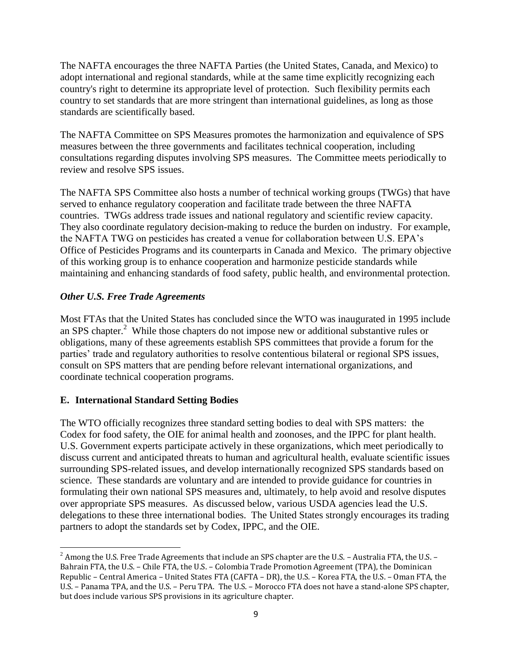The NAFTA encourages the three NAFTA Parties (the United States, Canada, and Mexico) to adopt international and regional standards, while at the same time explicitly recognizing each country's right to determine its appropriate level of protection. Such flexibility permits each country to set standards that are more stringent than international guidelines, as long as those standards are scientifically based.

The NAFTA Committee on SPS Measures promotes the harmonization and equivalence of SPS measures between the three governments and facilitates technical cooperation, including consultations regarding disputes involving SPS measures. The Committee meets periodically to review and resolve SPS issues.

The NAFTA SPS Committee also hosts a number of technical working groups (TWGs) that have served to enhance regulatory cooperation and facilitate trade between the three NAFTA countries. TWGs address trade issues and national regulatory and scientific review capacity. They also coordinate regulatory decision-making to reduce the burden on industry. For example, the NAFTA TWG on pesticides has created a venue for collaboration between U.S. EPA's Office of Pesticides Programs and its counterparts in Canada and Mexico. The primary objective of this working group is to enhance cooperation and harmonize pesticide standards while maintaining and enhancing standards of food safety, public health, and environmental protection.

# *Other U.S. Free Trade Agreements*

Most FTAs that the United States has concluded since the WTO was inaugurated in 1995 include an SPS chapter.<sup>2</sup> While those chapters do not impose new or additional substantive rules or obligations, many of these agreements establish SPS committees that provide a forum for the parties' trade and regulatory authorities to resolve contentious bilateral or regional SPS issues, consult on SPS matters that are pending before relevant international organizations, and coordinate technical cooperation programs.

## **E. International Standard Setting Bodies**

The WTO officially recognizes three standard setting bodies to deal with SPS matters: the Codex for food safety, the OIE for animal health and zoonoses, and the IPPC for plant health. U.S. Government experts participate actively in these organizations, which meet periodically to discuss current and anticipated threats to human and agricultural health, evaluate scientific issues surrounding SPS-related issues, and develop internationally recognized SPS standards based on science. These standards are voluntary and are intended to provide guidance for countries in formulating their own national SPS measures and, ultimately, to help avoid and resolve disputes over appropriate SPS measures. As discussed below, various USDA agencies lead the U.S. delegations to these three international bodies. The United States strongly encourages its trading partners to adopt the standards set by Codex, IPPC, and the OIE.

 $\overline{a}$  $^2$  Among the U.S. Free Trade Agreements that include an SPS chapter are the U.S. – Australia FTA, the U.S. – Bahrain FTA, the U.S. – Chile FTA, the U.S. – Colombia Trade Promotion Agreement (TPA), the Dominican Republic – Central America – United States FTA (CAFTA – DR), the U.S. – Korea FTA, the U.S. – Oman FTA, the U.S. – Panama TPA, and the U.S. – Peru TPA. The U.S. – Morocco FTA does not have a stand-alone SPS chapter, but does include various SPS provisions in its agriculture chapter.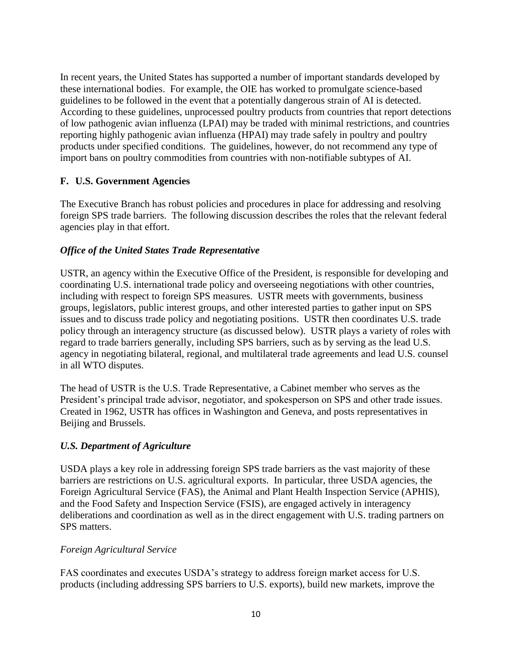In recent years, the United States has supported a number of important standards developed by these international bodies. For example, the OIE has worked to promulgate science-based guidelines to be followed in the event that a potentially dangerous strain of AI is detected. According to these guidelines, unprocessed poultry products from countries that report detections of low pathogenic avian influenza (LPAI) may be traded with minimal restrictions, and countries reporting highly pathogenic avian influenza (HPAI) may trade safely in poultry and poultry products under specified conditions. The guidelines, however, do not recommend any type of import bans on poultry commodities from countries with non-notifiable subtypes of AI.

# **F. U.S. Government Agencies**

The Executive Branch has robust policies and procedures in place for addressing and resolving foreign SPS trade barriers. The following discussion describes the roles that the relevant federal agencies play in that effort.

## *Office of the United States Trade Representative*

USTR, an agency within the Executive Office of the President, is responsible for developing and coordinating U.S. international trade policy and overseeing negotiations with other countries, including with respect to foreign SPS measures. USTR meets with governments, business groups, legislators, public interest groups, and other interested parties to gather input on SPS issues and to discuss trade policy and negotiating positions. USTR then coordinates U.S. trade policy through an interagency structure (as discussed below). USTR plays a variety of roles with regard to trade barriers generally, including SPS barriers, such as by serving as the lead U.S. agency in negotiating bilateral, regional, and multilateral trade agreements and lead U.S. counsel in all WTO disputes.

The head of USTR is the U.S. Trade Representative, a Cabinet member who serves as the President's principal trade advisor, negotiator, and spokesperson on SPS and other trade issues. Created in 1962, USTR has offices in Washington and Geneva, and posts representatives in Beijing and Brussels.

## *U.S. Department of Agriculture*

USDA plays a key role in addressing foreign SPS trade barriers as the vast majority of these barriers are restrictions on U.S. agricultural exports. In particular, three USDA agencies, the Foreign Agricultural Service (FAS), the Animal and Plant Health Inspection Service (APHIS), and the Food Safety and Inspection Service (FSIS), are engaged actively in interagency deliberations and coordination as well as in the direct engagement with U.S. trading partners on SPS matters.

## *Foreign Agricultural Service*

FAS coordinates and executes USDA's strategy to address foreign market access for U.S. products (including addressing SPS barriers to U.S. exports), build new markets, improve the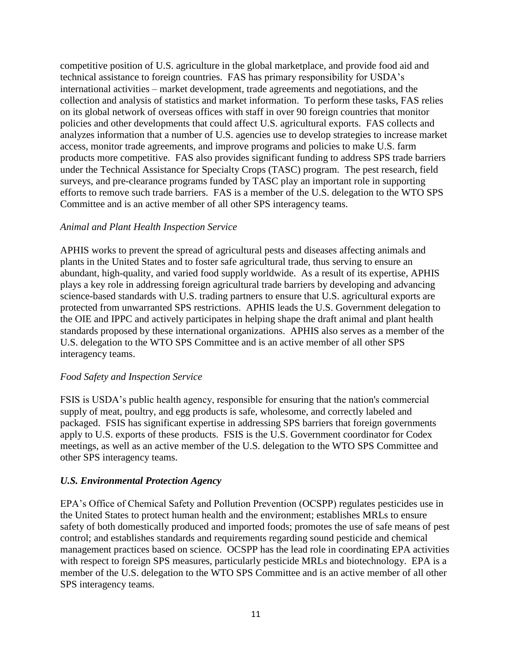competitive position of U.S. agriculture in the global marketplace, and provide food aid and technical assistance to foreign countries. FAS has primary responsibility for USDA's international activities – market development, trade agreements and negotiations, and the collection and analysis of statistics and market information. To perform these tasks, FAS relies on its global network of overseas offices with staff in over 90 foreign countries that monitor policies and other developments that could affect U.S. agricultural exports. FAS collects and analyzes information that a number of U.S. agencies use to develop strategies to increase market access, monitor trade agreements, and improve programs and policies to make U.S. farm products more competitive. FAS also provides significant funding to address SPS trade barriers under the Technical Assistance for Specialty Crops (TASC) program. The pest research, field surveys, and pre-clearance programs funded by TASC play an important role in supporting efforts to remove such trade barriers. FAS is a member of the U.S. delegation to the WTO SPS Committee and is an active member of all other SPS interagency teams.

#### *Animal and Plant Health Inspection Service*

APHIS works to prevent the spread of agricultural pests and diseases affecting animals and plants in the United States and to foster safe agricultural trade, thus serving to ensure an abundant, high-quality, and varied food supply worldwide. As a result of its expertise, APHIS plays a key role in addressing foreign agricultural trade barriers by developing and advancing science-based standards with U.S. trading partners to ensure that U.S. agricultural exports are protected from unwarranted SPS restrictions. APHIS leads the U.S. Government delegation to the OIE and IPPC and actively participates in helping shape the draft animal and plant health standards proposed by these international organizations. APHIS also serves as a member of the U.S. delegation to the WTO SPS Committee and is an active member of all other SPS interagency teams.

#### *Food Safety and Inspection Service*

FSIS is USDA's public health agency, responsible for ensuring that the nation's commercial supply of meat, poultry, and egg products is safe, wholesome, and correctly labeled and packaged. FSIS has significant expertise in addressing SPS barriers that foreign governments apply to U.S. exports of these products. FSIS is the U.S. Government coordinator for Codex meetings, as well as an active member of the U.S. delegation to the WTO SPS Committee and other SPS interagency teams.

## *U.S. Environmental Protection Agency*

EPA's Office of Chemical Safety and Pollution Prevention (OCSPP) regulates pesticides use in the United States to protect human health and the environment; establishes MRLs to ensure safety of both domestically produced and imported foods; promotes the use of safe means of pest control; and establishes standards and requirements regarding sound pesticide and chemical management practices based on science. OCSPP has the lead role in coordinating EPA activities with respect to foreign SPS measures, particularly pesticide MRLs and biotechnology. EPA is a member of the U.S. delegation to the WTO SPS Committee and is an active member of all other SPS interagency teams.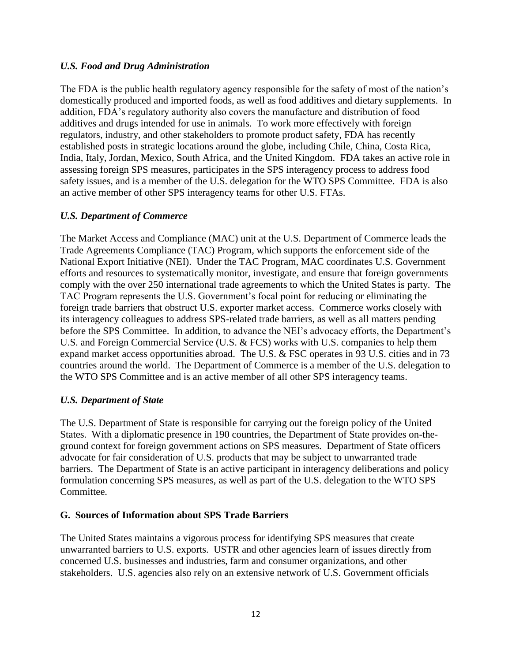#### *U.S. Food and Drug Administration*

The FDA is the public health regulatory agency responsible for the safety of most of the nation's domestically produced and imported foods, as well as food additives and dietary supplements. In addition, FDA's regulatory authority also covers the manufacture and distribution of food additives and drugs intended for use in animals. To work more effectively with foreign regulators, industry, and other stakeholders to promote product safety, FDA has recently established posts in strategic locations around the globe, including Chile, China, Costa Rica, India, Italy, Jordan, Mexico, South Africa, and the United Kingdom. FDA takes an active role in assessing foreign SPS measures, participates in the SPS interagency process to address food safety issues, and is a member of the U.S. delegation for the WTO SPS Committee. FDA is also an active member of other SPS interagency teams for other U.S. FTAs.

#### *U.S. Department of Commerce*

The Market Access and Compliance (MAC) unit at the U.S. Department of Commerce leads the Trade Agreements Compliance (TAC) Program, which supports the enforcement side of the National Export Initiative (NEI). Under the TAC Program, MAC coordinates U.S. Government efforts and resources to systematically monitor, investigate, and ensure that foreign governments comply with the over 250 international trade agreements to which the United States is party. The TAC Program represents the U.S. Government's focal point for reducing or eliminating the foreign trade barriers that obstruct U.S. exporter market access. Commerce works closely with its interagency colleagues to address SPS-related trade barriers, as well as all matters pending before the SPS Committee. In addition, to advance the NEI's advocacy efforts, the Department's U.S. and Foreign Commercial Service (U.S. & FCS) works with U.S. companies to help them expand market access opportunities abroad. The U.S. & FSC operates in 93 U.S. cities and in 73 countries around the world. The Department of Commerce is a member of the U.S. delegation to the WTO SPS Committee and is an active member of all other SPS interagency teams.

## *U.S. Department of State*

The U.S. Department of State is responsible for carrying out the foreign policy of the United States. With a diplomatic presence in 190 countries, the Department of State provides on-theground context for foreign government actions on SPS measures. Department of State officers advocate for fair consideration of U.S. products that may be subject to unwarranted trade barriers. The Department of State is an active participant in interagency deliberations and policy formulation concerning SPS measures, as well as part of the U.S. delegation to the WTO SPS Committee.

## **G. Sources of Information about SPS Trade Barriers**

The United States maintains a vigorous process for identifying SPS measures that create unwarranted barriers to U.S. exports. USTR and other agencies learn of issues directly from concerned U.S. businesses and industries, farm and consumer organizations, and other stakeholders. U.S. agencies also rely on an extensive network of U.S. Government officials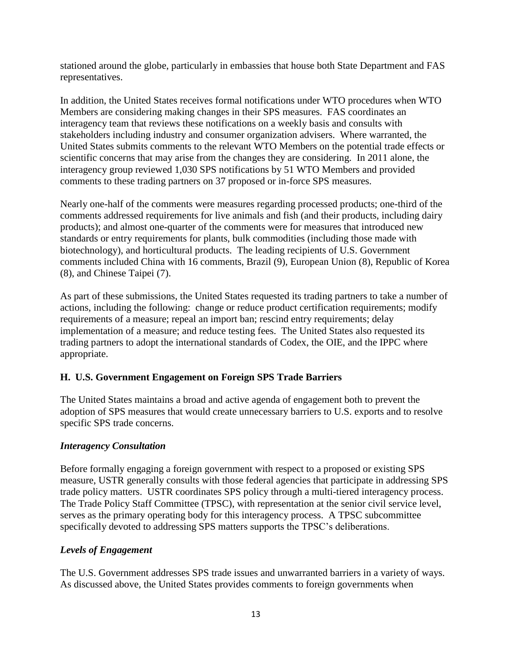stationed around the globe, particularly in embassies that house both State Department and FAS representatives.

In addition, the United States receives formal notifications under WTO procedures when WTO Members are considering making changes in their SPS measures. FAS coordinates an interagency team that reviews these notifications on a weekly basis and consults with stakeholders including industry and consumer organization advisers. Where warranted, the United States submits comments to the relevant WTO Members on the potential trade effects or scientific concerns that may arise from the changes they are considering. In 2011 alone, the interagency group reviewed 1,030 SPS notifications by 51 WTO Members and provided comments to these trading partners on 37 proposed or in-force SPS measures.

Nearly one-half of the comments were measures regarding processed products; one-third of the comments addressed requirements for live animals and fish (and their products, including dairy products); and almost one-quarter of the comments were for measures that introduced new standards or entry requirements for plants, bulk commodities (including those made with biotechnology), and horticultural products. The leading recipients of U.S. Government comments included China with 16 comments, Brazil (9), European Union (8), Republic of Korea (8), and Chinese Taipei (7).

As part of these submissions, the United States requested its trading partners to take a number of actions, including the following: change or reduce product certification requirements; modify requirements of a measure; repeal an import ban; rescind entry requirements; delay implementation of a measure; and reduce testing fees. The United States also requested its trading partners to adopt the international standards of Codex, the OIE, and the IPPC where appropriate.

# **H. U.S. Government Engagement on Foreign SPS Trade Barriers**

The United States maintains a broad and active agenda of engagement both to prevent the adoption of SPS measures that would create unnecessary barriers to U.S. exports and to resolve specific SPS trade concerns.

## *Interagency Consultation*

Before formally engaging a foreign government with respect to a proposed or existing SPS measure, USTR generally consults with those federal agencies that participate in addressing SPS trade policy matters. USTR coordinates SPS policy through a multi-tiered interagency process. The Trade Policy Staff Committee (TPSC), with representation at the senior civil service level, serves as the primary operating body for this interagency process. A TPSC subcommittee specifically devoted to addressing SPS matters supports the TPSC's deliberations.

## *Levels of Engagement*

The U.S. Government addresses SPS trade issues and unwarranted barriers in a variety of ways. As discussed above, the United States provides comments to foreign governments when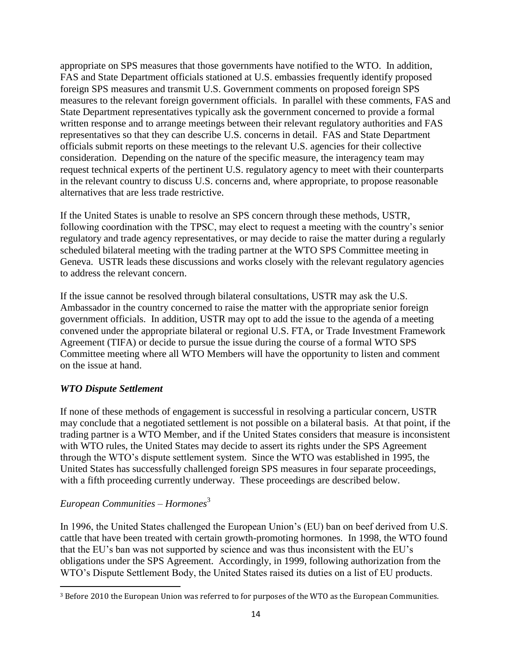appropriate on SPS measures that those governments have notified to the WTO. In addition, FAS and State Department officials stationed at U.S. embassies frequently identify proposed foreign SPS measures and transmit U.S. Government comments on proposed foreign SPS measures to the relevant foreign government officials. In parallel with these comments, FAS and State Department representatives typically ask the government concerned to provide a formal written response and to arrange meetings between their relevant regulatory authorities and FAS representatives so that they can describe U.S. concerns in detail. FAS and State Department officials submit reports on these meetings to the relevant U.S. agencies for their collective consideration. Depending on the nature of the specific measure, the interagency team may request technical experts of the pertinent U.S. regulatory agency to meet with their counterparts in the relevant country to discuss U.S. concerns and, where appropriate, to propose reasonable alternatives that are less trade restrictive.

If the United States is unable to resolve an SPS concern through these methods, USTR, following coordination with the TPSC, may elect to request a meeting with the country's senior regulatory and trade agency representatives, or may decide to raise the matter during a regularly scheduled bilateral meeting with the trading partner at the WTO SPS Committee meeting in Geneva. USTR leads these discussions and works closely with the relevant regulatory agencies to address the relevant concern.

If the issue cannot be resolved through bilateral consultations, USTR may ask the U.S. Ambassador in the country concerned to raise the matter with the appropriate senior foreign government officials. In addition, USTR may opt to add the issue to the agenda of a meeting convened under the appropriate bilateral or regional U.S. FTA, or Trade Investment Framework Agreement (TIFA) or decide to pursue the issue during the course of a formal WTO SPS Committee meeting where all WTO Members will have the opportunity to listen and comment on the issue at hand.

## *WTO Dispute Settlement*

If none of these methods of engagement is successful in resolving a particular concern, USTR may conclude that a negotiated settlement is not possible on a bilateral basis. At that point, if the trading partner is a WTO Member, and if the United States considers that measure is inconsistent with WTO rules, the United States may decide to assert its rights under the SPS Agreement through the WTO's dispute settlement system. Since the WTO was established in 1995, the United States has successfully challenged foreign SPS measures in four separate proceedings, with a fifth proceeding currently underway. These proceedings are described below.

# *European Communities – Hormones* 3

 $\overline{\phantom{a}}$ 

In 1996, the United States challenged the European Union's (EU) ban on beef derived from U.S. cattle that have been treated with certain growth-promoting hormones. In 1998, the WTO found that the EU's ban was not supported by science and was thus inconsistent with the EU's obligations under the SPS Agreement. Accordingly, in 1999, following authorization from the WTO's Dispute Settlement Body, the United States raised its duties on a list of EU products.

<sup>3</sup> Before 2010 the European Union was referred to for purposes of the WTO as the European Communities.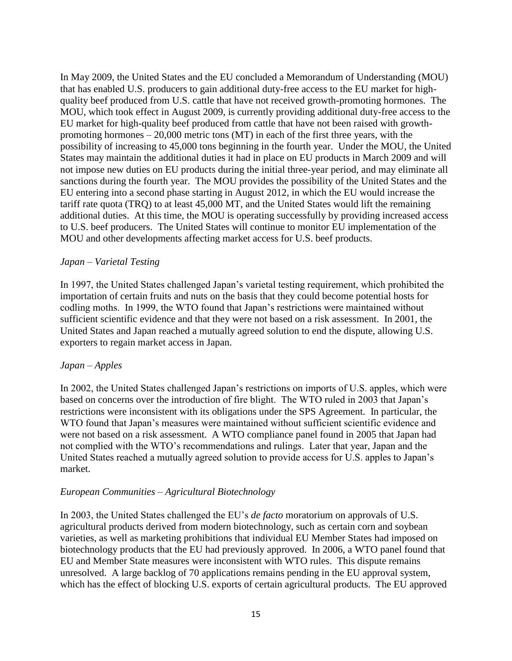In May 2009, the United States and the EU concluded a Memorandum of Understanding (MOU) that has enabled U.S. producers to gain additional duty-free access to the EU market for highquality beef produced from U.S. cattle that have not received growth-promoting hormones. The MOU, which took effect in August 2009, is currently providing additional duty-free access to the EU market for high-quality beef produced from cattle that have not been raised with growthpromoting hormones  $-20,000$  metric tons (MT) in each of the first three years, with the possibility of increasing to 45,000 tons beginning in the fourth year. Under the MOU, the United States may maintain the additional duties it had in place on EU products in March 2009 and will not impose new duties on EU products during the initial three-year period, and may eliminate all sanctions during the fourth year. The MOU provides the possibility of the United States and the EU entering into a second phase starting in August 2012, in which the EU would increase the tariff rate quota (TRQ) to at least 45,000 MT, and the United States would lift the remaining additional duties. At this time, the MOU is operating successfully by providing increased access to U.S. beef producers. The United States will continue to monitor EU implementation of the MOU and other developments affecting market access for U.S. beef products.

#### *Japan – Varietal Testing*

In 1997, the United States challenged Japan's varietal testing requirement, which prohibited the importation of certain fruits and nuts on the basis that they could become potential hosts for codling moths. In 1999, the WTO found that Japan's restrictions were maintained without sufficient scientific evidence and that they were not based on a risk assessment. In 2001, the United States and Japan reached a mutually agreed solution to end the dispute, allowing U.S. exporters to regain market access in Japan.

#### *Japan – Apples*

In 2002, the United States challenged Japan's restrictions on imports of U.S. apples, which were based on concerns over the introduction of fire blight. The WTO ruled in 2003 that Japan's restrictions were inconsistent with its obligations under the SPS Agreement. In particular, the WTO found that Japan's measures were maintained without sufficient scientific evidence and were not based on a risk assessment. A WTO compliance panel found in 2005 that Japan had not complied with the WTO's recommendations and rulings. Later that year, Japan and the United States reached a mutually agreed solution to provide access for U.S. apples to Japan's market.

#### *European Communities – Agricultural Biotechnology*

In 2003, the United States challenged the EU's *de facto* moratorium on approvals of U.S. agricultural products derived from modern biotechnology, such as certain corn and soybean varieties, as well as marketing prohibitions that individual EU Member States had imposed on biotechnology products that the EU had previously approved. In 2006, a WTO panel found that EU and Member State measures were inconsistent with WTO rules. This dispute remains unresolved. A large backlog of 70 applications remains pending in the EU approval system, which has the effect of blocking U.S. exports of certain agricultural products. The EU approved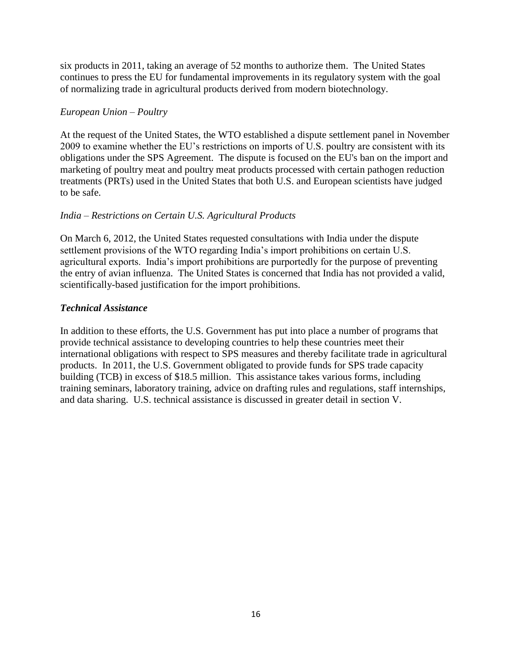six products in 2011, taking an average of 52 months to authorize them. The United States continues to press the EU for fundamental improvements in its regulatory system with the goal of normalizing trade in agricultural products derived from modern biotechnology.

#### *European Union – Poultry*

At the request of the United States, the WTO established a dispute settlement panel in November 2009 to examine whether the EU's restrictions on imports of U.S. poultry are consistent with its obligations under the SPS Agreement. The dispute is focused on the EU's ban on the import and marketing of poultry meat and poultry meat products processed with certain pathogen reduction treatments (PRTs) used in the United States that both U.S. and European scientists have judged to be safe.

## *India – Restrictions on Certain U.S. Agricultural Products*

On March 6, 2012, the United States requested consultations with India under the dispute settlement provisions of the WTO regarding India's import prohibitions on certain U.S. agricultural exports. India's import prohibitions are purportedly for the purpose of preventing the entry of avian influenza. The United States is concerned that India has not provided a valid, scientifically-based justification for the import prohibitions.

## *Technical Assistance*

In addition to these efforts, the U.S. Government has put into place a number of programs that provide technical assistance to developing countries to help these countries meet their international obligations with respect to SPS measures and thereby facilitate trade in agricultural products. In 2011, the U.S. Government obligated to provide funds for SPS trade capacity building (TCB) in excess of \$18.5 million. This assistance takes various forms, including training seminars, laboratory training, advice on drafting rules and regulations, staff internships, and data sharing. U.S. technical assistance is discussed in greater detail in section V.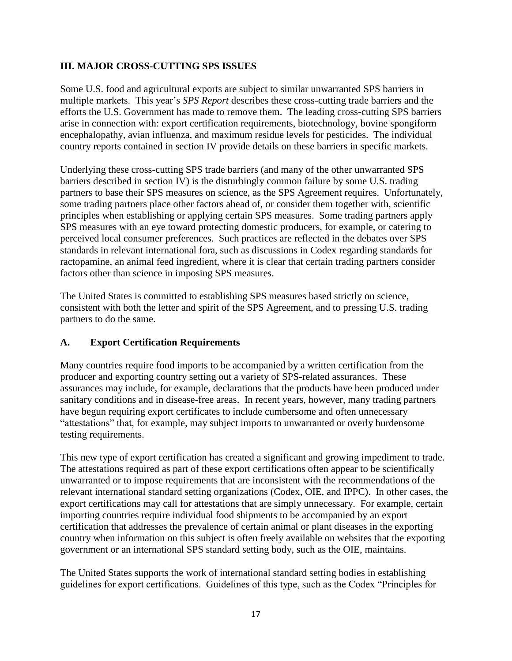## **III. MAJOR CROSS-CUTTING SPS ISSUES**

Some U.S. food and agricultural exports are subject to similar unwarranted SPS barriers in multiple markets. This year's *SPS Report* describes these cross-cutting trade barriers and the efforts the U.S. Government has made to remove them. The leading cross-cutting SPS barriers arise in connection with: export certification requirements, biotechnology, bovine spongiform encephalopathy, avian influenza, and maximum residue levels for pesticides. The individual country reports contained in section IV provide details on these barriers in specific markets.

Underlying these cross-cutting SPS trade barriers (and many of the other unwarranted SPS barriers described in section IV) is the disturbingly common failure by some U.S. trading partners to base their SPS measures on science, as the SPS Agreement requires. Unfortunately, some trading partners place other factors ahead of, or consider them together with, scientific principles when establishing or applying certain SPS measures. Some trading partners apply SPS measures with an eye toward protecting domestic producers, for example, or catering to perceived local consumer preferences. Such practices are reflected in the debates over SPS standards in relevant international fora, such as discussions in Codex regarding standards for ractopamine, an animal feed ingredient, where it is clear that certain trading partners consider factors other than science in imposing SPS measures.

The United States is committed to establishing SPS measures based strictly on science, consistent with both the letter and spirit of the SPS Agreement, and to pressing U.S. trading partners to do the same.

## **A. Export Certification Requirements**

Many countries require food imports to be accompanied by a written certification from the producer and exporting country setting out a variety of SPS-related assurances. These assurances may include, for example, declarations that the products have been produced under sanitary conditions and in disease-free areas. In recent years, however, many trading partners have begun requiring export certificates to include cumbersome and often unnecessary "attestations" that, for example, may subject imports to unwarranted or overly burdensome testing requirements.

This new type of export certification has created a significant and growing impediment to trade. The attestations required as part of these export certifications often appear to be scientifically unwarranted or to impose requirements that are inconsistent with the recommendations of the relevant international standard setting organizations (Codex, OIE, and IPPC). In other cases, the export certifications may call for attestations that are simply unnecessary. For example, certain importing countries require individual food shipments to be accompanied by an export certification that addresses the prevalence of certain animal or plant diseases in the exporting country when information on this subject is often freely available on websites that the exporting government or an international SPS standard setting body, such as the OIE, maintains.

The United States supports the work of international standard setting bodies in establishing guidelines for export certifications. Guidelines of this type, such as the Codex "Principles for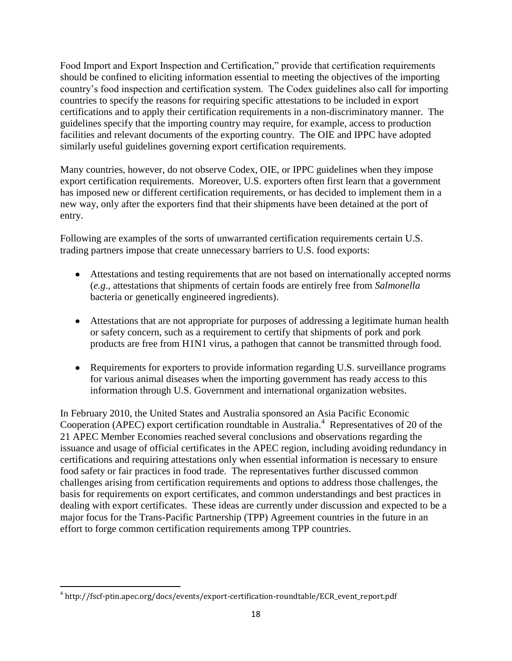Food Import and Export Inspection and Certification," provide that certification requirements should be confined to eliciting information essential to meeting the objectives of the importing country's food inspection and certification system. The Codex guidelines also call for importing countries to specify the reasons for requiring specific attestations to be included in export certifications and to apply their certification requirements in a non-discriminatory manner. The guidelines specify that the importing country may require, for example, access to production facilities and relevant documents of the exporting country. The OIE and IPPC have adopted similarly useful guidelines governing export certification requirements.

Many countries, however, do not observe Codex, OIE, or IPPC guidelines when they impose export certification requirements. Moreover, U.S. exporters often first learn that a government has imposed new or different certification requirements, or has decided to implement them in a new way, only after the exporters find that their shipments have been detained at the port of entry.

Following are examples of the sorts of unwarranted certification requirements certain U.S. trading partners impose that create unnecessary barriers to U.S. food exports:

- Attestations and testing requirements that are not based on internationally accepted norms (*e.g*., attestations that shipments of certain foods are entirely free from *Salmonella* bacteria or genetically engineered ingredients).
- Attestations that are not appropriate for purposes of addressing a legitimate human health or safety concern, such as a requirement to certify that shipments of pork and pork products are free from H1N1 virus, a pathogen that cannot be transmitted through food.
- Requirements for exporters to provide information regarding U.S. surveillance programs for various animal diseases when the importing government has ready access to this information through U.S. Government and international organization websites.

In February 2010, the United States and Australia sponsored an Asia Pacific Economic Cooperation (APEC) export certification roundtable in Australia.<sup>4</sup> Representatives of 20 of the 21 APEC Member Economies reached several conclusions and observations regarding the issuance and usage of official certificates in the APEC region, including avoiding redundancy in certifications and requiring attestations only when essential information is necessary to ensure food safety or fair practices in food trade. The representatives further discussed common challenges arising from certification requirements and options to address those challenges, the basis for requirements on export certificates, and common understandings and best practices in dealing with export certificates. These ideas are currently under discussion and expected to be a major focus for the Trans-Pacific Partnership (TPP) Agreement countries in the future in an effort to forge common certification requirements among TPP countries.

 $\overline{\phantom{a}}$ 4 http://fscf-ptin.apec.org/docs/events/export-certification-roundtable/ECR\_event\_report.pdf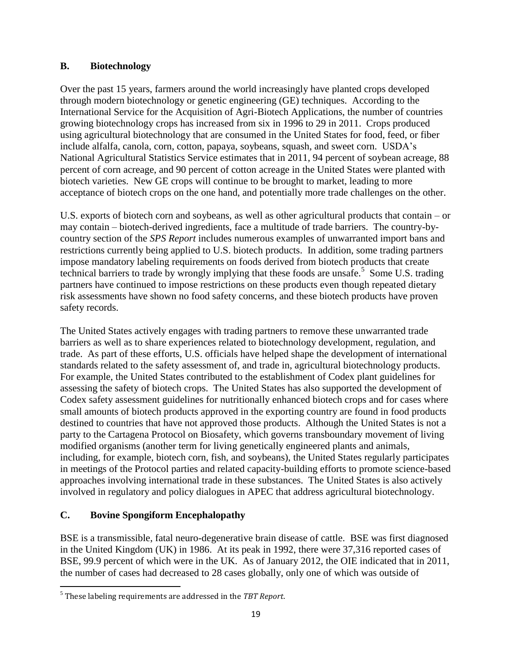## **B. Biotechnology**

Over the past 15 years, farmers around the world increasingly have planted crops developed through modern biotechnology or genetic engineering (GE) techniques. According to the International Service for the Acquisition of Agri-Biotech Applications, the number of countries growing biotechnology crops has increased from six in 1996 to 29 in 2011. Crops produced using agricultural biotechnology that are consumed in the United States for food, feed, or fiber include alfalfa, canola, corn, cotton, papaya, soybeans, squash, and sweet corn. USDA's National Agricultural Statistics Service estimates that in 2011, 94 percent of soybean acreage, 88 percent of corn acreage, and 90 percent of cotton acreage in the United States were planted with biotech varieties. New GE crops will continue to be brought to market, leading to more acceptance of biotech crops on the one hand, and potentially more trade challenges on the other.

U.S. exports of biotech corn and soybeans, as well as other agricultural products that contain – or may contain – biotech-derived ingredients, face a multitude of trade barriers. The country-bycountry section of the *SPS Report* includes numerous examples of unwarranted import bans and restrictions currently being applied to U.S. biotech products. In addition, some trading partners impose mandatory labeling requirements on foods derived from biotech products that create technical barriers to trade by wrongly implying that these foods are unsafe.<sup>5</sup> Some U.S. trading partners have continued to impose restrictions on these products even though repeated dietary risk assessments have shown no food safety concerns, and these biotech products have proven safety records.

The United States actively engages with trading partners to remove these unwarranted trade barriers as well as to share experiences related to biotechnology development, regulation, and trade. As part of these efforts, U.S. officials have helped shape the development of international standards related to the safety assessment of, and trade in, agricultural biotechnology products. For example, the United States contributed to the establishment of Codex plant guidelines for assessing the safety of biotech crops. The United States has also supported the development of Codex safety assessment guidelines for nutritionally enhanced biotech crops and for cases where small amounts of biotech products approved in the exporting country are found in food products destined to countries that have not approved those products. Although the United States is not a party to the Cartagena Protocol on Biosafety, which governs transboundary movement of living modified organisms (another term for living genetically engineered plants and animals, including, for example, biotech corn, fish, and soybeans), the United States regularly participates in meetings of the Protocol parties and related capacity-building efforts to promote science-based approaches involving international trade in these substances. The United States is also actively involved in regulatory and policy dialogues in APEC that address agricultural biotechnology.

# **C. Bovine Spongiform Encephalopathy**

BSE is a transmissible, fatal neuro-degenerative brain disease of cattle. BSE was first diagnosed in the United Kingdom (UK) in 1986. At its peak in 1992, there were 37,316 reported cases of BSE, 99.9 percent of which were in the UK. As of January 2012, the OIE indicated that in 2011, the number of cases had decreased to 28 cases globally, only one of which was outside of

 $\overline{\phantom{a}}$ 5 These labeling requirements are addressed in the *TBT Report*.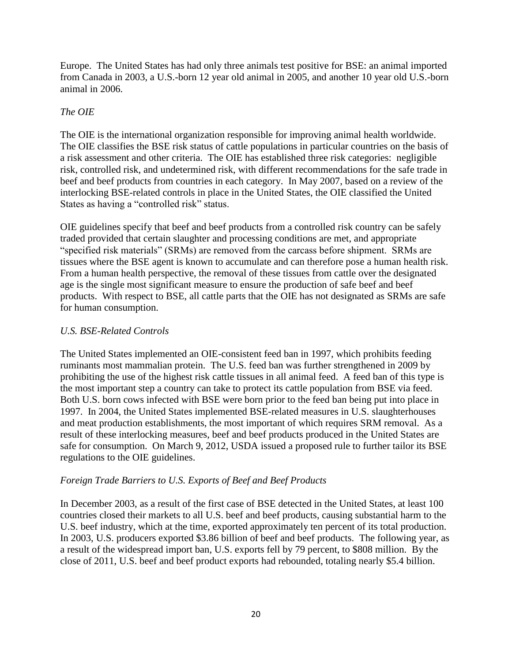Europe. The United States has had only three animals test positive for BSE: an animal imported from Canada in 2003, a U.S.-born 12 year old animal in 2005, and another 10 year old U.S.-born animal in 2006.

# *The OIE*

The OIE is the international organization responsible for improving animal health worldwide. The OIE classifies the BSE risk status of cattle populations in particular countries on the basis of a risk assessment and other criteria. The OIE has established three risk categories: negligible risk, controlled risk, and undetermined risk, with different recommendations for the safe trade in beef and beef products from countries in each category. In May 2007, based on a review of the interlocking BSE-related controls in place in the United States, the OIE classified the United States as having a "controlled risk" status.

OIE guidelines specify that beef and beef products from a controlled risk country can be safely traded provided that certain slaughter and processing conditions are met, and appropriate "specified risk materials" (SRMs) are removed from the carcass before shipment. SRMs are tissues where the BSE agent is known to accumulate and can therefore pose a human health risk. From a human health perspective, the removal of these tissues from cattle over the designated age is the single most significant measure to ensure the production of safe beef and beef products. With respect to BSE, all cattle parts that the OIE has not designated as SRMs are safe for human consumption.

## *U.S. BSE-Related Controls*

The United States implemented an OIE-consistent feed ban in 1997, which prohibits feeding ruminants most mammalian protein. The U.S. feed ban was further strengthened in 2009 by prohibiting the use of the highest risk cattle tissues in all animal feed. A feed ban of this type is the most important step a country can take to protect its cattle population from BSE via feed. Both U.S. born cows infected with BSE were born prior to the feed ban being put into place in 1997. In 2004, the United States implemented BSE-related measures in U.S. slaughterhouses and meat production establishments, the most important of which requires SRM removal. As a result of these interlocking measures, beef and beef products produced in the United States are safe for consumption. On March 9, 2012, USDA issued a proposed rule to further tailor its BSE regulations to the OIE guidelines.

## *Foreign Trade Barriers to U.S. Exports of Beef and Beef Products*

In December 2003, as a result of the first case of BSE detected in the United States, at least 100 countries closed their markets to all U.S. beef and beef products, causing substantial harm to the U.S. beef industry, which at the time, exported approximately ten percent of its total production. In 2003, U.S. producers exported \$3.86 billion of beef and beef products. The following year, as a result of the widespread import ban, U.S. exports fell by 79 percent, to \$808 million. By the close of 2011, U.S. beef and beef product exports had rebounded, totaling nearly \$5.4 billion.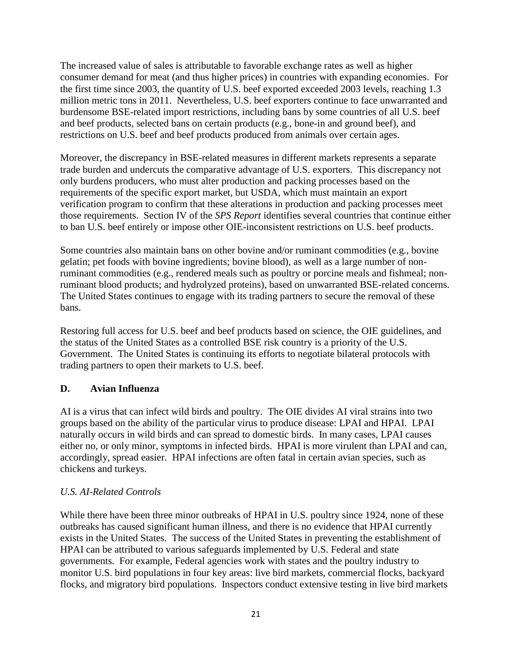The increased value of sales is attributable to favorable exchange rates as well as higher consumer demand for meat (and thus higher prices) in countries with expanding economies. For the first time since 2003, the quantity of U.S. beef exported exceeded 2003 levels, reaching 1.3 million metric tons in 2011. Nevertheless, U.S. beef exporters continue to face unwarranted and burdensome BSE-related import restrictions, including bans by some countries of all U.S. beef and beef products, selected bans on certain products (e.g., bone-in and ground beef), and restrictions on U.S. beef and beef products produced from animals over certain ages.

Moreover, the discrepancy in BSE-related measures in different markets represents a separate trade burden and undercuts the comparative advantage of U.S. exporters. This discrepancy not only burdens producers, who must alter production and packing processes based on the requirements of the specific export market, but USDA, which must maintain an export verification program to confirm that these alterations in production and packing processes meet those requirements. Section IV of the *SPS Report* identifies several countries that continue either to ban U.S. beef entirely or impose other OIE-inconsistent restrictions on U.S. beef products.

Some countries also maintain bans on other bovine and/or ruminant commodities (e.g., bovine gelatin; pet foods with bovine ingredients; bovine blood), as well as a large number of nonruminant commodities (e.g., rendered meals such as poultry or porcine meals and fishmeal; nonruminant blood products; and hydrolyzed proteins), based on unwarranted BSE-related concerns. The United States continues to engage with its trading partners to secure the removal of these bans.

Restoring full access for U.S. beef and beef products based on science, the OIE guidelines, and the status of the United States as a controlled BSE risk country is a priority of the U.S. Government. The United States is continuing its efforts to negotiate bilateral protocols with trading partners to open their markets to U.S. beef.

## **D. Avian Influenza**

AI is a virus that can infect wild birds and poultry. The OIE divides AI viral strains into two groups based on the ability of the particular virus to produce disease: LPAI and HPAI. LPAI naturally occurs in wild birds and can spread to domestic birds. In many cases, LPAI causes either no, or only minor, symptoms in infected birds. HPAI is more virulent than LPAI and can, accordingly, spread easier. HPAI infections are often fatal in certain avian species, such as chickens and turkeys.

## *U.S. AI-Related Controls*

While there have been three minor outbreaks of HPAI in U.S. poultry since 1924, none of these outbreaks has caused significant human illness, and there is no evidence that HPAI currently exists in the United States. The success of the United States in preventing the establishment of HPAI can be attributed to various safeguards implemented by U.S. Federal and state governments. For example, Federal agencies work with states and the poultry industry to monitor U.S. bird populations in four key areas: live bird markets, commercial flocks, backyard flocks, and migratory bird populations. Inspectors conduct extensive testing in live bird markets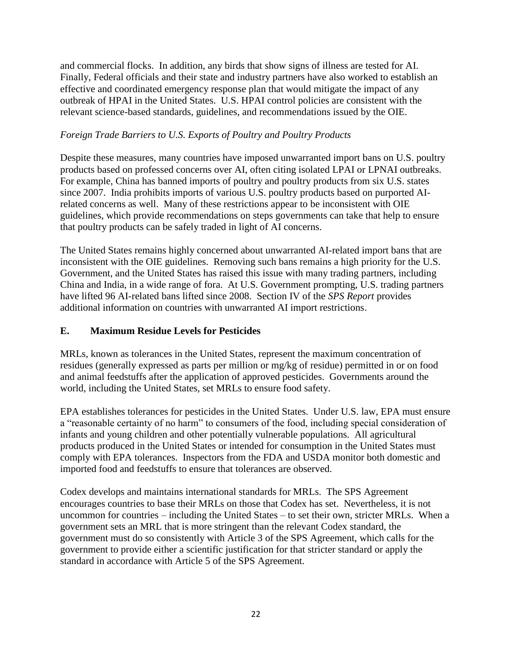and commercial flocks. In addition, any birds that show signs of illness are tested for AI. Finally, Federal officials and their state and industry partners have also worked to establish an effective and coordinated emergency response plan that would mitigate the impact of any outbreak of HPAI in the United States. U.S. HPAI control policies are consistent with the relevant science-based standards, guidelines, and recommendations issued by the OIE.

## *Foreign Trade Barriers to U.S. Exports of Poultry and Poultry Products*

Despite these measures, many countries have imposed unwarranted import bans on U.S. poultry products based on professed concerns over AI, often citing isolated LPAI or LPNAI outbreaks. For example, China has banned imports of poultry and poultry products from six U.S. states since 2007. India prohibits imports of various U.S. poultry products based on purported AIrelated concerns as well. Many of these restrictions appear to be inconsistent with OIE guidelines, which provide recommendations on steps governments can take that help to ensure that poultry products can be safely traded in light of AI concerns.

The United States remains highly concerned about unwarranted AI-related import bans that are inconsistent with the OIE guidelines. Removing such bans remains a high priority for the U.S. Government, and the United States has raised this issue with many trading partners, including China and India, in a wide range of fora. At U.S. Government prompting, U.S. trading partners have lifted 96 AI-related bans lifted since 2008. Section IV of the *SPS Report* provides additional information on countries with unwarranted AI import restrictions.

# **E. Maximum Residue Levels for Pesticides**

MRLs, known as tolerances in the United States, represent the maximum concentration of residues (generally expressed as parts per million or mg/kg of residue) permitted in or on food and animal feedstuffs after the application of approved pesticides. Governments around the world, including the United States, set MRLs to ensure food safety.

EPA establishes tolerances for pesticides in the United States. Under U.S. law, EPA must ensure a "reasonable certainty of no harm" to consumers of the food, including special consideration of infants and young children and other potentially vulnerable populations. All agricultural products produced in the United States or intended for consumption in the United States must comply with EPA tolerances. Inspectors from the FDA and USDA monitor both domestic and imported food and feedstuffs to ensure that tolerances are observed.

Codex develops and maintains international standards for MRLs. The SPS Agreement encourages countries to base their MRLs on those that Codex has set. Nevertheless, it is not uncommon for countries – including the United States – to set their own, stricter MRLs. When a government sets an MRL that is more stringent than the relevant Codex standard, the government must do so consistently with Article 3 of the SPS Agreement, which calls for the government to provide either a scientific justification for that stricter standard or apply the standard in accordance with Article 5 of the SPS Agreement.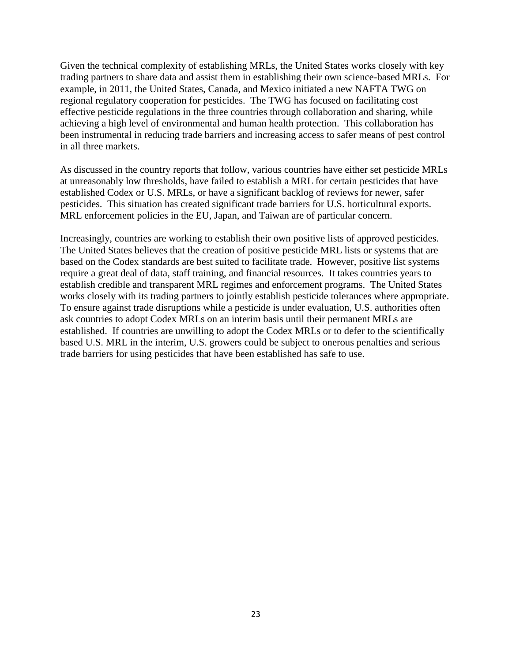Given the technical complexity of establishing MRLs, the United States works closely with key trading partners to share data and assist them in establishing their own science-based MRLs. For example, in 2011, the United States, Canada, and Mexico initiated a new NAFTA TWG on regional regulatory cooperation for pesticides. The TWG has focused on facilitating cost effective pesticide regulations in the three countries through collaboration and sharing, while achieving a high level of environmental and human health protection. This collaboration has been instrumental in reducing trade barriers and increasing access to safer means of pest control in all three markets.

As discussed in the country reports that follow, various countries have either set pesticide MRLs at unreasonably low thresholds, have failed to establish a MRL for certain pesticides that have established Codex or U.S. MRLs, or have a significant backlog of reviews for newer, safer pesticides. This situation has created significant trade barriers for U.S. horticultural exports. MRL enforcement policies in the EU, Japan, and Taiwan are of particular concern.

Increasingly, countries are working to establish their own positive lists of approved pesticides. The United States believes that the creation of positive pesticide MRL lists or systems that are based on the Codex standards are best suited to facilitate trade. However, positive list systems require a great deal of data, staff training, and financial resources. It takes countries years to establish credible and transparent MRL regimes and enforcement programs. The United States works closely with its trading partners to jointly establish pesticide tolerances where appropriate. To ensure against trade disruptions while a pesticide is under evaluation, U.S. authorities often ask countries to adopt Codex MRLs on an interim basis until their permanent MRLs are established. If countries are unwilling to adopt the Codex MRLs or to defer to the scientifically based U.S. MRL in the interim, U.S. growers could be subject to onerous penalties and serious trade barriers for using pesticides that have been established has safe to use.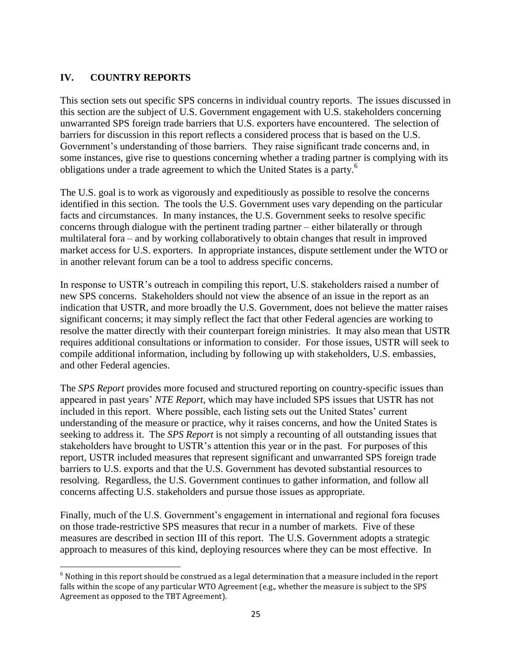# **IV. COUNTRY REPORTS**

 $\overline{\phantom{a}}$ 

This section sets out specific SPS concerns in individual country reports. The issues discussed in this section are the subject of U.S. Government engagement with U.S. stakeholders concerning unwarranted SPS foreign trade barriers that U.S. exporters have encountered. The selection of barriers for discussion in this report reflects a considered process that is based on the U.S. Government's understanding of those barriers. They raise significant trade concerns and, in some instances, give rise to questions concerning whether a trading partner is complying with its obligations under a trade agreement to which the United States is a party.<sup>6</sup>

The U.S. goal is to work as vigorously and expeditiously as possible to resolve the concerns identified in this section. The tools the U.S. Government uses vary depending on the particular facts and circumstances. In many instances, the U.S. Government seeks to resolve specific concerns through dialogue with the pertinent trading partner – either bilaterally or through multilateral fora – and by working collaboratively to obtain changes that result in improved market access for U.S. exporters. In appropriate instances, dispute settlement under the WTO or in another relevant forum can be a tool to address specific concerns.

In response to USTR's outreach in compiling this report, U.S. stakeholders raised a number of new SPS concerns. Stakeholders should not view the absence of an issue in the report as an indication that USTR, and more broadly the U.S. Government, does not believe the matter raises significant concerns; it may simply reflect the fact that other Federal agencies are working to resolve the matter directly with their counterpart foreign ministries. It may also mean that USTR requires additional consultations or information to consider. For those issues, USTR will seek to compile additional information, including by following up with stakeholders, U.S. embassies, and other Federal agencies.

The *SPS Report* provides more focused and structured reporting on country-specific issues than appeared in past years' *NTE Report*, which may have included SPS issues that USTR has not included in this report. Where possible, each listing sets out the United States' current understanding of the measure or practice, why it raises concerns, and how the United States is seeking to address it. The *SPS Report* is not simply a recounting of all outstanding issues that stakeholders have brought to USTR's attention this year or in the past. For purposes of this report, USTR included measures that represent significant and unwarranted SPS foreign trade barriers to U.S. exports and that the U.S. Government has devoted substantial resources to resolving. Regardless, the U.S. Government continues to gather information, and follow all concerns affecting U.S. stakeholders and pursue those issues as appropriate.

Finally, much of the U.S. Government's engagement in international and regional fora focuses on those trade-restrictive SPS measures that recur in a number of markets. Five of these measures are described in section III of this report. The U.S. Government adopts a strategic approach to measures of this kind, deploying resources where they can be most effective. In

 $6$  Nothing in this report should be construed as a legal determination that a measure included in the report falls within the scope of any particular WTO Agreement (e.g., whether the measure is subject to the SPS Agreement as opposed to the TBT Agreement).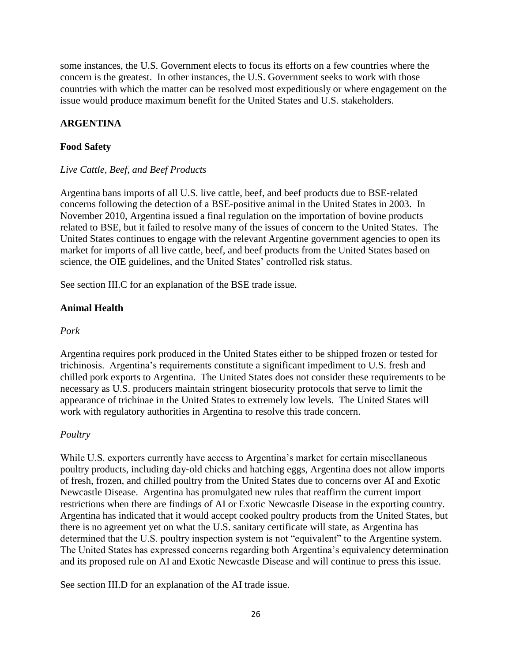some instances, the U.S. Government elects to focus its efforts on a few countries where the concern is the greatest. In other instances, the U.S. Government seeks to work with those countries with which the matter can be resolved most expeditiously or where engagement on the issue would produce maximum benefit for the United States and U.S. stakeholders.

# **ARGENTINA**

# **Food Safety**

## *Live Cattle, Beef, and Beef Products*

Argentina bans imports of all U.S. live cattle, beef, and beef products due to BSE‐related concerns following the detection of a BSE-positive animal in the United States in 2003. In November 2010, Argentina issued a final regulation on the importation of bovine products related to BSE, but it failed to resolve many of the issues of concern to the United States. The United States continues to engage with the relevant Argentine government agencies to open its market for imports of all live cattle, beef, and beef products from the United States based on science, the OIE guidelines, and the United States' controlled risk status.

See section III.C for an explanation of the BSE trade issue.

## **Animal Health**

## *Pork*

Argentina requires pork produced in the United States either to be shipped frozen or tested for trichinosis. Argentina's requirements constitute a significant impediment to U.S. fresh and chilled pork exports to Argentina. The United States does not consider these requirements to be necessary as U.S. producers maintain stringent biosecurity protocols that serve to limit the appearance of trichinae in the United States to extremely low levels. The United States will work with regulatory authorities in Argentina to resolve this trade concern.

## *Poultry*

While U.S. exporters currently have access to Argentina's market for certain miscellaneous poultry products, including day‐old chicks and hatching eggs, Argentina does not allow imports of fresh, frozen, and chilled poultry from the United States due to concerns over AI and Exotic Newcastle Disease. Argentina has promulgated new rules that reaffirm the current import restrictions when there are findings of AI or Exotic Newcastle Disease in the exporting country. Argentina has indicated that it would accept cooked poultry products from the United States, but there is no agreement yet on what the U.S. sanitary certificate will state, as Argentina has determined that the U.S. poultry inspection system is not "equivalent" to the Argentine system. The United States has expressed concerns regarding both Argentina's equivalency determination and its proposed rule on AI and Exotic Newcastle Disease and will continue to press this issue.

See section III.D for an explanation of the AI trade issue.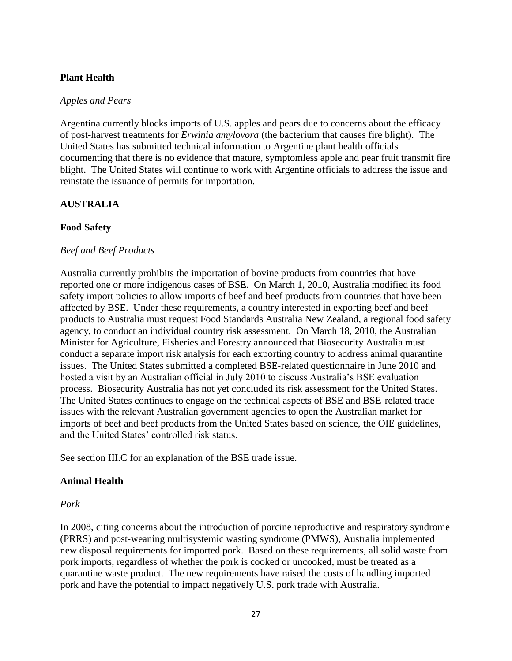## **Plant Health**

#### *Apples and Pears*

Argentina currently blocks imports of U.S. apples and pears due to concerns about the efficacy of post-harvest treatments for *Erwinia amylovora* (the bacterium that causes fire blight). The United States has submitted technical information to Argentine plant health officials documenting that there is no evidence that mature, symptomless apple and pear fruit transmit fire blight. The United States will continue to work with Argentine officials to address the issue and reinstate the issuance of permits for importation.

### **AUSTRALIA**

### **Food Safety**

### *Beef and Beef Products*

Australia currently prohibits the importation of bovine products from countries that have reported one or more indigenous cases of BSE. On March 1, 2010, Australia modified its food safety import policies to allow imports of beef and beef products from countries that have been affected by BSE. Under these requirements, a country interested in exporting beef and beef products to Australia must request Food Standards Australia New Zealand, a regional food safety agency, to conduct an individual country risk assessment. On March 18, 2010, the Australian Minister for Agriculture, Fisheries and Forestry announced that Biosecurity Australia must conduct a separate import risk analysis for each exporting country to address animal quarantine issues. The United States submitted a completed BSE‐related questionnaire in June 2010 and hosted a visit by an Australian official in July 2010 to discuss Australia's BSE evaluation process. Biosecurity Australia has not yet concluded its risk assessment for the United States. The United States continues to engage on the technical aspects of BSE and BSE‐related trade issues with the relevant Australian government agencies to open the Australian market for imports of beef and beef products from the United States based on science, the OIE guidelines, and the United States' controlled risk status.

See section III.C for an explanation of the BSE trade issue.

### **Animal Health**

#### *Pork*

In 2008, citing concerns about the introduction of porcine reproductive and respiratory syndrome (PRRS) and post‐weaning multisystemic wasting syndrome (PMWS), Australia implemented new disposal requirements for imported pork. Based on these requirements, all solid waste from pork imports, regardless of whether the pork is cooked or uncooked, must be treated as a quarantine waste product. The new requirements have raised the costs of handling imported pork and have the potential to impact negatively U.S. pork trade with Australia.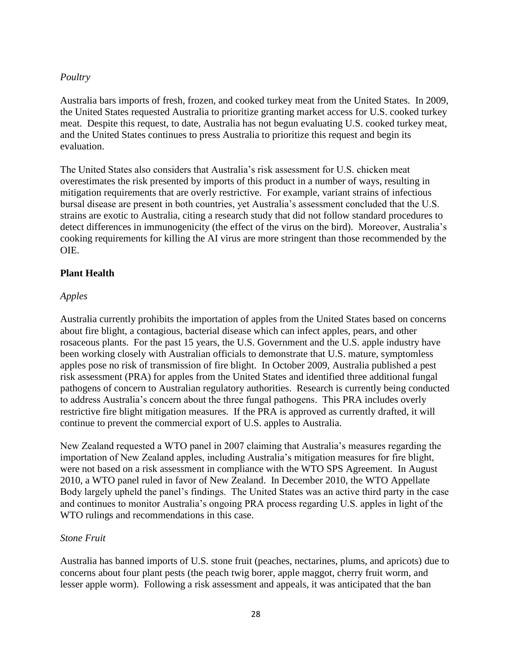### *Poultry*

Australia bars imports of fresh, frozen, and cooked turkey meat from the United States. In 2009, the United States requested Australia to prioritize granting market access for U.S. cooked turkey meat. Despite this request, to date, Australia has not begun evaluating U.S. cooked turkey meat, and the United States continues to press Australia to prioritize this request and begin its evaluation.

The United States also considers that Australia's risk assessment for U.S. chicken meat overestimates the risk presented by imports of this product in a number of ways, resulting in mitigation requirements that are overly restrictive. For example, variant strains of infectious bursal disease are present in both countries, yet Australia's assessment concluded that the U.S. strains are exotic to Australia, citing a research study that did not follow standard procedures to detect differences in immunogenicity (the effect of the virus on the bird). Moreover, Australia's cooking requirements for killing the AI virus are more stringent than those recommended by the OIE.

### **Plant Health**

### *Apples*

Australia currently prohibits the importation of apples from the United States based on concerns about fire blight, a contagious, bacterial disease which can infect apples, pears, and other rosaceous plants. For the past 15 years, the U.S. Government and the U.S. apple industry have been working closely with Australian officials to demonstrate that U.S. mature, symptomless apples pose no risk of transmission of fire blight. In October 2009, Australia published a pest risk assessment (PRA) for apples from the United States and identified three additional fungal pathogens of concern to Australian regulatory authorities. Research is currently being conducted to address Australia's concern about the three fungal pathogens. This PRA includes overly restrictive fire blight mitigation measures. If the PRA is approved as currently drafted, it will continue to prevent the commercial export of U.S. apples to Australia.

New Zealand requested a WTO panel in 2007 claiming that Australia's measures regarding the importation of New Zealand apples, including Australia's mitigation measures for fire blight, were not based on a risk assessment in compliance with the WTO SPS Agreement. In August 2010, a WTO panel ruled in favor of New Zealand. In December 2010, the WTO Appellate Body largely upheld the panel's findings. The United States was an active third party in the case and continues to monitor Australia's ongoing PRA process regarding U.S. apples in light of the WTO rulings and recommendations in this case.

### *Stone Fruit*

Australia has banned imports of U.S. stone fruit (peaches, nectarines, plums, and apricots) due to concerns about four plant pests (the peach twig borer, apple maggot, cherry fruit worm, and lesser apple worm). Following a risk assessment and appeals, it was anticipated that the ban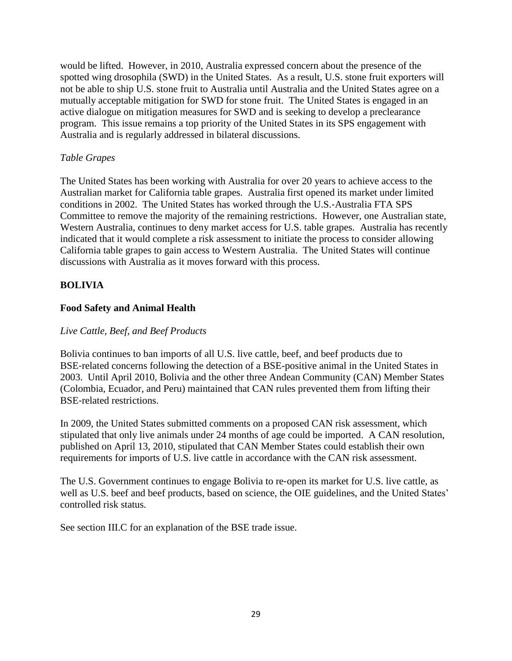would be lifted. However, in 2010, Australia expressed concern about the presence of the spotted wing drosophila (SWD) in the United States. As a result, U.S. stone fruit exporters will not be able to ship U.S. stone fruit to Australia until Australia and the United States agree on a mutually acceptable mitigation for SWD for stone fruit. The United States is engaged in an active dialogue on mitigation measures for SWD and is seeking to develop a preclearance program. This issue remains a top priority of the United States in its SPS engagement with Australia and is regularly addressed in bilateral discussions.

### *Table Grapes*

The United States has been working with Australia for over 20 years to achieve access to the Australian market for California table grapes. Australia first opened its market under limited conditions in 2002. The United States has worked through the U.S.‐Australia FTA SPS Committee to remove the majority of the remaining restrictions. However, one Australian state, Western Australia, continues to deny market access for U.S. table grapes. Australia has recently indicated that it would complete a risk assessment to initiate the process to consider allowing California table grapes to gain access to Western Australia. The United States will continue discussions with Australia as it moves forward with this process.

## **BOLIVIA**

## **Food Safety and Animal Health**

## *Live Cattle, Beef, and Beef Products*

Bolivia continues to ban imports of all U.S. live cattle, beef, and beef products due to BSE‐related concerns following the detection of a BSE-positive animal in the United States in 2003. Until April 2010, Bolivia and the other three Andean Community (CAN) Member States (Colombia, Ecuador, and Peru) maintained that CAN rules prevented them from lifting their BSE‐related restrictions.

In 2009, the United States submitted comments on a proposed CAN risk assessment, which stipulated that only live animals under 24 months of age could be imported. A CAN resolution, published on April 13, 2010, stipulated that CAN Member States could establish their own requirements for imports of U.S. live cattle in accordance with the CAN risk assessment.

The U.S. Government continues to engage Bolivia to re-open its market for U.S. live cattle, as well as U.S. beef and beef products, based on science, the OIE guidelines, and the United States' controlled risk status.

See section III.C for an explanation of the BSE trade issue.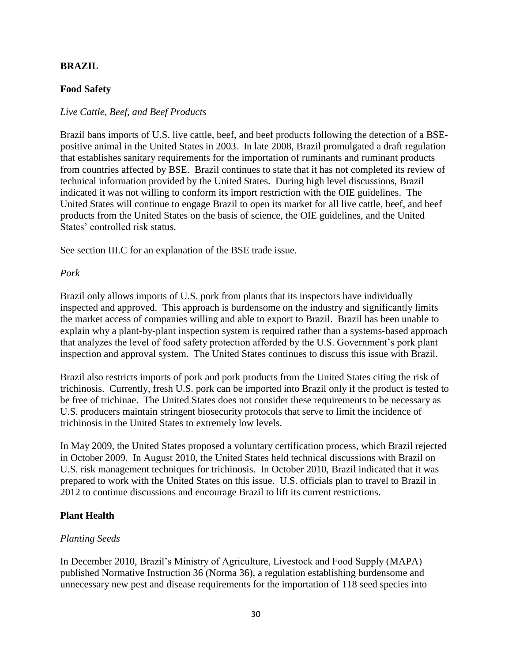### **BRAZIL**

### **Food Safety**

### *Live Cattle, Beef, and Beef Products*

Brazil bans imports of U.S. live cattle, beef, and beef products following the detection of a BSEpositive animal in the United States in 2003. In late 2008, Brazil promulgated a draft regulation that establishes sanitary requirements for the importation of ruminants and ruminant products from countries affected by BSE. Brazil continues to state that it has not completed its review of technical information provided by the United States. During high level discussions, Brazil indicated it was not willing to conform its import restriction with the OIE guidelines. The United States will continue to engage Brazil to open its market for all live cattle, beef, and beef products from the United States on the basis of science, the OIE guidelines, and the United States' controlled risk status.

See section III.C for an explanation of the BSE trade issue.

#### *Pork*

Brazil only allows imports of U.S. pork from plants that its inspectors have individually inspected and approved. This approach is burdensome on the industry and significantly limits the market access of companies willing and able to export to Brazil. Brazil has been unable to explain why a plant-by-plant inspection system is required rather than a systems‐based approach that analyzes the level of food safety protection afforded by the U.S. Government's pork plant inspection and approval system. The United States continues to discuss this issue with Brazil.

Brazil also restricts imports of pork and pork products from the United States citing the risk of trichinosis. Currently, fresh U.S. pork can be imported into Brazil only if the product is tested to be free of trichinae. The United States does not consider these requirements to be necessary as U.S. producers maintain stringent biosecurity protocols that serve to limit the incidence of trichinosis in the United States to extremely low levels.

In May 2009, the United States proposed a voluntary certification process, which Brazil rejected in October 2009. In August 2010, the United States held technical discussions with Brazil on U.S. risk management techniques for trichinosis. In October 2010, Brazil indicated that it was prepared to work with the United States on this issue. U.S. officials plan to travel to Brazil in 2012 to continue discussions and encourage Brazil to lift its current restrictions.

### **Plant Health**

### *Planting Seeds*

In December 2010, Brazil's Ministry of Agriculture, Livestock and Food Supply (MAPA) published Normative Instruction 36 (Norma 36), a regulation establishing burdensome and unnecessary new pest and disease requirements for the importation of 118 seed species into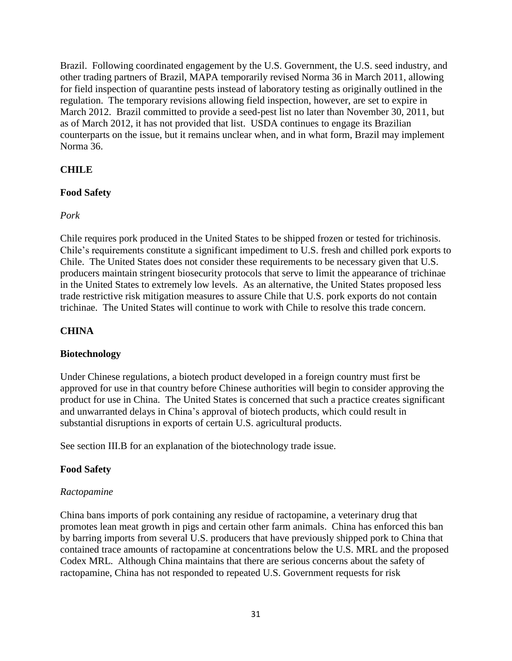Brazil. Following coordinated engagement by the U.S. Government, the U.S. seed industry, and other trading partners of Brazil, MAPA temporarily revised Norma 36 in March 2011, allowing for field inspection of quarantine pests instead of laboratory testing as originally outlined in the regulation. The temporary revisions allowing field inspection, however, are set to expire in March 2012. Brazil committed to provide a seed-pest list no later than November 30, 2011, but as of March 2012, it has not provided that list. USDA continues to engage its Brazilian counterparts on the issue, but it remains unclear when, and in what form, Brazil may implement Norma 36.

# **CHILE**

## **Food Safety**

## *Pork*

Chile requires pork produced in the United States to be shipped frozen or tested for trichinosis. Chile's requirements constitute a significant impediment to U.S. fresh and chilled pork exports to Chile. The United States does not consider these requirements to be necessary given that U.S. producers maintain stringent biosecurity protocols that serve to limit the appearance of trichinae in the United States to extremely low levels. As an alternative, the United States proposed less trade restrictive risk mitigation measures to assure Chile that U.S. pork exports do not contain trichinae. The United States will continue to work with Chile to resolve this trade concern.

## **CHINA**

## **Biotechnology**

Under Chinese regulations, a biotech product developed in a foreign country must first be approved for use in that country before Chinese authorities will begin to consider approving the product for use in China. The United States is concerned that such a practice creates significant and unwarranted delays in China's approval of biotech products, which could result in substantial disruptions in exports of certain U.S. agricultural products.

See section III.B for an explanation of the biotechnology trade issue.

## **Food Safety**

### *Ractopamine*

China bans imports of pork containing any residue of ractopamine, a veterinary drug that promotes lean meat growth in pigs and certain other farm animals. China has enforced this ban by barring imports from several U.S. producers that have previously shipped pork to China that contained trace amounts of ractopamine at concentrations below the U.S. MRL and the proposed Codex MRL. Although China maintains that there are serious concerns about the safety of ractopamine, China has not responded to repeated U.S. Government requests for risk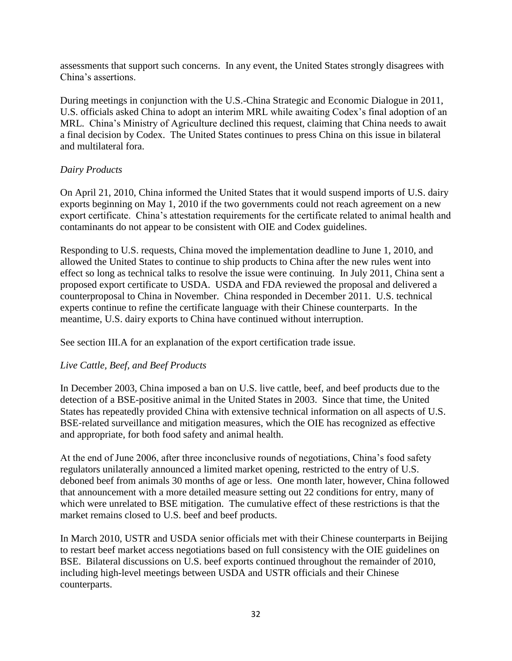assessments that support such concerns. In any event, the United States strongly disagrees with China's assertions.

During meetings in conjunction with the U.S.-China Strategic and Economic Dialogue in 2011, U.S. officials asked China to adopt an interim MRL while awaiting Codex's final adoption of an MRL. China's Ministry of Agriculture declined this request, claiming that China needs to await a final decision by Codex. The United States continues to press China on this issue in bilateral and multilateral fora.

## *Dairy Products*

On April 21, 2010, China informed the United States that it would suspend imports of U.S. dairy exports beginning on May 1, 2010 if the two governments could not reach agreement on a new export certificate. China's attestation requirements for the certificate related to animal health and contaminants do not appear to be consistent with OIE and Codex guidelines.

Responding to U.S. requests, China moved the implementation deadline to June 1, 2010, and allowed the United States to continue to ship products to China after the new rules went into effect so long as technical talks to resolve the issue were continuing. In July 2011, China sent a proposed export certificate to USDA. USDA and FDA reviewed the proposal and delivered a counterproposal to China in November. China responded in December 2011. U.S. technical experts continue to refine the certificate language with their Chinese counterparts. In the meantime, U.S. dairy exports to China have continued without interruption.

See section III.A for an explanation of the export certification trade issue.

# *Live Cattle, Beef, and Beef Products*

In December 2003, China imposed a ban on U.S. live cattle, beef, and beef products due to the detection of a BSE-positive animal in the United States in 2003. Since that time, the United States has repeatedly provided China with extensive technical information on all aspects of U.S. BSE-related surveillance and mitigation measures, which the OIE has recognized as effective and appropriate, for both food safety and animal health.

At the end of June 2006, after three inconclusive rounds of negotiations, China's food safety regulators unilaterally announced a limited market opening, restricted to the entry of U.S. deboned beef from animals 30 months of age or less. One month later, however, China followed that announcement with a more detailed measure setting out 22 conditions for entry, many of which were unrelated to BSE mitigation. The cumulative effect of these restrictions is that the market remains closed to U.S. beef and beef products.

In March 2010, USTR and USDA senior officials met with their Chinese counterparts in Beijing to restart beef market access negotiations based on full consistency with the OIE guidelines on BSE. Bilateral discussions on U.S. beef exports continued throughout the remainder of 2010, including high-level meetings between USDA and USTR officials and their Chinese counterparts.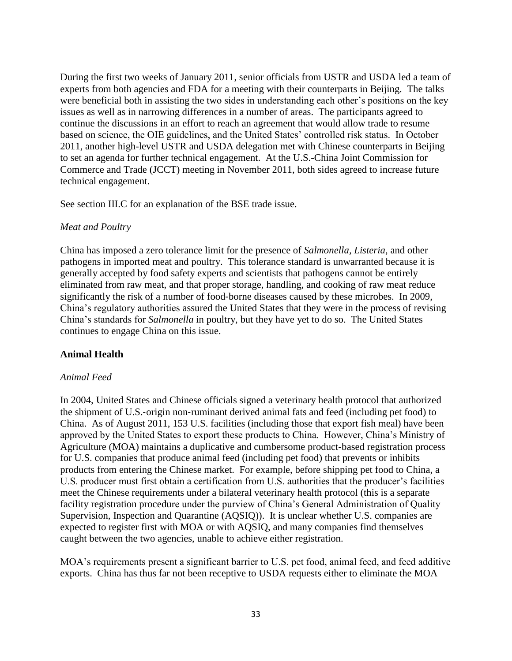During the first two weeks of January 2011, senior officials from USTR and USDA led a team of experts from both agencies and FDA for a meeting with their counterparts in Beijing. The talks were beneficial both in assisting the two sides in understanding each other's positions on the key issues as well as in narrowing differences in a number of areas. The participants agreed to continue the discussions in an effort to reach an agreement that would allow trade to resume based on science, the OIE guidelines, and the United States' controlled risk status. In October 2011, another high-level USTR and USDA delegation met with Chinese counterparts in Beijing to set an agenda for further technical engagement. At the U.S.-China Joint Commission for Commerce and Trade (JCCT) meeting in November 2011, both sides agreed to increase future technical engagement.

See section III.C for an explanation of the BSE trade issue.

## *Meat and Poultry*

China has imposed a zero tolerance limit for the presence of *Salmonella, Listeria*, and other pathogens in imported meat and poultry. This tolerance standard is unwarranted because it is generally accepted by food safety experts and scientists that pathogens cannot be entirely eliminated from raw meat, and that proper storage, handling, and cooking of raw meat reduce significantly the risk of a number of food-borne diseases caused by these microbes. In 2009, China's regulatory authorities assured the United States that they were in the process of revising China's standards for *Salmonella* in poultry, but they have yet to do so. The United States continues to engage China on this issue.

## **Animal Health**

## *Animal Feed*

In 2004, United States and Chinese officials signed a veterinary health protocol that authorized the shipment of U.S.‐origin non‐ruminant derived animal fats and feed (including pet food) to China. As of August 2011, 153 U.S. facilities (including those that export fish meal) have been approved by the United States to export these products to China. However, China's Ministry of Agriculture (MOA) maintains a duplicative and cumbersome product‐based registration process for U.S. companies that produce animal feed (including pet food) that prevents or inhibits products from entering the Chinese market. For example, before shipping pet food to China, a U.S. producer must first obtain a certification from U.S. authorities that the producer's facilities meet the Chinese requirements under a bilateral veterinary health protocol (this is a separate facility registration procedure under the purview of China's General Administration of Quality Supervision, Inspection and Quarantine (AQSIQ)). It is unclear whether U.S. companies are expected to register first with MOA or with AQSIQ, and many companies find themselves caught between the two agencies, unable to achieve either registration.

MOA's requirements present a significant barrier to U.S. pet food, animal feed, and feed additive exports. China has thus far not been receptive to USDA requests either to eliminate the MOA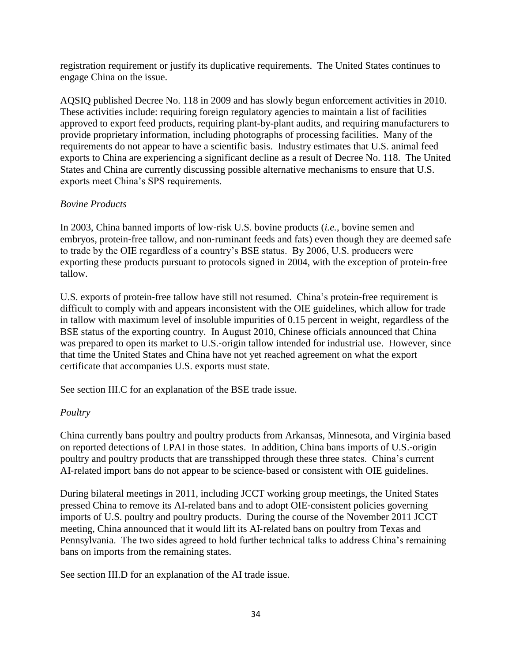registration requirement or justify its duplicative requirements. The United States continues to engage China on the issue.

AQSIQ published Decree No. 118 in 2009 and has slowly begun enforcement activities in 2010. These activities include: requiring foreign regulatory agencies to maintain a list of facilities approved to export feed products, requiring plant-by-plant audits, and requiring manufacturers to provide proprietary information, including photographs of processing facilities. Many of the requirements do not appear to have a scientific basis. Industry estimates that U.S. animal feed exports to China are experiencing a significant decline as a result of Decree No. 118. The United States and China are currently discussing possible alternative mechanisms to ensure that U.S. exports meet China's SPS requirements.

## *Bovine Products*

In 2003, China banned imports of low‐risk U.S. bovine products (*i.e.*, bovine semen and embryos, protein-free tallow, and non-ruminant feeds and fats) even though they are deemed safe to trade by the OIE regardless of a country's BSE status. By 2006, U.S. producers were exporting these products pursuant to protocols signed in 2004, with the exception of protein‐free tallow.

U.S. exports of protein‐free tallow have still not resumed. China's protein‐free requirement is difficult to comply with and appears inconsistent with the OIE guidelines, which allow for trade in tallow with maximum level of insoluble impurities of 0.15 percent in weight, regardless of the BSE status of the exporting country. In August 2010, Chinese officials announced that China was prepared to open its market to U.S.-origin tallow intended for industrial use. However, since that time the United States and China have not yet reached agreement on what the export certificate that accompanies U.S. exports must state.

See section III.C for an explanation of the BSE trade issue.

## *Poultry*

China currently bans poultry and poultry products from Arkansas, Minnesota, and Virginia based on reported detections of LPAI in those states. In addition, China bans imports of U.S.‐origin poultry and poultry products that are transshipped through these three states. China's current AI-related import bans do not appear to be science-based or consistent with OIE guidelines.

During bilateral meetings in 2011, including JCCT working group meetings, the United States pressed China to remove its AI-related bans and to adopt OIE‐consistent policies governing imports of U.S. poultry and poultry products. During the course of the November 2011 JCCT meeting, China announced that it would lift its AI‐related bans on poultry from Texas and Pennsylvania. The two sides agreed to hold further technical talks to address China's remaining bans on imports from the remaining states.

See section III.D for an explanation of the AI trade issue.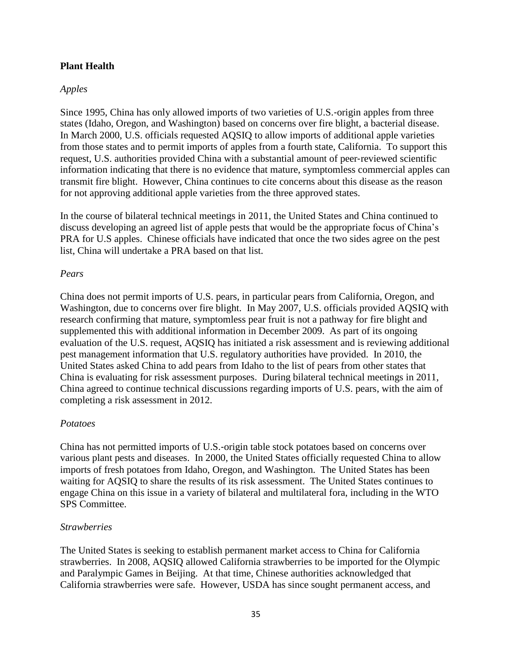### **Plant Health**

### *Apples*

Since 1995, China has only allowed imports of two varieties of U.S.‐origin apples from three states (Idaho, Oregon, and Washington) based on concerns over fire blight, a bacterial disease. In March 2000, U.S. officials requested AQSIQ to allow imports of additional apple varieties from those states and to permit imports of apples from a fourth state, California. To support this request, U.S. authorities provided China with a substantial amount of peer‐reviewed scientific information indicating that there is no evidence that mature, symptomless commercial apples can transmit fire blight. However, China continues to cite concerns about this disease as the reason for not approving additional apple varieties from the three approved states.

In the course of bilateral technical meetings in 2011, the United States and China continued to discuss developing an agreed list of apple pests that would be the appropriate focus of China's PRA for U.S apples. Chinese officials have indicated that once the two sides agree on the pest list, China will undertake a PRA based on that list.

### *Pears*

China does not permit imports of U.S. pears, in particular pears from California, Oregon, and Washington, due to concerns over fire blight. In May 2007, U.S. officials provided AQSIQ with research confirming that mature, symptomless pear fruit is not a pathway for fire blight and supplemented this with additional information in December 2009. As part of its ongoing evaluation of the U.S. request, AQSIQ has initiated a risk assessment and is reviewing additional pest management information that U.S. regulatory authorities have provided. In 2010, the United States asked China to add pears from Idaho to the list of pears from other states that China is evaluating for risk assessment purposes. During bilateral technical meetings in 2011, China agreed to continue technical discussions regarding imports of U.S. pears, with the aim of completing a risk assessment in 2012.

#### *Potatoes*

China has not permitted imports of U.S.‐origin table stock potatoes based on concerns over various plant pests and diseases. In 2000, the United States officially requested China to allow imports of fresh potatoes from Idaho, Oregon, and Washington. The United States has been waiting for AQSIQ to share the results of its risk assessment. The United States continues to engage China on this issue in a variety of bilateral and multilateral fora, including in the WTO SPS Committee.

#### *Strawberries*

The United States is seeking to establish permanent market access to China for California strawberries. In 2008, AQSIQ allowed California strawberries to be imported for the Olympic and Paralympic Games in Beijing. At that time, Chinese authorities acknowledged that California strawberries were safe. However, USDA has since sought permanent access, and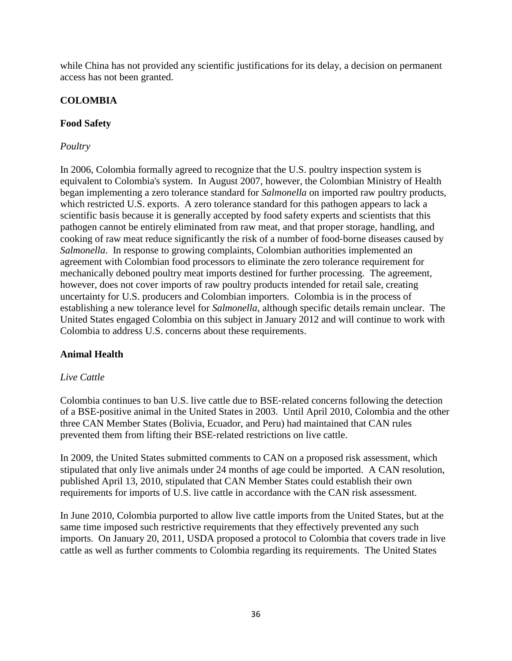while China has not provided any scientific justifications for its delay, a decision on permanent access has not been granted.

# **COLOMBIA**

## **Food Safety**

## *Poultry*

In 2006, Colombia formally agreed to recognize that the U.S. poultry inspection system is equivalent to Colombia's system. In August 2007, however, the Colombian Ministry of Health began implementing a zero tolerance standard for *Salmonella* on imported raw poultry products, which restricted U.S. exports. A zero tolerance standard for this pathogen appears to lack a scientific basis because it is generally accepted by food safety experts and scientists that this pathogen cannot be entirely eliminated from raw meat, and that proper storage, handling, and cooking of raw meat reduce significantly the risk of a number of food‐borne diseases caused by *Salmonella*. In response to growing complaints, Colombian authorities implemented an agreement with Colombian food processors to eliminate the zero tolerance requirement for mechanically deboned poultry meat imports destined for further processing. The agreement, however, does not cover imports of raw poultry products intended for retail sale, creating uncertainty for U.S. producers and Colombian importers. Colombia is in the process of establishing a new tolerance level for *Salmonella*, although specific details remain unclear. The United States engaged Colombia on this subject in January 2012 and will continue to work with Colombia to address U.S. concerns about these requirements.

## **Animal Health**

## *Live Cattle*

Colombia continues to ban U.S. live cattle due to BSE‐related concerns following the detection of a BSE-positive animal in the United States in 2003. Until April 2010, Colombia and the other three CAN Member States (Bolivia, Ecuador, and Peru) had maintained that CAN rules prevented them from lifting their BSE‐related restrictions on live cattle.

In 2009, the United States submitted comments to CAN on a proposed risk assessment, which stipulated that only live animals under 24 months of age could be imported. A CAN resolution, published April 13, 2010, stipulated that CAN Member States could establish their own requirements for imports of U.S. live cattle in accordance with the CAN risk assessment.

In June 2010, Colombia purported to allow live cattle imports from the United States, but at the same time imposed such restrictive requirements that they effectively prevented any such imports. On January 20, 2011, USDA proposed a protocol to Colombia that covers trade in live cattle as well as further comments to Colombia regarding its requirements. The United States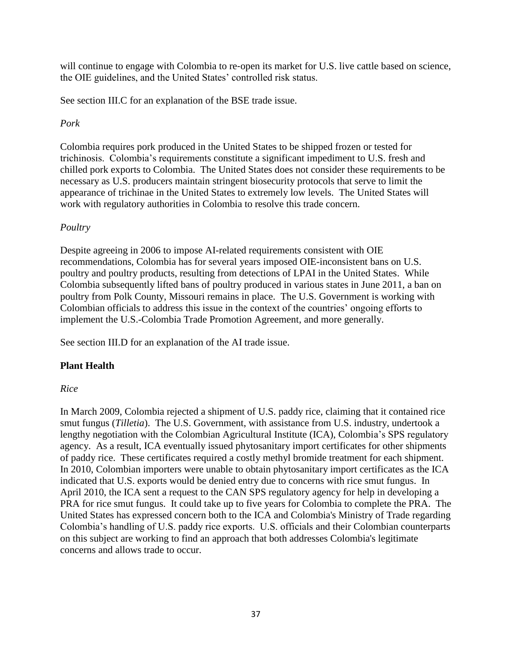will continue to engage with Colombia to re-open its market for U.S. live cattle based on science, the OIE guidelines, and the United States' controlled risk status.

See section III.C for an explanation of the BSE trade issue.

# *Pork*

Colombia requires pork produced in the United States to be shipped frozen or tested for trichinosis. Colombia's requirements constitute a significant impediment to U.S. fresh and chilled pork exports to Colombia. The United States does not consider these requirements to be necessary as U.S. producers maintain stringent biosecurity protocols that serve to limit the appearance of trichinae in the United States to extremely low levels. The United States will work with regulatory authorities in Colombia to resolve this trade concern.

# *Poultry*

Despite agreeing in 2006 to impose AI-related requirements consistent with OIE recommendations, Colombia has for several years imposed OIE-inconsistent bans on U.S. poultry and poultry products, resulting from detections of LPAI in the United States. While Colombia subsequently lifted bans of poultry produced in various states in June 2011, a ban on poultry from Polk County, Missouri remains in place. The U.S. Government is working with Colombian officials to address this issue in the context of the countries' ongoing efforts to implement the U.S.-Colombia Trade Promotion Agreement, and more generally.

See section III.D for an explanation of the AI trade issue.

# **Plant Health**

## *Rice*

In March 2009, Colombia rejected a shipment of U.S. paddy rice, claiming that it contained rice smut fungus (*Tilletia*). The U.S. Government, with assistance from U.S. industry, undertook a lengthy negotiation with the Colombian Agricultural Institute (ICA), Colombia's SPS regulatory agency. As a result, ICA eventually issued phytosanitary import certificates for other shipments of paddy rice. These certificates required a costly methyl bromide treatment for each shipment. In 2010, Colombian importers were unable to obtain phytosanitary import certificates as the ICA indicated that U.S. exports would be denied entry due to concerns with rice smut fungus. In April 2010, the ICA sent a request to the CAN SPS regulatory agency for help in developing a PRA for rice smut fungus. It could take up to five years for Colombia to complete the PRA. The United States has expressed concern both to the ICA and Colombia's Ministry of Trade regarding Colombia's handling of U.S. paddy rice exports. U.S. officials and their Colombian counterparts on this subject are working to find an approach that both addresses Colombia's legitimate concerns and allows trade to occur.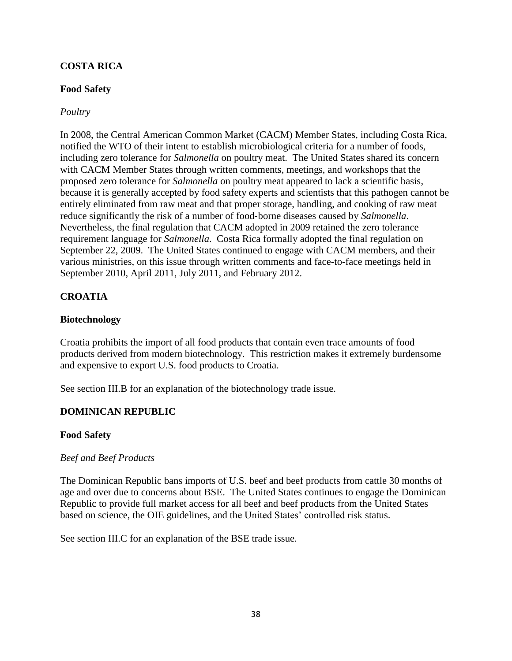## **COSTA RICA**

## **Food Safety**

### *Poultry*

In 2008, the Central American Common Market (CACM) Member States, including Costa Rica, notified the WTO of their intent to establish microbiological criteria for a number of foods, including zero tolerance for *Salmonella* on poultry meat. The United States shared its concern with CACM Member States through written comments, meetings, and workshops that the proposed zero tolerance for *Salmonella* on poultry meat appeared to lack a scientific basis, because it is generally accepted by food safety experts and scientists that this pathogen cannot be entirely eliminated from raw meat and that proper storage, handling, and cooking of raw meat reduce significantly the risk of a number of food‐borne diseases caused by *Salmonella*. Nevertheless, the final regulation that CACM adopted in 2009 retained the zero tolerance requirement language for *Salmonella*. Costa Rica formally adopted the final regulation on September 22, 2009. The United States continued to engage with CACM members, and their various ministries, on this issue through written comments and face-to-face meetings held in September 2010, April 2011, July 2011, and February 2012.

# **CROATIA**

### **Biotechnology**

Croatia prohibits the import of all food products that contain even trace amounts of food products derived from modern biotechnology. This restriction makes it extremely burdensome and expensive to export U.S. food products to Croatia.

See section III.B for an explanation of the biotechnology trade issue.

## **DOMINICAN REPUBLIC**

### **Food Safety**

### *Beef and Beef Products*

The Dominican Republic bans imports of U.S. beef and beef products from cattle 30 months of age and over due to concerns about BSE. The United States continues to engage the Dominican Republic to provide full market access for all beef and beef products from the United States based on science, the OIE guidelines, and the United States' controlled risk status.

See section III.C for an explanation of the BSE trade issue.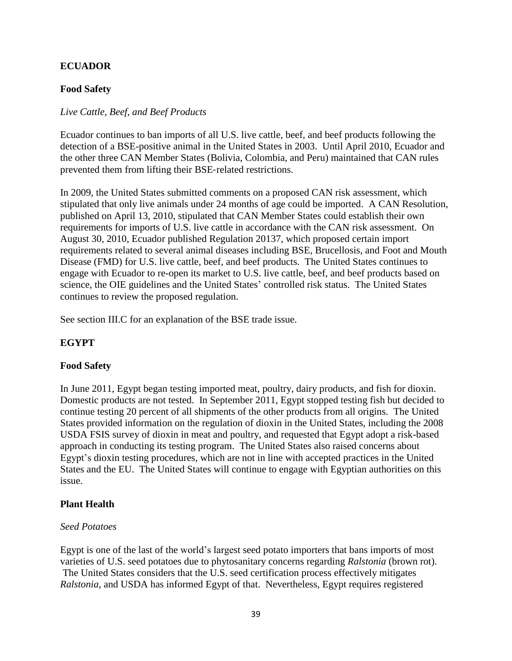## **ECUADOR**

## **Food Safety**

### *Live Cattle, Beef, and Beef Products*

Ecuador continues to ban imports of all U.S. live cattle, beef, and beef products following the detection of a BSE-positive animal in the United States in 2003. Until April 2010, Ecuador and the other three CAN Member States (Bolivia, Colombia, and Peru) maintained that CAN rules prevented them from lifting their BSE‐related restrictions.

In 2009, the United States submitted comments on a proposed CAN risk assessment, which stipulated that only live animals under 24 months of age could be imported. A CAN Resolution, published on April 13, 2010, stipulated that CAN Member States could establish their own requirements for imports of U.S. live cattle in accordance with the CAN risk assessment. On August 30, 2010, Ecuador published Regulation 20137, which proposed certain import requirements related to several animal diseases including BSE, Brucellosis, and Foot and Mouth Disease (FMD) for U.S. live cattle, beef, and beef products. The United States continues to engage with Ecuador to re-open its market to U.S. live cattle, beef, and beef products based on science, the OIE guidelines and the United States' controlled risk status. The United States continues to review the proposed regulation.

See section III.C for an explanation of the BSE trade issue.

## **EGYPT**

### **Food Safety**

In June 2011, Egypt began testing imported meat, poultry, dairy products, and fish for dioxin. Domestic products are not tested. In September 2011, Egypt stopped testing fish but decided to continue testing 20 percent of all shipments of the other products from all origins. The United States provided information on the regulation of dioxin in the United States, including the 2008 USDA FSIS survey of dioxin in meat and poultry, and requested that Egypt adopt a risk-based approach in conducting its testing program. The United States also raised concerns about Egypt's dioxin testing procedures, which are not in line with accepted practices in the United States and the EU. The United States will continue to engage with Egyptian authorities on this issue.

### **Plant Health**

#### *Seed Potatoes*

Egypt is one of the last of the world's largest seed potato importers that bans imports of most varieties of U.S. seed potatoes due to phytosanitary concerns regarding *Ralstonia* (brown rot). The United States considers that the U.S. seed certification process effectively mitigates *Ralstonia*, and USDA has informed Egypt of that. Nevertheless, Egypt requires registered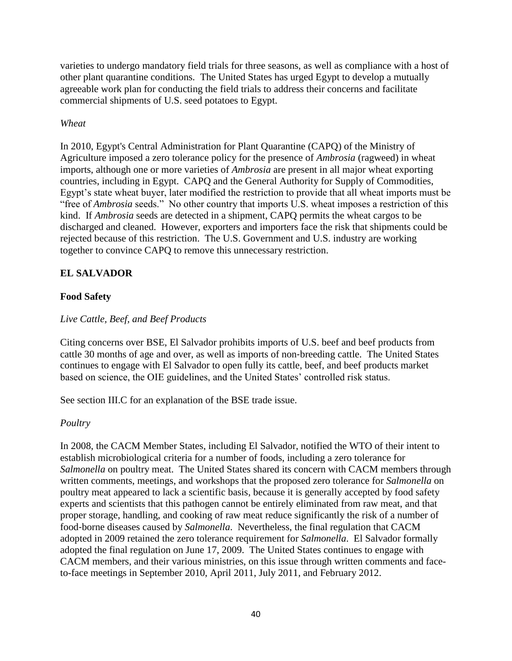varieties to undergo mandatory field trials for three seasons, as well as compliance with a host of other plant quarantine conditions. The United States has urged Egypt to develop a mutually agreeable work plan for conducting the field trials to address their concerns and facilitate commercial shipments of U.S. seed potatoes to Egypt.

## *Wheat*

In 2010, Egypt's Central Administration for Plant Quarantine (CAPQ) of the Ministry of Agriculture imposed a zero tolerance policy for the presence of *Ambrosia* (ragweed) in wheat imports, although one or more varieties of *Ambrosia* are present in all major wheat exporting countries, including in Egypt. CAPQ and the General Authority for Supply of Commodities, Egypt's state wheat buyer, later modified the restriction to provide that all wheat imports must be "free of *Ambrosia* seeds." No other country that imports U.S. wheat imposes a restriction of this kind. If *Ambrosia* seeds are detected in a shipment, CAPQ permits the wheat cargos to be discharged and cleaned. However, exporters and importers face the risk that shipments could be rejected because of this restriction. The U.S. Government and U.S. industry are working together to convince CAPQ to remove this unnecessary restriction.

# **EL SALVADOR**

# **Food Safety**

## *Live Cattle, Beef, and Beef Products*

Citing concerns over BSE, El Salvador prohibits imports of U.S. beef and beef products from cattle 30 months of age and over, as well as imports of non‐breeding cattle. The United States continues to engage with El Salvador to open fully its cattle, beef, and beef products market based on science, the OIE guidelines, and the United States' controlled risk status.

See section III.C for an explanation of the BSE trade issue.

### *Poultry*

In 2008, the CACM Member States, including El Salvador, notified the WTO of their intent to establish microbiological criteria for a number of foods, including a zero tolerance for *Salmonella* on poultry meat. The United States shared its concern with CACM members through written comments, meetings, and workshops that the proposed zero tolerance for *Salmonella* on poultry meat appeared to lack a scientific basis, because it is generally accepted by food safety experts and scientists that this pathogen cannot be entirely eliminated from raw meat, and that proper storage, handling, and cooking of raw meat reduce significantly the risk of a number of food‐borne diseases caused by *Salmonella*. Nevertheless, the final regulation that CACM adopted in 2009 retained the zero tolerance requirement for *Salmonella*. El Salvador formally adopted the final regulation on June 17, 2009. The United States continues to engage with CACM members, and their various ministries, on this issue through written comments and faceto-face meetings in September 2010, April 2011, July 2011, and February 2012.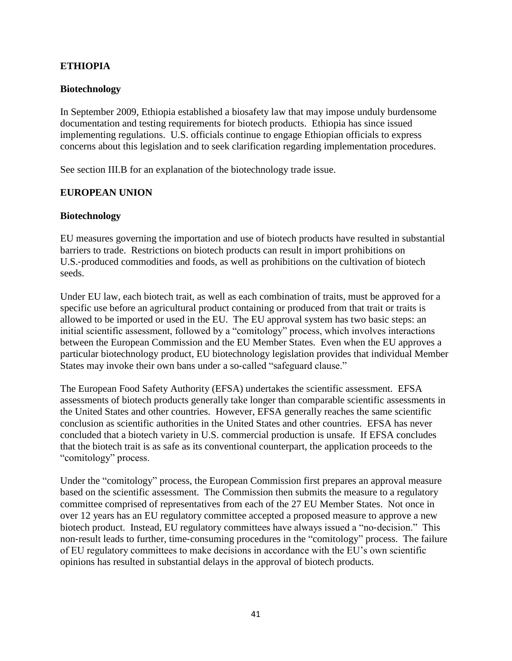## **ETHIOPIA**

### **Biotechnology**

In September 2009, Ethiopia established a biosafety law that may impose unduly burdensome documentation and testing requirements for biotech products. Ethiopia has since issued implementing regulations. U.S. officials continue to engage Ethiopian officials to express concerns about this legislation and to seek clarification regarding implementation procedures.

See section III.B for an explanation of the biotechnology trade issue.

## **EUROPEAN UNION**

### **Biotechnology**

EU measures governing the importation and use of biotech products have resulted in substantial barriers to trade. Restrictions on biotech products can result in import prohibitions on U.S.‐produced commodities and foods, as well as prohibitions on the cultivation of biotech seeds.

Under EU law, each biotech trait, as well as each combination of traits, must be approved for a specific use before an agricultural product containing or produced from that trait or traits is allowed to be imported or used in the EU. The EU approval system has two basic steps: an initial scientific assessment, followed by a "comitology" process, which involves interactions between the European Commission and the EU Member States. Even when the EU approves a particular biotechnology product, EU biotechnology legislation provides that individual Member States may invoke their own bans under a so-called "safeguard clause."

The European Food Safety Authority (EFSA) undertakes the scientific assessment. EFSA assessments of biotech products generally take longer than comparable scientific assessments in the United States and other countries. However, EFSA generally reaches the same scientific conclusion as scientific authorities in the United States and other countries. EFSA has never concluded that a biotech variety in U.S. commercial production is unsafe. If EFSA concludes that the biotech trait is as safe as its conventional counterpart, the application proceeds to the "comitology" process.

Under the "comitology" process, the European Commission first prepares an approval measure based on the scientific assessment. The Commission then submits the measure to a regulatory committee comprised of representatives from each of the 27 EU Member States. Not once in over 12 years has an EU regulatory committee accepted a proposed measure to approve a new biotech product. Instead, EU regulatory committees have always issued a "no‐decision." This non-result leads to further, time-consuming procedures in the "comitology" process. The failure of EU regulatory committees to make decisions in accordance with the EU's own scientific opinions has resulted in substantial delays in the approval of biotech products.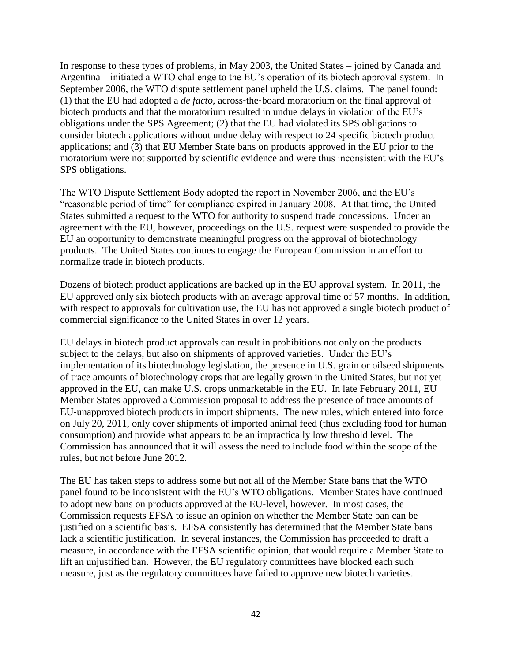In response to these types of problems, in May 2003, the United States – joined by Canada and Argentina – initiated a WTO challenge to the EU's operation of its biotech approval system. In September 2006, the WTO dispute settlement panel upheld the U.S. claims. The panel found: (1) that the EU had adopted a *de facto*, across‐the‐board moratorium on the final approval of biotech products and that the moratorium resulted in undue delays in violation of the EU's obligations under the SPS Agreement; (2) that the EU had violated its SPS obligations to consider biotech applications without undue delay with respect to 24 specific biotech product applications; and (3) that EU Member State bans on products approved in the EU prior to the moratorium were not supported by scientific evidence and were thus inconsistent with the EU's SPS obligations.

The WTO Dispute Settlement Body adopted the report in November 2006, and the EU's "reasonable period of time" for compliance expired in January 2008. At that time, the United States submitted a request to the WTO for authority to suspend trade concessions. Under an agreement with the EU, however, proceedings on the U.S. request were suspended to provide the EU an opportunity to demonstrate meaningful progress on the approval of biotechnology products. The United States continues to engage the European Commission in an effort to normalize trade in biotech products.

Dozens of biotech product applications are backed up in the EU approval system. In 2011, the EU approved only six biotech products with an average approval time of 57 months. In addition, with respect to approvals for cultivation use, the EU has not approved a single biotech product of commercial significance to the United States in over 12 years.

EU delays in biotech product approvals can result in prohibitions not only on the products subject to the delays, but also on shipments of approved varieties. Under the EU's implementation of its biotechnology legislation, the presence in U.S. grain or oilseed shipments of trace amounts of biotechnology crops that are legally grown in the United States, but not yet approved in the EU, can make U.S. crops unmarketable in the EU. In late February 2011, EU Member States approved a Commission proposal to address the presence of trace amounts of EU‐unapproved biotech products in import shipments. The new rules, which entered into force on July 20, 2011, only cover shipments of imported animal feed (thus excluding food for human consumption) and provide what appears to be an impractically low threshold level. The Commission has announced that it will assess the need to include food within the scope of the rules, but not before June 2012.

The EU has taken steps to address some but not all of the Member State bans that the WTO panel found to be inconsistent with the EU's WTO obligations. Member States have continued to adopt new bans on products approved at the EU‐level, however. In most cases, the Commission requests EFSA to issue an opinion on whether the Member State ban can be justified on a scientific basis. EFSA consistently has determined that the Member State bans lack a scientific justification. In several instances, the Commission has proceeded to draft a measure, in accordance with the EFSA scientific opinion, that would require a Member State to lift an unjustified ban. However, the EU regulatory committees have blocked each such measure, just as the regulatory committees have failed to approve new biotech varieties.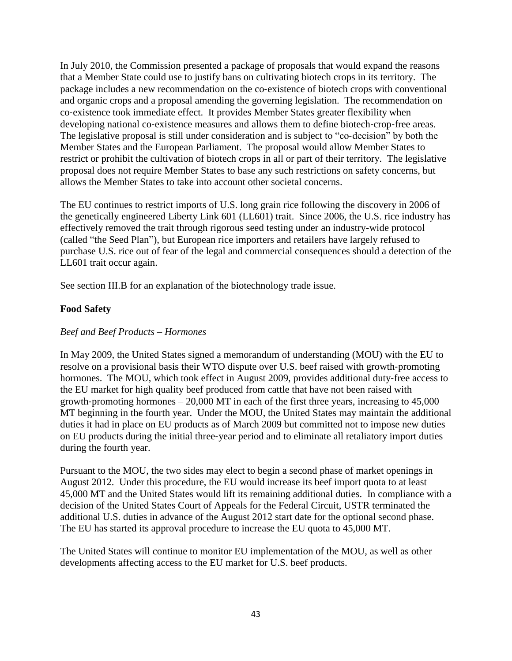In July 2010, the Commission presented a package of proposals that would expand the reasons that a Member State could use to justify bans on cultivating biotech crops in its territory. The package includes a new recommendation on the co‐existence of biotech crops with conventional and organic crops and a proposal amending the governing legislation. The recommendation on co‐existence took immediate effect. It provides Member States greater flexibility when developing national co-existence measures and allows them to define biotech-crop-free areas. The legislative proposal is still under consideration and is subject to "co-decision" by both the Member States and the European Parliament. The proposal would allow Member States to restrict or prohibit the cultivation of biotech crops in all or part of their territory. The legislative proposal does not require Member States to base any such restrictions on safety concerns, but allows the Member States to take into account other societal concerns.

The EU continues to restrict imports of U.S. long grain rice following the discovery in 2006 of the genetically engineered Liberty Link 601 (LL601) trait. Since 2006, the U.S. rice industry has effectively removed the trait through rigorous seed testing under an industry-wide protocol (called "the Seed Plan"), but European rice importers and retailers have largely refused to purchase U.S. rice out of fear of the legal and commercial consequences should a detection of the LL601 trait occur again.

See section III.B for an explanation of the biotechnology trade issue.

# **Food Safety**

### *Beef and Beef Products – Hormones*

In May 2009, the United States signed a memorandum of understanding (MOU) with the EU to resolve on a provisional basis their WTO dispute over U.S. beef raised with growth‐promoting hormones. The MOU, which took effect in August 2009, provides additional duty-free access to the EU market for high quality beef produced from cattle that have not been raised with growth-promoting hormones  $-20,000$  MT in each of the first three years, increasing to  $45,000$ MT beginning in the fourth year. Under the MOU, the United States may maintain the additional duties it had in place on EU products as of March 2009 but committed not to impose new duties on EU products during the initial three‐year period and to eliminate all retaliatory import duties during the fourth year.

Pursuant to the MOU, the two sides may elect to begin a second phase of market openings in August 2012. Under this procedure, the EU would increase its beef import quota to at least 45,000 MT and the United States would lift its remaining additional duties. In compliance with a decision of the United States Court of Appeals for the Federal Circuit, USTR terminated the additional U.S. duties in advance of the August 2012 start date for the optional second phase. The EU has started its approval procedure to increase the EU quota to 45,000 MT.

The United States will continue to monitor EU implementation of the MOU, as well as other developments affecting access to the EU market for U.S. beef products.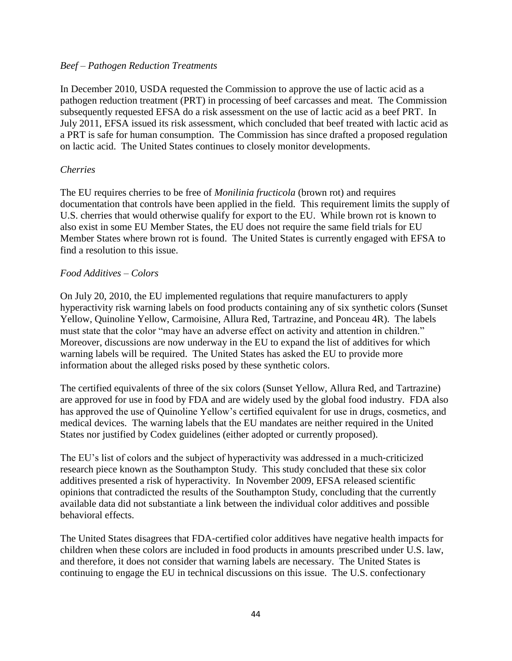### *Beef – Pathogen Reduction Treatments*

In December 2010, USDA requested the Commission to approve the use of lactic acid as a pathogen reduction treatment (PRT) in processing of beef carcasses and meat. The Commission subsequently requested EFSA do a risk assessment on the use of lactic acid as a beef PRT. In July 2011, EFSA issued its risk assessment, which concluded that beef treated with lactic acid as a PRT is safe for human consumption. The Commission has since drafted a proposed regulation on lactic acid. The United States continues to closely monitor developments.

### *Cherries*

The EU requires cherries to be free of *Monilinia fructicola* (brown rot) and requires documentation that controls have been applied in the field. This requirement limits the supply of U.S. cherries that would otherwise qualify for export to the EU. While brown rot is known to also exist in some EU Member States, the EU does not require the same field trials for EU Member States where brown rot is found. The United States is currently engaged with EFSA to find a resolution to this issue.

### *Food Additives – Colors*

On July 20, 2010, the EU implemented regulations that require manufacturers to apply hyperactivity risk warning labels on food products containing any of six synthetic colors (Sunset Yellow, Quinoline Yellow, Carmoisine, Allura Red, Tartrazine, and Ponceau 4R). The labels must state that the color "may have an adverse effect on activity and attention in children." Moreover, discussions are now underway in the EU to expand the list of additives for which warning labels will be required. The United States has asked the EU to provide more information about the alleged risks posed by these synthetic colors.

The certified equivalents of three of the six colors (Sunset Yellow, Allura Red, and Tartrazine) are approved for use in food by FDA and are widely used by the global food industry. FDA also has approved the use of Quinoline Yellow's certified equivalent for use in drugs, cosmetics, and medical devices. The warning labels that the EU mandates are neither required in the United States nor justified by Codex guidelines (either adopted or currently proposed).

The EU's list of colors and the subject of hyperactivity was addressed in a much-criticized research piece known as the Southampton Study. This study concluded that these six color additives presented a risk of hyperactivity. In November 2009, EFSA released scientific opinions that contradicted the results of the Southampton Study, concluding that the currently available data did not substantiate a link between the individual color additives and possible behavioral effects.

The United States disagrees that FDA‐certified color additives have negative health impacts for children when these colors are included in food products in amounts prescribed under U.S. law, and therefore, it does not consider that warning labels are necessary. The United States is continuing to engage the EU in technical discussions on this issue. The U.S. confectionary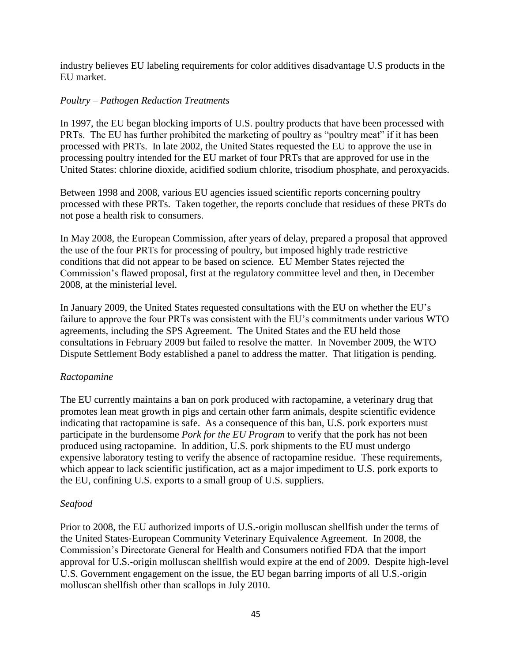industry believes EU labeling requirements for color additives disadvantage U.S products in the EU market.

### *Poultry – Pathogen Reduction Treatments*

In 1997, the EU began blocking imports of U.S. poultry products that have been processed with PRTs. The EU has further prohibited the marketing of poultry as "poultry meat" if it has been processed with PRTs. In late 2002, the United States requested the EU to approve the use in processing poultry intended for the EU market of four PRTs that are approved for use in the United States: chlorine dioxide, acidified sodium chlorite, trisodium phosphate, and peroxyacids.

Between 1998 and 2008, various EU agencies issued scientific reports concerning poultry processed with these PRTs. Taken together, the reports conclude that residues of these PRTs do not pose a health risk to consumers.

In May 2008, the European Commission, after years of delay, prepared a proposal that approved the use of the four PRTs for processing of poultry, but imposed highly trade restrictive conditions that did not appear to be based on science. EU Member States rejected the Commission's flawed proposal, first at the regulatory committee level and then, in December 2008, at the ministerial level.

In January 2009, the United States requested consultations with the EU on whether the EU's failure to approve the four PRTs was consistent with the EU's commitments under various WTO agreements, including the SPS Agreement. The United States and the EU held those consultations in February 2009 but failed to resolve the matter. In November 2009, the WTO Dispute Settlement Body established a panel to address the matter. That litigation is pending.

### *Ractopamine*

The EU currently maintains a ban on pork produced with ractopamine, a veterinary drug that promotes lean meat growth in pigs and certain other farm animals, despite scientific evidence indicating that ractopamine is safe. As a consequence of this ban, U.S. pork exporters must participate in the burdensome *Pork for the EU Program* to verify that the pork has not been produced using ractopamine. In addition, U.S. pork shipments to the EU must undergo expensive laboratory testing to verify the absence of ractopamine residue. These requirements, which appear to lack scientific justification, act as a major impediment to U.S. pork exports to the EU, confining U.S. exports to a small group of U.S. suppliers.

### *Seafood*

Prior to 2008, the EU authorized imports of U.S.‐origin molluscan shellfish under the terms of the United States‐European Community Veterinary Equivalence Agreement. In 2008, the Commission's Directorate General for Health and Consumers notified FDA that the import approval for U.S.‐origin molluscan shellfish would expire at the end of 2009. Despite high‐level U.S. Government engagement on the issue, the EU began barring imports of all U.S.‐origin molluscan shellfish other than scallops in July 2010.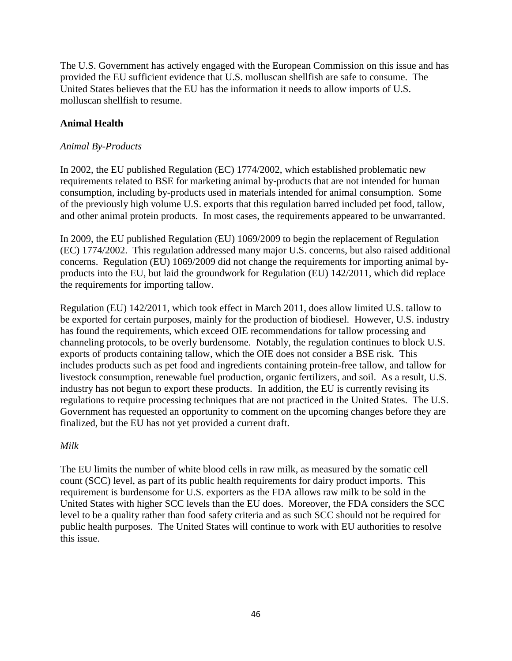The U.S. Government has actively engaged with the European Commission on this issue and has provided the EU sufficient evidence that U.S. molluscan shellfish are safe to consume. The United States believes that the EU has the information it needs to allow imports of U.S. molluscan shellfish to resume.

## **Animal Health**

### *Animal By-Products*

In 2002, the EU published Regulation (EC) 1774/2002, which established problematic new requirements related to BSE for marketing animal by-products that are not intended for human consumption, including by-products used in materials intended for animal consumption. Some of the previously high volume U.S. exports that this regulation barred included pet food, tallow, and other animal protein products. In most cases, the requirements appeared to be unwarranted.

In 2009, the EU published Regulation (EU) 1069/2009 to begin the replacement of Regulation (EC) 1774/2002. This regulation addressed many major U.S. concerns, but also raised additional concerns. Regulation (EU) 1069/2009 did not change the requirements for importing animal byproducts into the EU, but laid the groundwork for Regulation (EU) 142/2011, which did replace the requirements for importing tallow.

Regulation (EU) 142/2011, which took effect in March 2011, does allow limited U.S. tallow to be exported for certain purposes, mainly for the production of biodiesel. However, U.S. industry has found the requirements, which exceed OIE recommendations for tallow processing and channeling protocols, to be overly burdensome. Notably, the regulation continues to block U.S. exports of products containing tallow, which the OIE does not consider a BSE risk. This includes products such as pet food and ingredients containing protein-free tallow, and tallow for livestock consumption, renewable fuel production, organic fertilizers, and soil. As a result, U.S. industry has not begun to export these products. In addition, the EU is currently revising its regulations to require processing techniques that are not practiced in the United States. The U.S. Government has requested an opportunity to comment on the upcoming changes before they are finalized, but the EU has not yet provided a current draft.

### *Milk*

The EU limits the number of white blood cells in raw milk, as measured by the somatic cell count (SCC) level, as part of its public health requirements for dairy product imports. This requirement is burdensome for U.S. exporters as the FDA allows raw milk to be sold in the United States with higher SCC levels than the EU does. Moreover, the FDA considers the SCC level to be a quality rather than food safety criteria and as such SCC should not be required for public health purposes. The United States will continue to work with EU authorities to resolve this issue.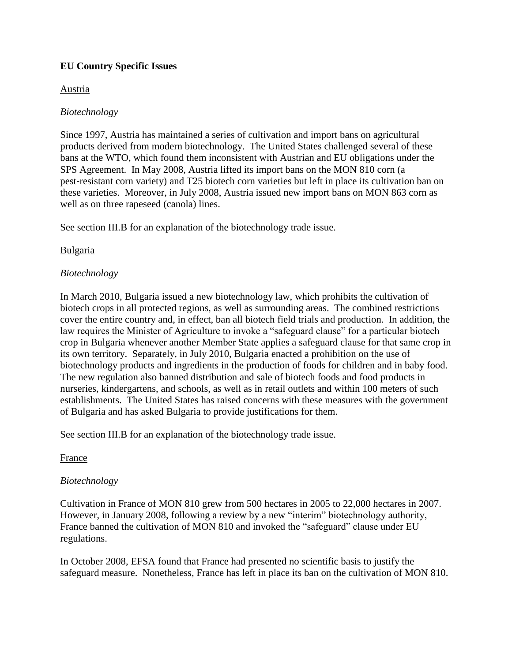## **EU Country Specific Issues**

### Austria

### *Biotechnology*

Since 1997, Austria has maintained a series of cultivation and import bans on agricultural products derived from modern biotechnology. The United States challenged several of these bans at the WTO, which found them inconsistent with Austrian and EU obligations under the SPS Agreement. In May 2008, Austria lifted its import bans on the MON 810 corn (a pest‐resistant corn variety) and T25 biotech corn varieties but left in place its cultivation ban on these varieties. Moreover, in July 2008, Austria issued new import bans on MON 863 corn as well as on three rapeseed (canola) lines.

See section III.B for an explanation of the biotechnology trade issue.

### Bulgaria

### *Biotechnology*

In March 2010, Bulgaria issued a new biotechnology law, which prohibits the cultivation of biotech crops in all protected regions, as well as surrounding areas. The combined restrictions cover the entire country and, in effect, ban all biotech field trials and production. In addition, the law requires the Minister of Agriculture to invoke a "safeguard clause" for a particular biotech crop in Bulgaria whenever another Member State applies a safeguard clause for that same crop in its own territory. Separately, in July 2010, Bulgaria enacted a prohibition on the use of biotechnology products and ingredients in the production of foods for children and in baby food. The new regulation also banned distribution and sale of biotech foods and food products in nurseries, kindergartens, and schools, as well as in retail outlets and within 100 meters of such establishments. The United States has raised concerns with these measures with the government of Bulgaria and has asked Bulgaria to provide justifications for them.

See section III.B for an explanation of the biotechnology trade issue.

### France

### *Biotechnology*

Cultivation in France of MON 810 grew from 500 hectares in 2005 to 22,000 hectares in 2007. However, in January 2008, following a review by a new "interim" biotechnology authority, France banned the cultivation of MON 810 and invoked the "safeguard" clause under EU regulations.

In October 2008, EFSA found that France had presented no scientific basis to justify the safeguard measure. Nonetheless, France has left in place its ban on the cultivation of MON 810.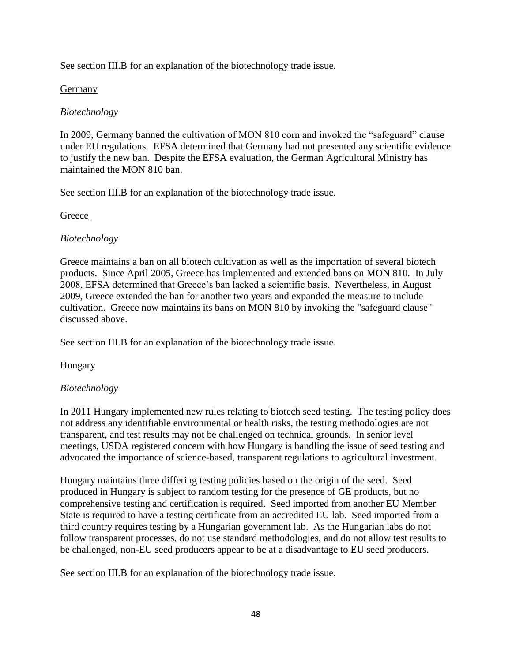See section III.B for an explanation of the biotechnology trade issue.

## Germany

## *Biotechnology*

In 2009, Germany banned the cultivation of MON 810 corn and invoked the "safeguard" clause under EU regulations. EFSA determined that Germany had not presented any scientific evidence to justify the new ban. Despite the EFSA evaluation, the German Agricultural Ministry has maintained the MON 810 ban.

See section III.B for an explanation of the biotechnology trade issue.

### **Greece**

### *Biotechnology*

Greece maintains a ban on all biotech cultivation as well as the importation of several biotech products. Since April 2005, Greece has implemented and extended bans on MON 810. In July 2008, EFSA determined that Greece's ban lacked a scientific basis. Nevertheless, in August 2009, Greece extended the ban for another two years and expanded the measure to include cultivation. Greece now maintains its bans on MON 810 by invoking the "safeguard clause" discussed above.

See section III.B for an explanation of the biotechnology trade issue.

## **Hungary**

## *Biotechnology*

In 2011 Hungary implemented new rules relating to biotech seed testing. The testing policy does not address any identifiable environmental or health risks, the testing methodologies are not transparent, and test results may not be challenged on technical grounds. In senior level meetings, USDA registered concern with how Hungary is handling the issue of seed testing and advocated the importance of science-based, transparent regulations to agricultural investment.

Hungary maintains three differing testing policies based on the origin of the seed. Seed produced in Hungary is subject to random testing for the presence of GE products, but no comprehensive testing and certification is required. Seed imported from another EU Member State is required to have a testing certificate from an accredited EU lab. Seed imported from a third country requires testing by a Hungarian government lab. As the Hungarian labs do not follow transparent processes, do not use standard methodologies, and do not allow test results to be challenged, non-EU seed producers appear to be at a disadvantage to EU seed producers.

See section III.B for an explanation of the biotechnology trade issue.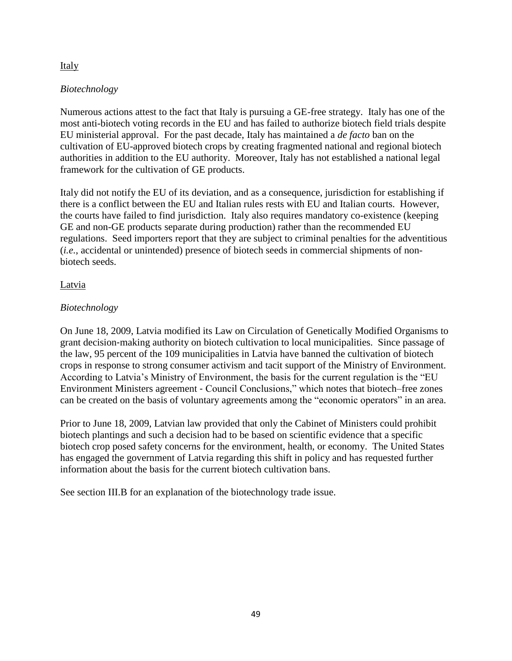### Italy

## *Biotechnology*

Numerous actions attest to the fact that Italy is pursuing a GE-free strategy. Italy has one of the most anti-biotech voting records in the EU and has failed to authorize biotech field trials despite EU ministerial approval. For the past decade, Italy has maintained a *de facto* ban on the cultivation of EU-approved biotech crops by creating fragmented national and regional biotech authorities in addition to the EU authority. Moreover, Italy has not established a national legal framework for the cultivation of GE products.

Italy did not notify the EU of its deviation, and as a consequence, jurisdiction for establishing if there is a conflict between the EU and Italian rules rests with EU and Italian courts. However, the courts have failed to find jurisdiction. Italy also requires mandatory co-existence (keeping GE and non-GE products separate during production) rather than the recommended EU regulations. Seed importers report that they are subject to criminal penalties for the adventitious (*i.e.*, accidental or unintended) presence of biotech seeds in commercial shipments of nonbiotech seeds.

### **Latvia**

### *Biotechnology*

On June 18, 2009, Latvia modified its Law on Circulation of Genetically Modified Organisms to grant decision‐making authority on biotech cultivation to local municipalities. Since passage of the law, 95 percent of the 109 municipalities in Latvia have banned the cultivation of biotech crops in response to strong consumer activism and tacit support of the Ministry of Environment. According to Latvia's Ministry of Environment, the basis for the current regulation is the "EU Environment Ministers agreement ‐ Council Conclusions," which notes that biotech–free zones can be created on the basis of voluntary agreements among the "economic operators" in an area.

Prior to June 18, 2009, Latvian law provided that only the Cabinet of Ministers could prohibit biotech plantings and such a decision had to be based on scientific evidence that a specific biotech crop posed safety concerns for the environment, health, or economy. The United States has engaged the government of Latvia regarding this shift in policy and has requested further information about the basis for the current biotech cultivation bans.

See section III.B for an explanation of the biotechnology trade issue.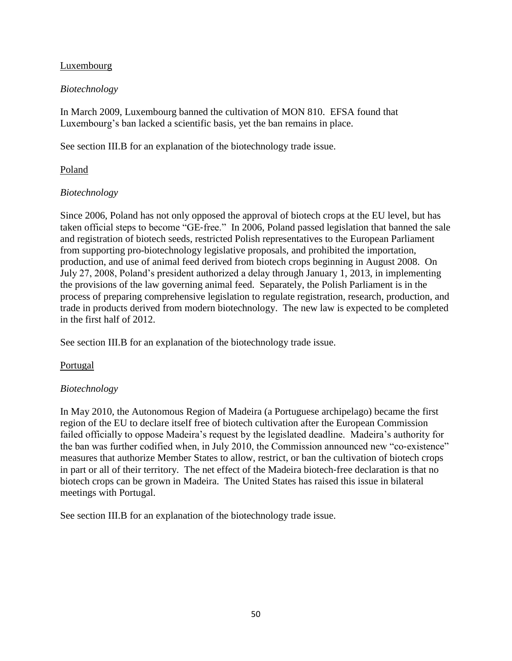### Luxembourg

### *Biotechnology*

In March 2009, Luxembourg banned the cultivation of MON 810. EFSA found that Luxembourg's ban lacked a scientific basis, yet the ban remains in place.

See section III.B for an explanation of the biotechnology trade issue.

## Poland

## *Biotechnology*

Since 2006, Poland has not only opposed the approval of biotech crops at the EU level, but has taken official steps to become "GE‐free." In 2006, Poland passed legislation that banned the sale and registration of biotech seeds, restricted Polish representatives to the European Parliament from supporting pro-biotechnology legislative proposals, and prohibited the importation, production, and use of animal feed derived from biotech crops beginning in August 2008. On July 27, 2008, Poland's president authorized a delay through January 1, 2013, in implementing the provisions of the law governing animal feed. Separately, the Polish Parliament is in the process of preparing comprehensive legislation to regulate registration, research, production, and trade in products derived from modern biotechnology. The new law is expected to be completed in the first half of 2012.

See section III.B for an explanation of the biotechnology trade issue.

## Portugal

## *Biotechnology*

In May 2010, the Autonomous Region of Madeira (a Portuguese archipelago) became the first region of the EU to declare itself free of biotech cultivation after the European Commission failed officially to oppose Madeira's request by the legislated deadline. Madeira's authority for the ban was further codified when, in July 2010, the Commission announced new "co-existence" measures that authorize Member States to allow, restrict, or ban the cultivation of biotech crops in part or all of their territory. The net effect of the Madeira biotech-free declaration is that no biotech crops can be grown in Madeira. The United States has raised this issue in bilateral meetings with Portugal.

See section III.B for an explanation of the biotechnology trade issue.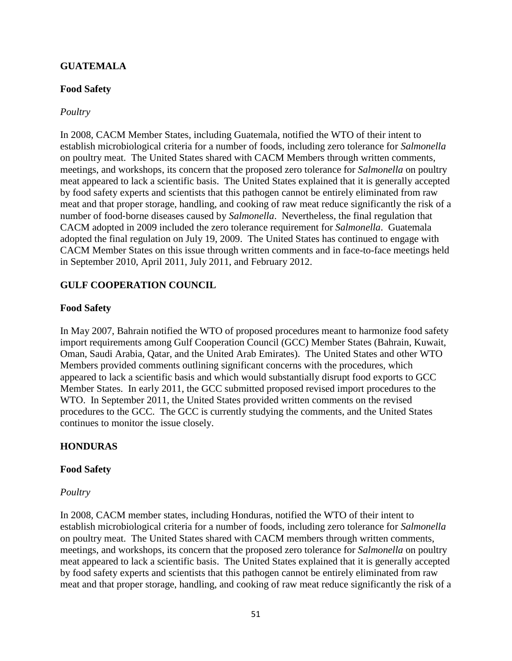## **GUATEMALA**

### **Food Safety**

#### *Poultry*

In 2008, CACM Member States, including Guatemala, notified the WTO of their intent to establish microbiological criteria for a number of foods, including zero tolerance for *Salmonella*  on poultry meat. The United States shared with CACM Members through written comments, meetings, and workshops, its concern that the proposed zero tolerance for *Salmonella* on poultry meat appeared to lack a scientific basis. The United States explained that it is generally accepted by food safety experts and scientists that this pathogen cannot be entirely eliminated from raw meat and that proper storage, handling, and cooking of raw meat reduce significantly the risk of a number of food‐borne diseases caused by *Salmonella*. Nevertheless, the final regulation that CACM adopted in 2009 included the zero tolerance requirement for *Salmonella*. Guatemala adopted the final regulation on July 19, 2009. The United States has continued to engage with CACM Member States on this issue through written comments and in face-to-face meetings held in September 2010, April 2011, July 2011, and February 2012.

### **GULF COOPERATION COUNCIL**

#### **Food Safety**

In May 2007, Bahrain notified the WTO of proposed procedures meant to harmonize food safety import requirements among Gulf Cooperation Council (GCC) Member States (Bahrain, Kuwait, Oman, Saudi Arabia, Qatar, and the United Arab Emirates). The United States and other WTO Members provided comments outlining significant concerns with the procedures, which appeared to lack a scientific basis and which would substantially disrupt food exports to GCC Member States. In early 2011, the GCC submitted proposed revised import procedures to the WTO. In September 2011, the United States provided written comments on the revised procedures to the GCC. The GCC is currently studying the comments, and the United States continues to monitor the issue closely.

### **HONDURAS**

#### **Food Safety**

#### *Poultry*

In 2008, CACM member states, including Honduras, notified the WTO of their intent to establish microbiological criteria for a number of foods, including zero tolerance for *Salmonella*  on poultry meat. The United States shared with CACM members through written comments, meetings, and workshops, its concern that the proposed zero tolerance for *Salmonella* on poultry meat appeared to lack a scientific basis. The United States explained that it is generally accepted by food safety experts and scientists that this pathogen cannot be entirely eliminated from raw meat and that proper storage, handling, and cooking of raw meat reduce significantly the risk of a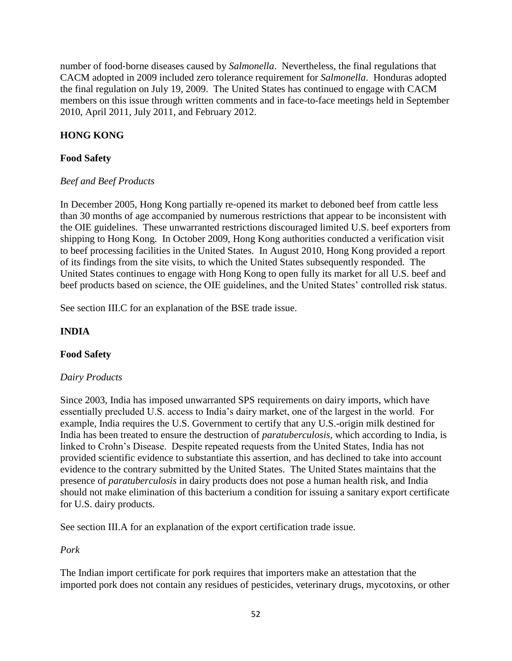number of food‐borne diseases caused by *Salmonella*. Nevertheless, the final regulations that CACM adopted in 2009 included zero tolerance requirement for *Salmonella*. Honduras adopted the final regulation on July 19, 2009. The United States has continued to engage with CACM members on this issue through written comments and in face-to-face meetings held in September 2010, April 2011, July 2011, and February 2012.

# **HONG KONG**

## **Food Safety**

## *Beef and Beef Products*

In December 2005, Hong Kong partially re‐opened its market to deboned beef from cattle less than 30 months of age accompanied by numerous restrictions that appear to be inconsistent with the OIE guidelines. These unwarranted restrictions discouraged limited U.S. beef exporters from shipping to Hong Kong. In October 2009, Hong Kong authorities conducted a verification visit to beef processing facilities in the United States. In August 2010, Hong Kong provided a report of its findings from the site visits, to which the United States subsequently responded. The United States continues to engage with Hong Kong to open fully its market for all U.S. beef and beef products based on science, the OIE guidelines, and the United States' controlled risk status.

See section III.C for an explanation of the BSE trade issue.

## **INDIA**

## **Food Safety**

## *Dairy Products*

Since 2003, India has imposed unwarranted SPS requirements on dairy imports, which have essentially precluded U.S. access to India's dairy market, one of the largest in the world. For example, India requires the U.S. Government to certify that any U.S.-origin milk destined for India has been treated to ensure the destruction of *paratuberculosis*, which according to India, is linked to Crohn's Disease. Despite repeated requests from the United States, India has not provided scientific evidence to substantiate this assertion, and has declined to take into account evidence to the contrary submitted by the United States. The United States maintains that the presence of *paratuberculosis* in dairy products does not pose a human health risk, and India should not make elimination of this bacterium a condition for issuing a sanitary export certificate for U.S. dairy products.

See section III.A for an explanation of the export certification trade issue.

## *Pork*

The Indian import certificate for pork requires that importers make an attestation that the imported pork does not contain any residues of pesticides, veterinary drugs, mycotoxins, or other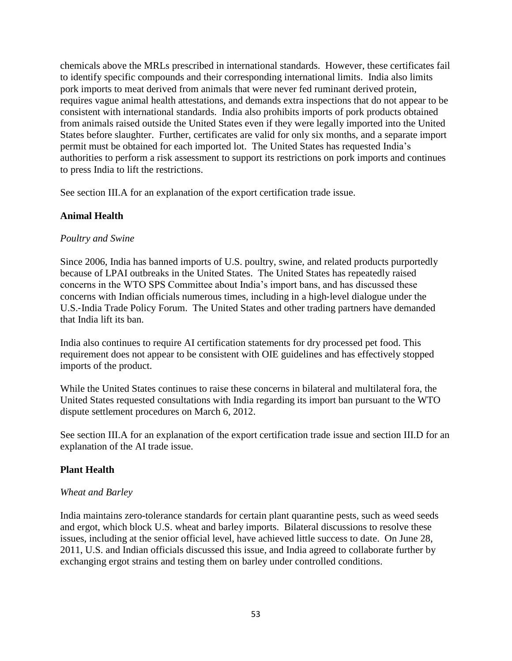chemicals above the MRLs prescribed in international standards. However, these certificates fail to identify specific compounds and their corresponding international limits. India also limits pork imports to meat derived from animals that were never fed ruminant derived protein, requires vague animal health attestations, and demands extra inspections that do not appear to be consistent with international standards. India also prohibits imports of pork products obtained from animals raised outside the United States even if they were legally imported into the United States before slaughter. Further, certificates are valid for only six months, and a separate import permit must be obtained for each imported lot. The United States has requested India's authorities to perform a risk assessment to support its restrictions on pork imports and continues to press India to lift the restrictions.

See section III.A for an explanation of the export certification trade issue.

## **Animal Health**

### *Poultry and Swine*

Since 2006, India has banned imports of U.S. poultry, swine, and related products purportedly because of LPAI outbreaks in the United States. The United States has repeatedly raised concerns in the WTO SPS Committee about India's import bans, and has discussed these concerns with Indian officials numerous times, including in a high‐level dialogue under the U.S.‐India Trade Policy Forum. The United States and other trading partners have demanded that India lift its ban.

India also continues to require AI certification statements for dry processed pet food. This requirement does not appear to be consistent with OIE guidelines and has effectively stopped imports of the product.

While the United States continues to raise these concerns in bilateral and multilateral fora, the United States requested consultations with India regarding its import ban pursuant to the WTO dispute settlement procedures on March 6, 2012.

See section III.A for an explanation of the export certification trade issue and section III.D for an explanation of the AI trade issue.

## **Plant Health**

### *Wheat and Barley*

India maintains zero-tolerance standards for certain plant quarantine pests, such as weed seeds and ergot, which block U.S. wheat and barley imports. Bilateral discussions to resolve these issues, including at the senior official level, have achieved little success to date. On June 28, 2011, U.S. and Indian officials discussed this issue, and India agreed to collaborate further by exchanging ergot strains and testing them on barley under controlled conditions.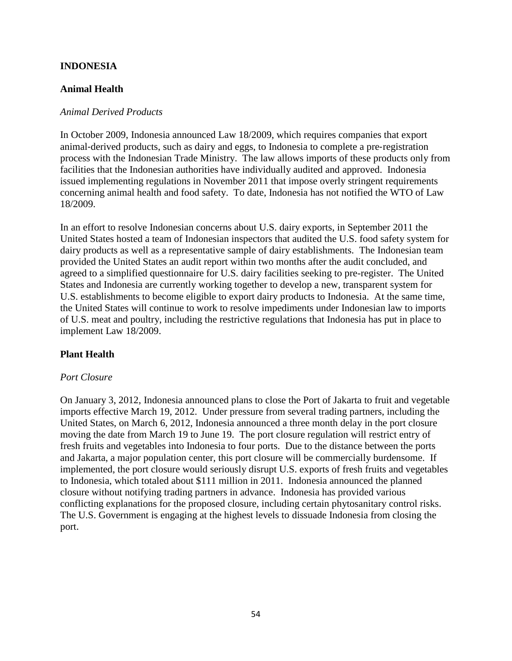### **INDONESIA**

### **Animal Health**

### *Animal Derived Products*

In October 2009, Indonesia announced Law 18/2009, which requires companies that export animal‐derived products, such as dairy and eggs, to Indonesia to complete a pre‐registration process with the Indonesian Trade Ministry. The law allows imports of these products only from facilities that the Indonesian authorities have individually audited and approved. Indonesia issued implementing regulations in November 2011 that impose overly stringent requirements concerning animal health and food safety. To date, Indonesia has not notified the WTO of Law 18/2009.

In an effort to resolve Indonesian concerns about U.S. dairy exports, in September 2011 the United States hosted a team of Indonesian inspectors that audited the U.S. food safety system for dairy products as well as a representative sample of dairy establishments. The Indonesian team provided the United States an audit report within two months after the audit concluded, and agreed to a simplified questionnaire for U.S. dairy facilities seeking to pre-register. The United States and Indonesia are currently working together to develop a new, transparent system for U.S. establishments to become eligible to export dairy products to Indonesia. At the same time, the United States will continue to work to resolve impediments under Indonesian law to imports of U.S. meat and poultry, including the restrictive regulations that Indonesia has put in place to implement Law 18/2009.

### **Plant Health**

### *Port Closure*

On January 3, 2012, Indonesia announced plans to close the Port of Jakarta to fruit and vegetable imports effective March 19, 2012. Under pressure from several trading partners, including the United States, on March 6, 2012, Indonesia announced a three month delay in the port closure moving the date from March 19 to June 19. The port closure regulation will restrict entry of fresh fruits and vegetables into Indonesia to four ports. Due to the distance between the ports and Jakarta, a major population center, this port closure will be commercially burdensome. If implemented, the port closure would seriously disrupt U.S. exports of fresh fruits and vegetables to Indonesia, which totaled about \$111 million in 2011. Indonesia announced the planned closure without notifying trading partners in advance. Indonesia has provided various conflicting explanations for the proposed closure, including certain phytosanitary control risks. The U.S. Government is engaging at the highest levels to dissuade Indonesia from closing the port.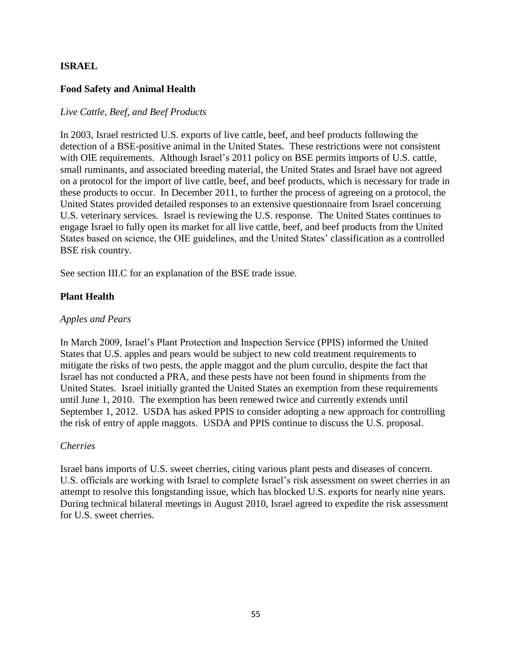### **ISRAEL**

### **Food Safety and Animal Health**

### *Live Cattle, Beef, and Beef Products*

In 2003, Israel restricted U.S. exports of live cattle, beef, and beef products following the detection of a BSE-positive animal in the United States. These restrictions were not consistent with OIE requirements. Although Israel's 2011 policy on BSE permits imports of U.S. cattle, small ruminants, and associated breeding material, the United States and Israel have not agreed on a protocol for the import of live cattle, beef, and beef products, which is necessary for trade in these products to occur. In December 2011, to further the process of agreeing on a protocol, the United States provided detailed responses to an extensive questionnaire from Israel concerning U.S. veterinary services. Israel is reviewing the U.S. response. The United States continues to engage Israel to fully open its market for all live cattle, beef, and beef products from the United States based on science, the OIE guidelines, and the United States' classification as a controlled BSE risk country.

See section III.C for an explanation of the BSE trade issue.

### **Plant Health**

### *Apples and Pears*

In March 2009, Israel's Plant Protection and Inspection Service (PPIS) informed the United States that U.S. apples and pears would be subject to new cold treatment requirements to mitigate the risks of two pests, the apple maggot and the plum curculio, despite the fact that Israel has not conducted a PRA, and these pests have not been found in shipments from the United States. Israel initially granted the United States an exemption from these requirements until June 1, 2010. The exemption has been renewed twice and currently extends until September 1, 2012. USDA has asked PPIS to consider adopting a new approach for controlling the risk of entry of apple maggots. USDA and PPIS continue to discuss the U.S. proposal.

### *Cherries*

Israel bans imports of U.S. sweet cherries, citing various plant pests and diseases of concern. U.S. officials are working with Israel to complete Israel's risk assessment on sweet cherries in an attempt to resolve this longstanding issue, which has blocked U.S. exports for nearly nine years. During technical bilateral meetings in August 2010, Israel agreed to expedite the risk assessment for U.S. sweet cherries.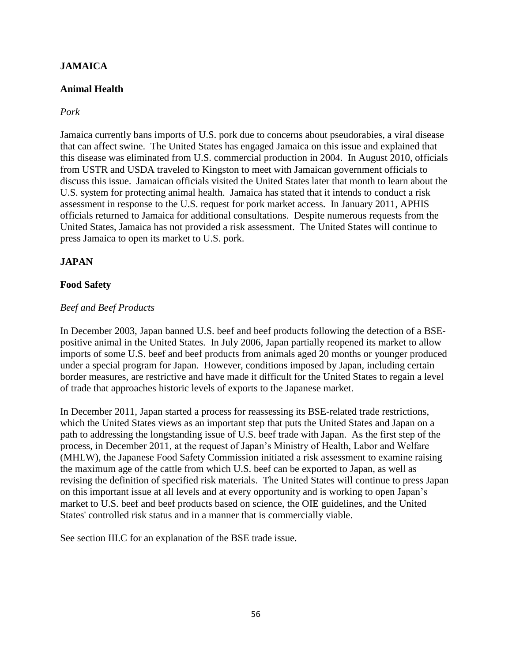## **JAMAICA**

## **Animal Health**

### *Pork*

Jamaica currently bans imports of U.S. pork due to concerns about pseudorabies, a viral disease that can affect swine. The United States has engaged Jamaica on this issue and explained that this disease was eliminated from U.S. commercial production in 2004. In August 2010, officials from USTR and USDA traveled to Kingston to meet with Jamaican government officials to discuss this issue. Jamaican officials visited the United States later that month to learn about the U.S. system for protecting animal health. Jamaica has stated that it intends to conduct a risk assessment in response to the U.S. request for pork market access. In January 2011, APHIS officials returned to Jamaica for additional consultations. Despite numerous requests from the United States, Jamaica has not provided a risk assessment. The United States will continue to press Jamaica to open its market to U.S. pork.

## **JAPAN**

### **Food Safety**

### *Beef and Beef Products*

In December 2003, Japan banned U.S. beef and beef products following the detection of a BSEpositive animal in the United States. In July 2006, Japan partially reopened its market to allow imports of some U.S. beef and beef products from animals aged 20 months or younger produced under a special program for Japan. However, conditions imposed by Japan, including certain border measures, are restrictive and have made it difficult for the United States to regain a level of trade that approaches historic levels of exports to the Japanese market.

In December 2011, Japan started a process for reassessing its BSE-related trade restrictions, which the United States views as an important step that puts the United States and Japan on a path to addressing the longstanding issue of U.S. beef trade with Japan. As the first step of the process, in December 2011, at the request of Japan's Ministry of Health, Labor and Welfare (MHLW), the Japanese Food Safety Commission initiated a risk assessment to examine raising the maximum age of the cattle from which U.S. beef can be exported to Japan, as well as revising the definition of specified risk materials. The United States will continue to press Japan on this important issue at all levels and at every opportunity and is working to open Japan's market to U.S. beef and beef products based on science, the OIE guidelines, and the United States' controlled risk status and in a manner that is commercially viable.

See section III.C for an explanation of the BSE trade issue.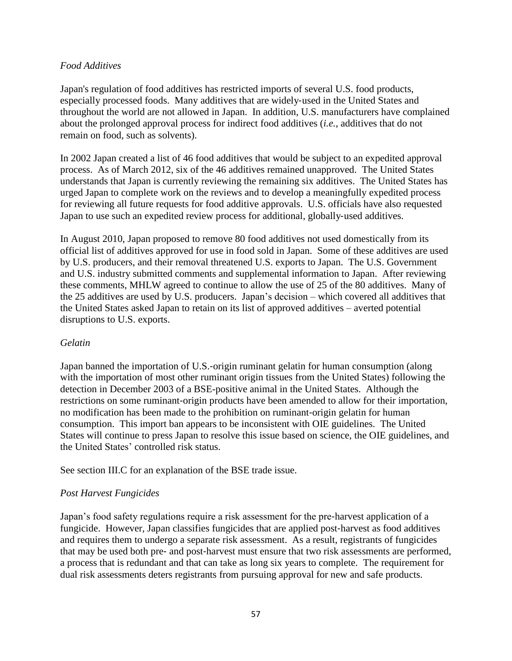### *Food Additives*

Japan's regulation of food additives has restricted imports of several U.S. food products, especially processed foods. Many additives that are widely‐used in the United States and throughout the world are not allowed in Japan. In addition, U.S. manufacturers have complained about the prolonged approval process for indirect food additives (*i.e.*, additives that do not remain on food, such as solvents).

In 2002 Japan created a list of 46 food additives that would be subject to an expedited approval process. As of March 2012, six of the 46 additives remained unapproved. The United States understands that Japan is currently reviewing the remaining six additives. The United States has urged Japan to complete work on the reviews and to develop a meaningfully expedited process for reviewing all future requests for food additive approvals. U.S. officials have also requested Japan to use such an expedited review process for additional, globally‐used additives.

In August 2010, Japan proposed to remove 80 food additives not used domestically from its official list of additives approved for use in food sold in Japan. Some of these additives are used by U.S. producers, and their removal threatened U.S. exports to Japan. The U.S. Government and U.S. industry submitted comments and supplemental information to Japan. After reviewing these comments, MHLW agreed to continue to allow the use of 25 of the 80 additives. Many of the 25 additives are used by U.S. producers. Japan's decision – which covered all additives that the United States asked Japan to retain on its list of approved additives – averted potential disruptions to U.S. exports.

### *Gelatin*

Japan banned the importation of U.S.‐origin ruminant gelatin for human consumption (along with the importation of most other ruminant origin tissues from the United States) following the detection in December 2003 of a BSE-positive animal in the United States. Although the restrictions on some ruminant‐origin products have been amended to allow for their importation, no modification has been made to the prohibition on ruminant‐origin gelatin for human consumption. This import ban appears to be inconsistent with OIE guidelines. The United States will continue to press Japan to resolve this issue based on science, the OIE guidelines, and the United States' controlled risk status.

See section III.C for an explanation of the BSE trade issue.

## *Post Harvest Fungicides*

Japan's food safety regulations require a risk assessment for the pre‐harvest application of a fungicide. However, Japan classifies fungicides that are applied post‐harvest as food additives and requires them to undergo a separate risk assessment. As a result, registrants of fungicides that may be used both pre‐ and post‐harvest must ensure that two risk assessments are performed, a process that is redundant and that can take as long six years to complete. The requirement for dual risk assessments deters registrants from pursuing approval for new and safe products.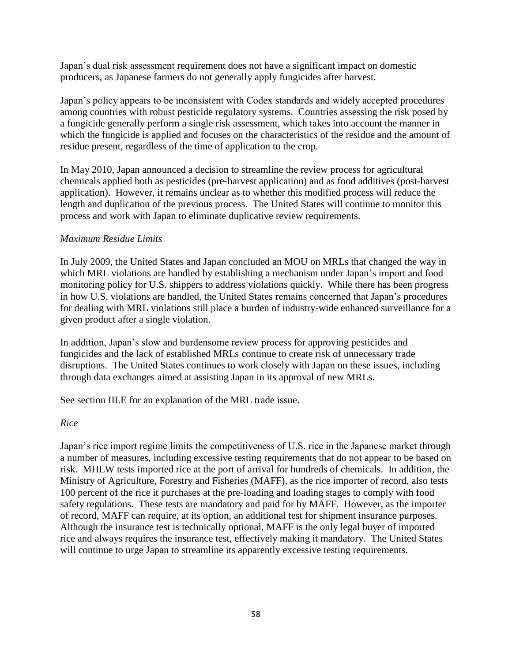Japan's dual risk assessment requirement does not have a significant impact on domestic producers, as Japanese farmers do not generally apply fungicides after harvest.

Japan's policy appears to be inconsistent with Codex standards and widely accepted procedures among countries with robust pesticide regulatory systems. Countries assessing the risk posed by a fungicide generally perform a single risk assessment, which takes into account the manner in which the fungicide is applied and focuses on the characteristics of the residue and the amount of residue present, regardless of the time of application to the crop.

In May 2010, Japan announced a decision to streamline the review process for agricultural chemicals applied both as pesticides (pre‐harvest application) and as food additives (post-harvest application). However, it remains unclear as to whether this modified process will reduce the length and duplication of the previous process. The United States will continue to monitor this process and work with Japan to eliminate duplicative review requirements.

### *Maximum Residue Limits*

In July 2009, the United States and Japan concluded an MOU on MRLs that changed the way in which MRL violations are handled by establishing a mechanism under Japan's import and food monitoring policy for U.S. shippers to address violations quickly. While there has been progress in how U.S. violations are handled, the United States remains concerned that Japan's procedures for dealing with MRL violations still place a burden of industry-wide enhanced surveillance for a given product after a single violation.

In addition, Japan's slow and burdensome review process for approving pesticides and fungicides and the lack of established MRLs continue to create risk of unnecessary trade disruptions. The United States continues to work closely with Japan on these issues, including through data exchanges aimed at assisting Japan in its approval of new MRLs.

See section III.E for an explanation of the MRL trade issue.

### *Rice*

Japan's rice import regime limits the competitiveness of U.S. rice in the Japanese market through a number of measures, including excessive testing requirements that do not appear to be based on risk. MHLW tests imported rice at the port of arrival for hundreds of chemicals. In addition, the Ministry of Agriculture, Forestry and Fisheries (MAFF), as the rice importer of record, also tests 100 percent of the rice it purchases at the pre‐loading and loading stages to comply with food safety regulations. These tests are mandatory and paid for by MAFF. However, as the importer of record, MAFF can require, at its option, an additional test for shipment insurance purposes. Although the insurance test is technically optional, MAFF is the only legal buyer of imported rice and always requires the insurance test, effectively making it mandatory. The United States will continue to urge Japan to streamline its apparently excessive testing requirements.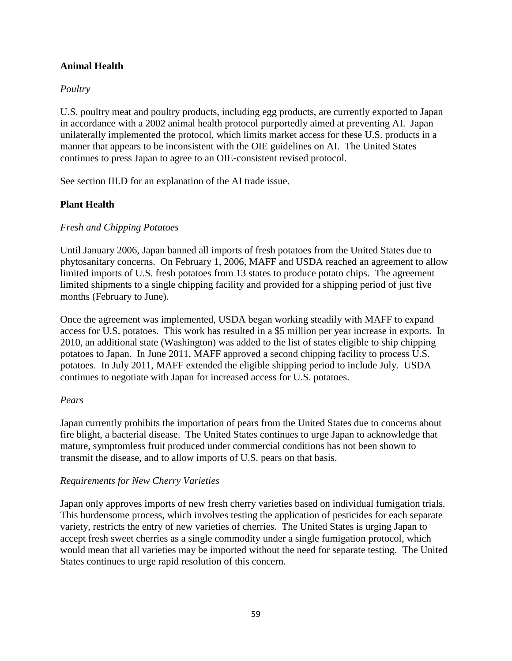## **Animal Health**

## *Poultry*

U.S. poultry meat and poultry products, including egg products, are currently exported to Japan in accordance with a 2002 animal health protocol purportedly aimed at preventing AI. Japan unilaterally implemented the protocol, which limits market access for these U.S. products in a manner that appears to be inconsistent with the OIE guidelines on AI. The United States continues to press Japan to agree to an OIE‐consistent revised protocol.

See section III.D for an explanation of the AI trade issue.

## **Plant Health**

### *Fresh and Chipping Potatoes*

Until January 2006, Japan banned all imports of fresh potatoes from the United States due to phytosanitary concerns. On February 1, 2006, MAFF and USDA reached an agreement to allow limited imports of U.S. fresh potatoes from 13 states to produce potato chips. The agreement limited shipments to a single chipping facility and provided for a shipping period of just five months (February to June).

Once the agreement was implemented, USDA began working steadily with MAFF to expand access for U.S. potatoes. This work has resulted in a \$5 million per year increase in exports. In 2010, an additional state (Washington) was added to the list of states eligible to ship chipping potatoes to Japan. In June 2011, MAFF approved a second chipping facility to process U.S. potatoes. In July 2011, MAFF extended the eligible shipping period to include July. USDA continues to negotiate with Japan for increased access for U.S. potatoes.

### *Pears*

Japan currently prohibits the importation of pears from the United States due to concerns about fire blight, a bacterial disease. The United States continues to urge Japan to acknowledge that mature, symptomless fruit produced under commercial conditions has not been shown to transmit the disease, and to allow imports of U.S. pears on that basis.

### *Requirements for New Cherry Varieties*

Japan only approves imports of new fresh cherry varieties based on individual fumigation trials. This burdensome process, which involves testing the application of pesticides for each separate variety, restricts the entry of new varieties of cherries. The United States is urging Japan to accept fresh sweet cherries as a single commodity under a single fumigation protocol, which would mean that all varieties may be imported without the need for separate testing. The United States continues to urge rapid resolution of this concern.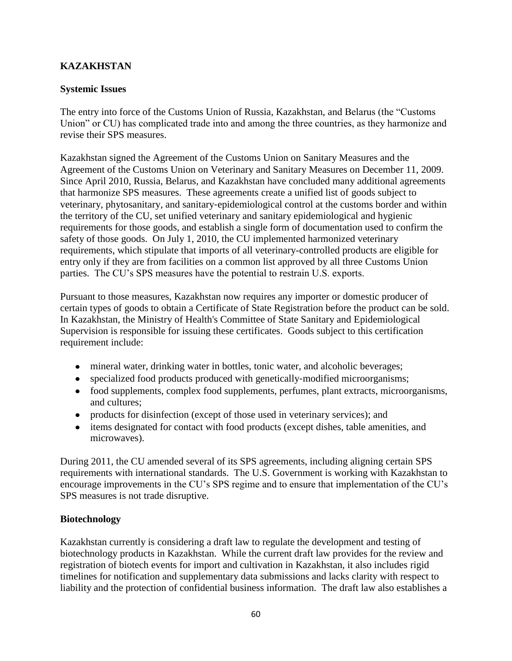# **KAZAKHSTAN**

### **Systemic Issues**

The entry into force of the Customs Union of Russia, Kazakhstan, and Belarus (the "Customs Union" or CU) has complicated trade into and among the three countries, as they harmonize and revise their SPS measures.

Kazakhstan signed the Agreement of the Customs Union on Sanitary Measures and the Agreement of the Customs Union on Veterinary and Sanitary Measures on December 11, 2009. Since April 2010, Russia, Belarus, and Kazakhstan have concluded many additional agreements that harmonize SPS measures. These agreements create a unified list of goods subject to veterinary, phytosanitary, and sanitary‐epidemiological control at the customs border and within the territory of the CU, set unified veterinary and sanitary epidemiological and hygienic requirements for those goods, and establish a single form of documentation used to confirm the safety of those goods. On July 1, 2010, the CU implemented harmonized veterinary requirements, which stipulate that imports of all veterinary-controlled products are eligible for entry only if they are from facilities on a common list approved by all three Customs Union parties. The CU's SPS measures have the potential to restrain U.S. exports.

Pursuant to those measures, Kazakhstan now requires any importer or domestic producer of certain types of goods to obtain a Certificate of State Registration before the product can be sold. In Kazakhstan, the Ministry of Health's Committee of State Sanitary and Epidemiological Supervision is responsible for issuing these certificates. Goods subject to this certification requirement include:

- mineral water, drinking water in bottles, tonic water, and alcoholic beverages;
- specialized food products produced with genetically‐modified microorganisms;
- food supplements, complex food supplements, perfumes, plant extracts, microorganisms, and cultures;
- products for disinfection (except of those used in veterinary services); and
- items designated for contact with food products (except dishes, table amenities, and microwaves).

During 2011, the CU amended several of its SPS agreements, including aligning certain SPS requirements with international standards. The U.S. Government is working with Kazakhstan to encourage improvements in the CU's SPS regime and to ensure that implementation of the CU's SPS measures is not trade disruptive.

## **Biotechnology**

Kazakhstan currently is considering a draft law to regulate the development and testing of biotechnology products in Kazakhstan. While the current draft law provides for the review and registration of biotech events for import and cultivation in Kazakhstan, it also includes rigid timelines for notification and supplementary data submissions and lacks clarity with respect to liability and the protection of confidential business information. The draft law also establishes a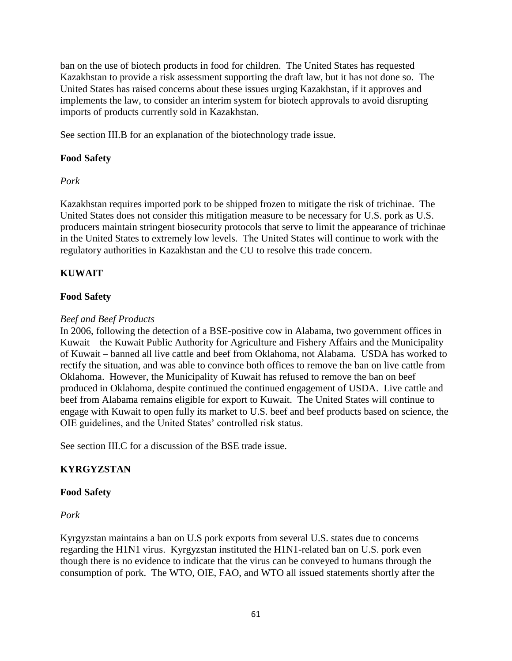ban on the use of biotech products in food for children. The United States has requested Kazakhstan to provide a risk assessment supporting the draft law, but it has not done so. The United States has raised concerns about these issues urging Kazakhstan, if it approves and implements the law, to consider an interim system for biotech approvals to avoid disrupting imports of products currently sold in Kazakhstan.

See section III.B for an explanation of the biotechnology trade issue.

# **Food Safety**

# *Pork*

Kazakhstan requires imported pork to be shipped frozen to mitigate the risk of trichinae. The United States does not consider this mitigation measure to be necessary for U.S. pork as U.S. producers maintain stringent biosecurity protocols that serve to limit the appearance of trichinae in the United States to extremely low levels. The United States will continue to work with the regulatory authorities in Kazakhstan and the CU to resolve this trade concern.

# **KUWAIT**

## **Food Safety**

## *Beef and Beef Products*

In 2006, following the detection of a BSE-positive cow in Alabama, two government offices in Kuwait – the Kuwait Public Authority for Agriculture and Fishery Affairs and the Municipality of Kuwait – banned all live cattle and beef from Oklahoma, not Alabama. USDA has worked to rectify the situation, and was able to convince both offices to remove the ban on live cattle from Oklahoma. However, the Municipality of Kuwait has refused to remove the ban on beef produced in Oklahoma, despite continued the continued engagement of USDA. Live cattle and beef from Alabama remains eligible for export to Kuwait. The United States will continue to engage with Kuwait to open fully its market to U.S. beef and beef products based on science, the OIE guidelines, and the United States' controlled risk status.

See section III.C for a discussion of the BSE trade issue.

## **KYRGYZSTAN**

## **Food Safety**

## *Pork*

Kyrgyzstan maintains a ban on U.S pork exports from several U.S. states due to concerns regarding the H1N1 virus. Kyrgyzstan instituted the H1N1-related ban on U.S. pork even though there is no evidence to indicate that the virus can be conveyed to humans through the consumption of pork. The WTO, OIE, FAO, and WTO all issued statements shortly after the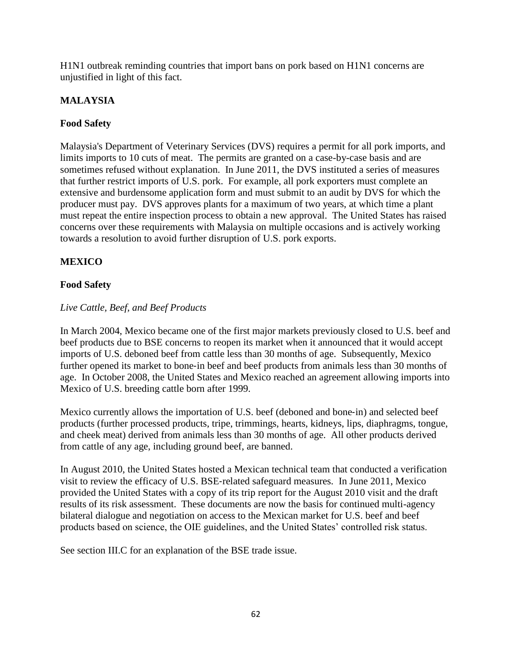H1N1 outbreak reminding countries that import bans on pork based on H1N1 concerns are unjustified in light of this fact.

## **MALAYSIA**

## **Food Safety**

Malaysia's Department of Veterinary Services (DVS) requires a permit for all pork imports, and limits imports to 10 cuts of meat. The permits are granted on a case-by-case basis and are sometimes refused without explanation. In June 2011, the DVS instituted a series of measures that further restrict imports of U.S. pork. For example, all pork exporters must complete an extensive and burdensome application form and must submit to an audit by DVS for which the producer must pay. DVS approves plants for a maximum of two years, at which time a plant must repeat the entire inspection process to obtain a new approval. The United States has raised concerns over these requirements with Malaysia on multiple occasions and is actively working towards a resolution to avoid further disruption of U.S. pork exports.

# **MEXICO**

## **Food Safety**

## *Live Cattle, Beef, and Beef Products*

In March 2004, Mexico became one of the first major markets previously closed to U.S. beef and beef products due to BSE concerns to reopen its market when it announced that it would accept imports of U.S. deboned beef from cattle less than 30 months of age. Subsequently, Mexico further opened its market to bone-in beef and beef products from animals less than 30 months of age. In October 2008, the United States and Mexico reached an agreement allowing imports into Mexico of U.S. breeding cattle born after 1999.

Mexico currently allows the importation of U.S. beef (deboned and bone-in) and selected beef products (further processed products, tripe, trimmings, hearts, kidneys, lips, diaphragms, tongue, and cheek meat) derived from animals less than 30 months of age. All other products derived from cattle of any age, including ground beef, are banned.

In August 2010, the United States hosted a Mexican technical team that conducted a verification visit to review the efficacy of U.S. BSE‐related safeguard measures. In June 2011, Mexico provided the United States with a copy of its trip report for the August 2010 visit and the draft results of its risk assessment. These documents are now the basis for continued multi-agency bilateral dialogue and negotiation on access to the Mexican market for U.S. beef and beef products based on science, the OIE guidelines, and the United States' controlled risk status.

See section III.C for an explanation of the BSE trade issue.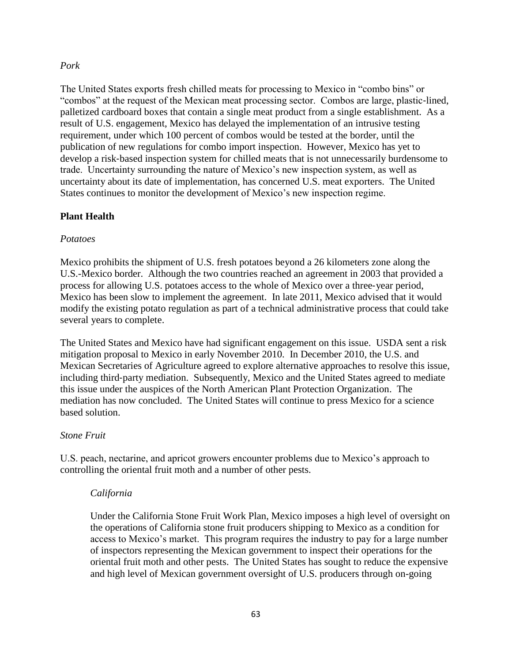#### *Pork*

The United States exports fresh chilled meats for processing to Mexico in "combo bins" or "combos" at the request of the Mexican meat processing sector. Combos are large, plastic‐lined, palletized cardboard boxes that contain a single meat product from a single establishment. As a result of U.S. engagement, Mexico has delayed the implementation of an intrusive testing requirement, under which 100 percent of combos would be tested at the border, until the publication of new regulations for combo import inspection. However, Mexico has yet to develop a risk-based inspection system for chilled meats that is not unnecessarily burdensome to trade. Uncertainty surrounding the nature of Mexico's new inspection system, as well as uncertainty about its date of implementation, has concerned U.S. meat exporters. The United States continues to monitor the development of Mexico's new inspection regime.

### **Plant Health**

### *Potatoes*

Mexico prohibits the shipment of U.S. fresh potatoes beyond a 26 kilometers zone along the U.S.-Mexico border. Although the two countries reached an agreement in 2003 that provided a process for allowing U.S. potatoes access to the whole of Mexico over a three‐year period, Mexico has been slow to implement the agreement. In late 2011, Mexico advised that it would modify the existing potato regulation as part of a technical administrative process that could take several years to complete.

The United States and Mexico have had significant engagement on this issue. USDA sent a risk mitigation proposal to Mexico in early November 2010. In December 2010, the U.S. and Mexican Secretaries of Agriculture agreed to explore alternative approaches to resolve this issue, including third‐party mediation. Subsequently, Mexico and the United States agreed to mediate this issue under the auspices of the North American Plant Protection Organization. The mediation has now concluded. The United States will continue to press Mexico for a science based solution.

### *Stone Fruit*

U.S. peach, nectarine, and apricot growers encounter problems due to Mexico's approach to controlling the oriental fruit moth and a number of other pests.

#### *California*

Under the California Stone Fruit Work Plan, Mexico imposes a high level of oversight on the operations of California stone fruit producers shipping to Mexico as a condition for access to Mexico's market. This program requires the industry to pay for a large number of inspectors representing the Mexican government to inspect their operations for the oriental fruit moth and other pests. The United States has sought to reduce the expensive and high level of Mexican government oversight of U.S. producers through on-going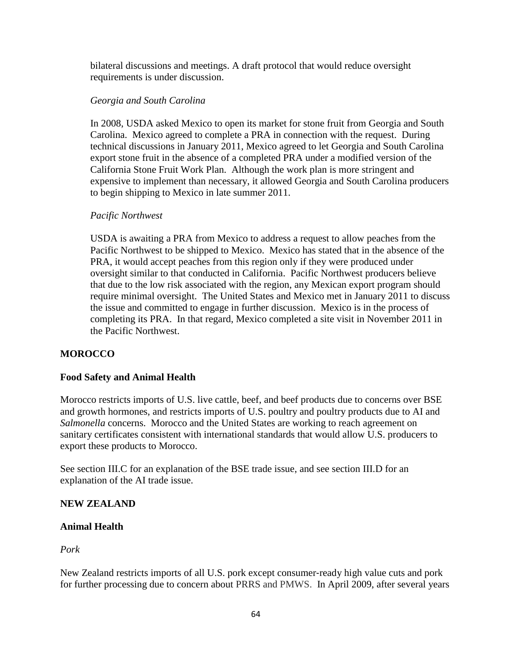bilateral discussions and meetings. A draft protocol that would reduce oversight requirements is under discussion.

### *Georgia and South Carolina*

In 2008, USDA asked Mexico to open its market for stone fruit from Georgia and South Carolina. Mexico agreed to complete a PRA in connection with the request. During technical discussions in January 2011, Mexico agreed to let Georgia and South Carolina export stone fruit in the absence of a completed PRA under a modified version of the California Stone Fruit Work Plan. Although the work plan is more stringent and expensive to implement than necessary, it allowed Georgia and South Carolina producers to begin shipping to Mexico in late summer 2011.

### *Pacific Northwest*

USDA is awaiting a PRA from Mexico to address a request to allow peaches from the Pacific Northwest to be shipped to Mexico. Mexico has stated that in the absence of the PRA, it would accept peaches from this region only if they were produced under oversight similar to that conducted in California. Pacific Northwest producers believe that due to the low risk associated with the region, any Mexican export program should require minimal oversight. The United States and Mexico met in January 2011 to discuss the issue and committed to engage in further discussion. Mexico is in the process of completing its PRA. In that regard, Mexico completed a site visit in November 2011 in the Pacific Northwest.

### **MOROCCO**

### **Food Safety and Animal Health**

Morocco restricts imports of U.S. live cattle, beef, and beef products due to concerns over BSE and growth hormones, and restricts imports of U.S. poultry and poultry products due to AI and *Salmonella* concerns. Morocco and the United States are working to reach agreement on sanitary certificates consistent with international standards that would allow U.S. producers to export these products to Morocco.

See section III.C for an explanation of the BSE trade issue, and see section III.D for an explanation of the AI trade issue.

### **NEW ZEALAND**

#### **Animal Health**

*Pork*

New Zealand restricts imports of all U.S. pork except consumer‐ready high value cuts and pork for further processing due to concern about PRRS and PMWS. In April 2009, after several years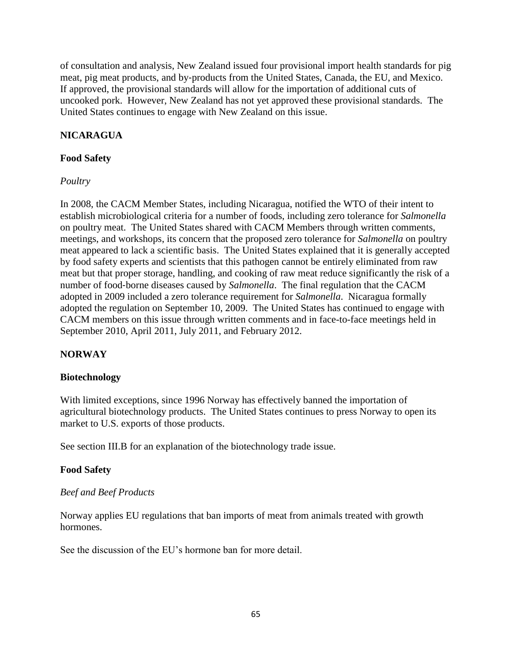of consultation and analysis, New Zealand issued four provisional import health standards for pig meat, pig meat products, and by‐products from the United States, Canada, the EU, and Mexico. If approved, the provisional standards will allow for the importation of additional cuts of uncooked pork. However, New Zealand has not yet approved these provisional standards. The United States continues to engage with New Zealand on this issue.

## **NICARAGUA**

### **Food Safety**

### *Poultry*

In 2008, the CACM Member States, including Nicaragua, notified the WTO of their intent to establish microbiological criteria for a number of foods, including zero tolerance for *Salmonella*  on poultry meat. The United States shared with CACM Members through written comments, meetings, and workshops, its concern that the proposed zero tolerance for *Salmonella* on poultry meat appeared to lack a scientific basis. The United States explained that it is generally accepted by food safety experts and scientists that this pathogen cannot be entirely eliminated from raw meat but that proper storage, handling, and cooking of raw meat reduce significantly the risk of a number of food‐borne diseases caused by *Salmonella*. The final regulation that the CACM adopted in 2009 included a zero tolerance requirement for *Salmonella*. Nicaragua formally adopted the regulation on September 10, 2009. The United States has continued to engage with CACM members on this issue through written comments and in face-to-face meetings held in September 2010, April 2011, July 2011, and February 2012.

# **NORWAY**

### **Biotechnology**

With limited exceptions, since 1996 Norway has effectively banned the importation of agricultural biotechnology products. The United States continues to press Norway to open its market to U.S. exports of those products.

See section III.B for an explanation of the biotechnology trade issue.

### **Food Safety**

### *Beef and Beef Products*

Norway applies EU regulations that ban imports of meat from animals treated with growth hormones.

See the discussion of the EU's hormone ban for more detail.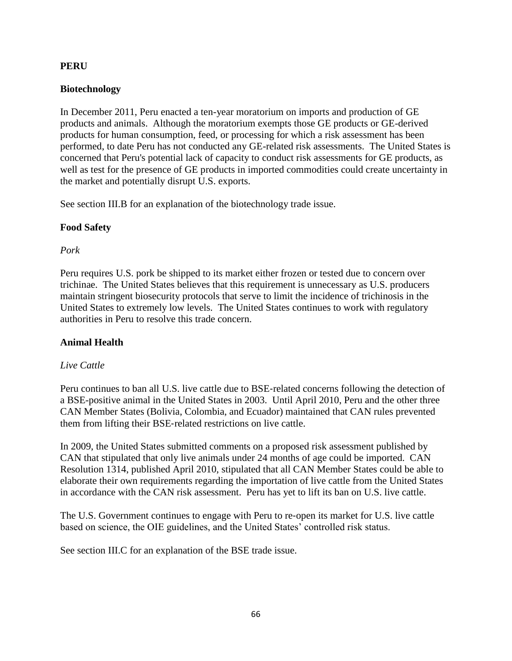### **PERU**

### **Biotechnology**

In December 2011, Peru enacted a ten-year moratorium on imports and production of GE products and animals. Although the moratorium exempts those GE products or GE-derived products for human consumption, feed, or processing for which a risk assessment has been performed, to date Peru has not conducted any GE-related risk assessments. The United States is concerned that Peru's potential lack of capacity to conduct risk assessments for GE products, as well as test for the presence of GE products in imported commodities could create uncertainty in the market and potentially disrupt U.S. exports.

See section III.B for an explanation of the biotechnology trade issue.

### **Food Safety**

### *Pork*

Peru requires U.S. pork be shipped to its market either frozen or tested due to concern over trichinae. The United States believes that this requirement is unnecessary as U.S. producers maintain stringent biosecurity protocols that serve to limit the incidence of trichinosis in the United States to extremely low levels. The United States continues to work with regulatory authorities in Peru to resolve this trade concern.

### **Animal Health**

### *Live Cattle*

Peru continues to ban all U.S. live cattle due to BSE‐related concerns following the detection of a BSE-positive animal in the United States in 2003. Until April 2010, Peru and the other three CAN Member States (Bolivia, Colombia, and Ecuador) maintained that CAN rules prevented them from lifting their BSE‐related restrictions on live cattle.

In 2009, the United States submitted comments on a proposed risk assessment published by CAN that stipulated that only live animals under 24 months of age could be imported. CAN Resolution 1314, published April 2010, stipulated that all CAN Member States could be able to elaborate their own requirements regarding the importation of live cattle from the United States in accordance with the CAN risk assessment. Peru has yet to lift its ban on U.S. live cattle.

The U.S. Government continues to engage with Peru to re-open its market for U.S. live cattle based on science, the OIE guidelines, and the United States' controlled risk status.

See section III.C for an explanation of the BSE trade issue.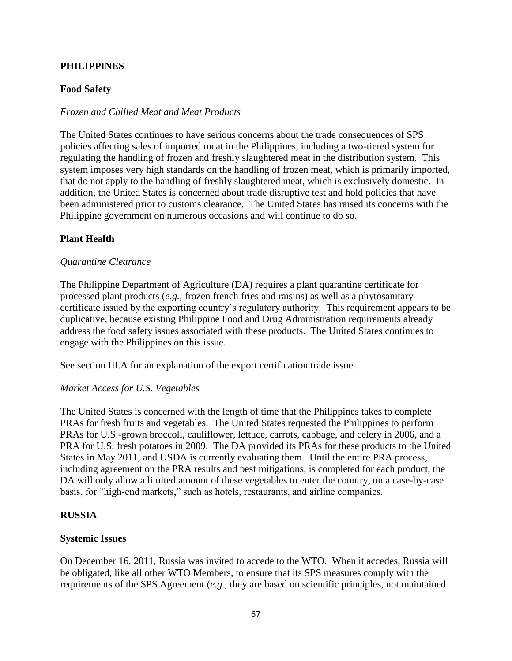### **PHILIPPINES**

### **Food Safety**

#### *Frozen and Chilled Meat and Meat Products*

The United States continues to have serious concerns about the trade consequences of SPS policies affecting sales of imported meat in the Philippines, including a two-tiered system for regulating the handling of frozen and freshly slaughtered meat in the distribution system. This system imposes very high standards on the handling of frozen meat, which is primarily imported, that do not apply to the handling of freshly slaughtered meat, which is exclusively domestic. In addition, the United States is concerned about trade disruptive test and hold policies that have been administered prior to customs clearance. The United States has raised its concerns with the Philippine government on numerous occasions and will continue to do so.

#### **Plant Health**

#### *Quarantine Clearance*

The Philippine Department of Agriculture (DA) requires a plant quarantine certificate for processed plant products (*e.g.*, frozen french fries and raisins) as well as a phytosanitary certificate issued by the exporting country's regulatory authority. This requirement appears to be duplicative, because existing Philippine Food and Drug Administration requirements already address the food safety issues associated with these products. The United States continues to engage with the Philippines on this issue.

See section III.A for an explanation of the export certification trade issue.

#### *Market Access for U.S. Vegetables*

The United States is concerned with the length of time that the Philippines takes to complete PRAs for fresh fruits and vegetables. The United States requested the Philippines to perform PRAs for U.S.-grown broccoli, cauliflower, lettuce, carrots, cabbage, and celery in 2006, and a PRA for U.S. fresh potatoes in 2009. The DA provided its PRAs for these products to the United States in May 2011, and USDA is currently evaluating them. Until the entire PRA process, including agreement on the PRA results and pest mitigations, is completed for each product, the DA will only allow a limited amount of these vegetables to enter the country, on a case-by-case basis, for "high-end markets," such as hotels, restaurants, and airline companies.

#### **RUSSIA**

#### **Systemic Issues**

On December 16, 2011, Russia was invited to accede to the WTO. When it accedes, Russia will be obligated, like all other WTO Members, to ensure that its SPS measures comply with the requirements of the SPS Agreement (*e.g.*, they are based on scientific principles, not maintained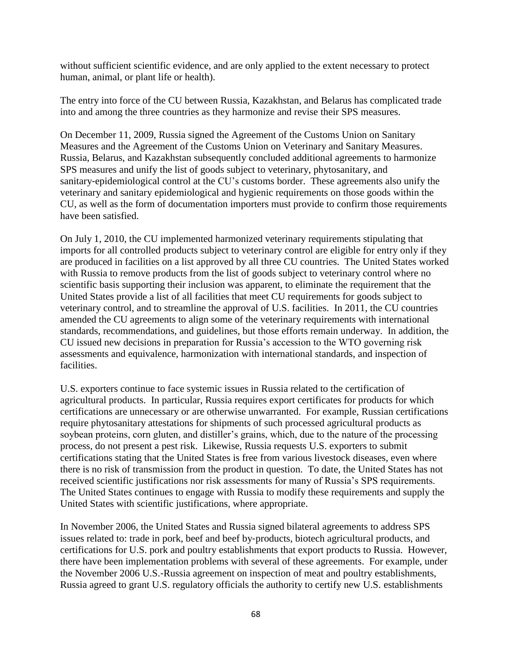without sufficient scientific evidence, and are only applied to the extent necessary to protect human, animal, or plant life or health).

The entry into force of the CU between Russia, Kazakhstan, and Belarus has complicated trade into and among the three countries as they harmonize and revise their SPS measures.

On December 11, 2009, Russia signed the Agreement of the Customs Union on Sanitary Measures and the Agreement of the Customs Union on Veterinary and Sanitary Measures. Russia, Belarus, and Kazakhstan subsequently concluded additional agreements to harmonize SPS measures and unify the list of goods subject to veterinary, phytosanitary, and sanitary-epidemiological control at the CU's customs border. These agreements also unify the veterinary and sanitary epidemiological and hygienic requirements on those goods within the CU, as well as the form of documentation importers must provide to confirm those requirements have been satisfied.

On July 1, 2010, the CU implemented harmonized veterinary requirements stipulating that imports for all controlled products subject to veterinary control are eligible for entry only if they are produced in facilities on a list approved by all three CU countries. The United States worked with Russia to remove products from the list of goods subject to veterinary control where no scientific basis supporting their inclusion was apparent, to eliminate the requirement that the United States provide a list of all facilities that meet CU requirements for goods subject to veterinary control, and to streamline the approval of U.S. facilities. In 2011, the CU countries amended the CU agreements to align some of the veterinary requirements with international standards, recommendations, and guidelines, but those efforts remain underway. In addition, the CU issued new decisions in preparation for Russia's accession to the WTO governing risk assessments and equivalence, harmonization with international standards, and inspection of facilities.

U.S. exporters continue to face systemic issues in Russia related to the certification of agricultural products. In particular, Russia requires export certificates for products for which certifications are unnecessary or are otherwise unwarranted. For example, Russian certifications require phytosanitary attestations for shipments of such processed agricultural products as soybean proteins, corn gluten, and distiller's grains, which, due to the nature of the processing process, do not present a pest risk. Likewise, Russia requests U.S. exporters to submit certifications stating that the United States is free from various livestock diseases, even where there is no risk of transmission from the product in question. To date, the United States has not received scientific justifications nor risk assessments for many of Russia's SPS requirements. The United States continues to engage with Russia to modify these requirements and supply the United States with scientific justifications, where appropriate.

In November 2006, the United States and Russia signed bilateral agreements to address SPS issues related to: trade in pork, beef and beef by‐products, biotech agricultural products, and certifications for U.S. pork and poultry establishments that export products to Russia. However, there have been implementation problems with several of these agreements. For example, under the November 2006 U.S.‐Russia agreement on inspection of meat and poultry establishments, Russia agreed to grant U.S. regulatory officials the authority to certify new U.S. establishments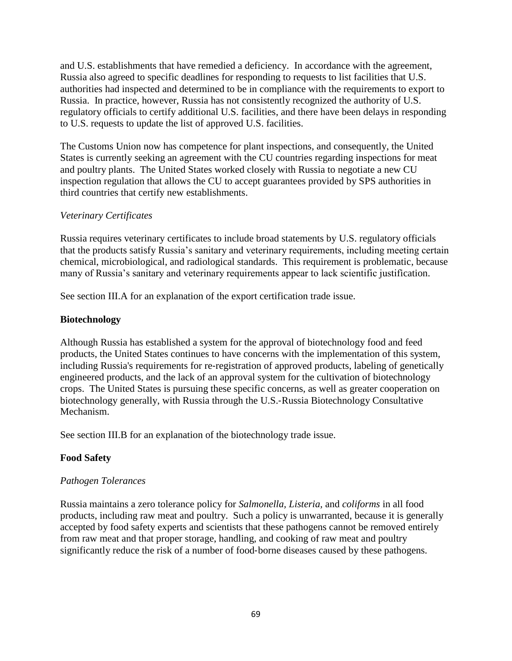and U.S. establishments that have remedied a deficiency. In accordance with the agreement, Russia also agreed to specific deadlines for responding to requests to list facilities that U.S. authorities had inspected and determined to be in compliance with the requirements to export to Russia. In practice, however, Russia has not consistently recognized the authority of U.S. regulatory officials to certify additional U.S. facilities, and there have been delays in responding to U.S. requests to update the list of approved U.S. facilities.

The Customs Union now has competence for plant inspections, and consequently, the United States is currently seeking an agreement with the CU countries regarding inspections for meat and poultry plants. The United States worked closely with Russia to negotiate a new CU inspection regulation that allows the CU to accept guarantees provided by SPS authorities in third countries that certify new establishments.

### *Veterinary Certificates*

Russia requires veterinary certificates to include broad statements by U.S. regulatory officials that the products satisfy Russia's sanitary and veterinary requirements, including meeting certain chemical, microbiological, and radiological standards. This requirement is problematic, because many of Russia's sanitary and veterinary requirements appear to lack scientific justification.

See section III.A for an explanation of the export certification trade issue.

### **Biotechnology**

Although Russia has established a system for the approval of biotechnology food and feed products, the United States continues to have concerns with the implementation of this system, including Russia's requirements for re‐registration of approved products, labeling of genetically engineered products, and the lack of an approval system for the cultivation of biotechnology crops. The United States is pursuing these specific concerns, as well as greater cooperation on biotechnology generally, with Russia through the U.S.‐Russia Biotechnology Consultative Mechanism.

See section III.B for an explanation of the biotechnology trade issue.

### **Food Safety**

### *Pathogen Tolerances*

Russia maintains a zero tolerance policy for *Salmonella, Listeria,* and *coliforms* in all food products, including raw meat and poultry. Such a policy is unwarranted, because it is generally accepted by food safety experts and scientists that these pathogens cannot be removed entirely from raw meat and that proper storage, handling, and cooking of raw meat and poultry significantly reduce the risk of a number of food‐borne diseases caused by these pathogens.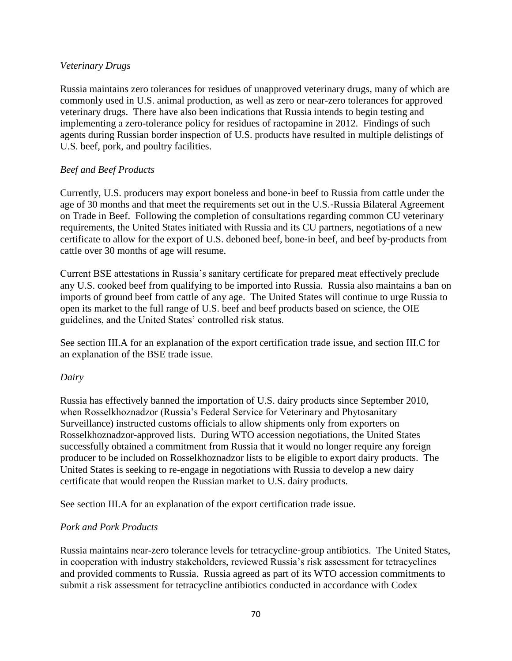### *Veterinary Drugs*

Russia maintains zero tolerances for residues of unapproved veterinary drugs, many of which are commonly used in U.S. animal production, as well as zero or near-zero tolerances for approved veterinary drugs. There have also been indications that Russia intends to begin testing and implementing a zero-tolerance policy for residues of ractopamine in 2012. Findings of such agents during Russian border inspection of U.S. products have resulted in multiple delistings of U.S. beef, pork, and poultry facilities.

### *Beef and Beef Products*

Currently, U.S. producers may export boneless and bone‐in beef to Russia from cattle under the age of 30 months and that meet the requirements set out in the U.S.‐Russia Bilateral Agreement on Trade in Beef. Following the completion of consultations regarding common CU veterinary requirements, the United States initiated with Russia and its CU partners, negotiations of a new certificate to allow for the export of U.S. deboned beef, bone‐in beef, and beef by‐products from cattle over 30 months of age will resume.

Current BSE attestations in Russia's sanitary certificate for prepared meat effectively preclude any U.S. cooked beef from qualifying to be imported into Russia. Russia also maintains a ban on imports of ground beef from cattle of any age. The United States will continue to urge Russia to open its market to the full range of U.S. beef and beef products based on science, the OIE guidelines, and the United States' controlled risk status.

See section III.A for an explanation of the export certification trade issue, and section III.C for an explanation of the BSE trade issue.

#### *Dairy*

Russia has effectively banned the importation of U.S. dairy products since September 2010, when Rosselkhoznadzor (Russia's Federal Service for Veterinary and Phytosanitary Surveillance) instructed customs officials to allow shipments only from exporters on Rosselkhoznadzor-approved lists. During WTO accession negotiations, the United States successfully obtained a commitment from Russia that it would no longer require any foreign producer to be included on Rosselkhoznadzor lists to be eligible to export dairy products. The United States is seeking to re-engage in negotiations with Russia to develop a new dairy certificate that would reopen the Russian market to U.S. dairy products.

See section III.A for an explanation of the export certification trade issue.

#### *Pork and Pork Products*

Russia maintains near-zero tolerance levels for tetracycline‐group antibiotics. The United States, in cooperation with industry stakeholders, reviewed Russia's risk assessment for tetracyclines and provided comments to Russia. Russia agreed as part of its WTO accession commitments to submit a risk assessment for tetracycline antibiotics conducted in accordance with Codex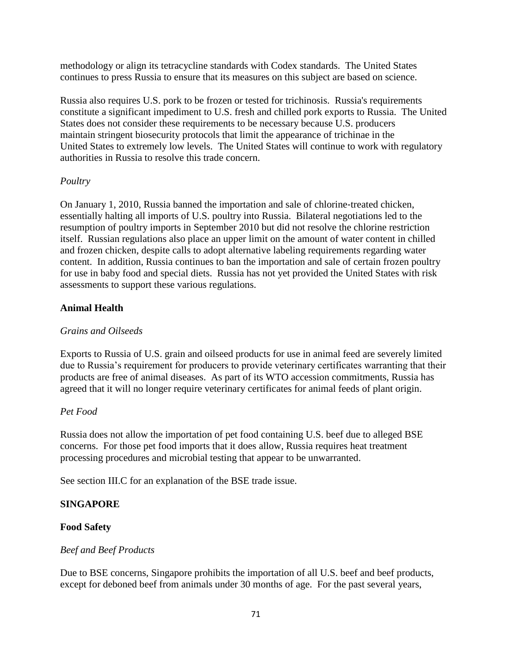methodology or align its tetracycline standards with Codex standards. The United States continues to press Russia to ensure that its measures on this subject are based on science.

Russia also requires U.S. pork to be frozen or tested for trichinosis. Russia's requirements constitute a significant impediment to U.S. fresh and chilled pork exports to Russia. The United States does not consider these requirements to be necessary because U.S. producers maintain stringent biosecurity protocols that limit the appearance of trichinae in the United States to extremely low levels. The United States will continue to work with regulatory authorities in Russia to resolve this trade concern.

### *Poultry*

On January 1, 2010, Russia banned the importation and sale of chlorine‐treated chicken, essentially halting all imports of U.S. poultry into Russia. Bilateral negotiations led to the resumption of poultry imports in September 2010 but did not resolve the chlorine restriction itself. Russian regulations also place an upper limit on the amount of water content in chilled and frozen chicken, despite calls to adopt alternative labeling requirements regarding water content. In addition, Russia continues to ban the importation and sale of certain frozen poultry for use in baby food and special diets. Russia has not yet provided the United States with risk assessments to support these various regulations.

### **Animal Health**

#### *Grains and Oilseeds*

Exports to Russia of U.S. grain and oilseed products for use in animal feed are severely limited due to Russia's requirement for producers to provide veterinary certificates warranting that their products are free of animal diseases. As part of its WTO accession commitments, Russia has agreed that it will no longer require veterinary certificates for animal feeds of plant origin.

#### *Pet Food*

Russia does not allow the importation of pet food containing U.S. beef due to alleged BSE concerns. For those pet food imports that it does allow, Russia requires heat treatment processing procedures and microbial testing that appear to be unwarranted.

See section III.C for an explanation of the BSE trade issue.

#### **SINGAPORE**

#### **Food Safety**

#### *Beef and Beef Products*

Due to BSE concerns, Singapore prohibits the importation of all U.S. beef and beef products, except for deboned beef from animals under 30 months of age. For the past several years,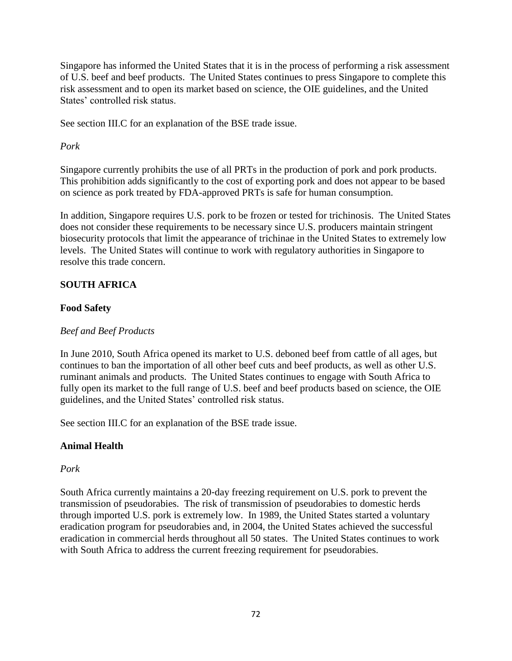Singapore has informed the United States that it is in the process of performing a risk assessment of U.S. beef and beef products. The United States continues to press Singapore to complete this risk assessment and to open its market based on science, the OIE guidelines, and the United States' controlled risk status.

See section III.C for an explanation of the BSE trade issue.

### *Pork*

Singapore currently prohibits the use of all PRTs in the production of pork and pork products. This prohibition adds significantly to the cost of exporting pork and does not appear to be based on science as pork treated by FDA-approved PRTs is safe for human consumption.

In addition, Singapore requires U.S. pork to be frozen or tested for trichinosis. The United States does not consider these requirements to be necessary since U.S. producers maintain stringent biosecurity protocols that limit the appearance of trichinae in the United States to extremely low levels. The United States will continue to work with regulatory authorities in Singapore to resolve this trade concern.

### **SOUTH AFRICA**

### **Food Safety**

#### *Beef and Beef Products*

In June 2010, South Africa opened its market to U.S. deboned beef from cattle of all ages, but continues to ban the importation of all other beef cuts and beef products, as well as other U.S. ruminant animals and products. The United States continues to engage with South Africa to fully open its market to the full range of U.S. beef and beef products based on science, the OIE guidelines, and the United States' controlled risk status.

See section III.C for an explanation of the BSE trade issue.

#### **Animal Health**

### *Pork*

South Africa currently maintains a 20‐day freezing requirement on U.S. pork to prevent the transmission of pseudorabies. The risk of transmission of pseudorabies to domestic herds through imported U.S. pork is extremely low. In 1989, the United States started a voluntary eradication program for pseudorabies and, in 2004, the United States achieved the successful eradication in commercial herds throughout all 50 states. The United States continues to work with South Africa to address the current freezing requirement for pseudorabies.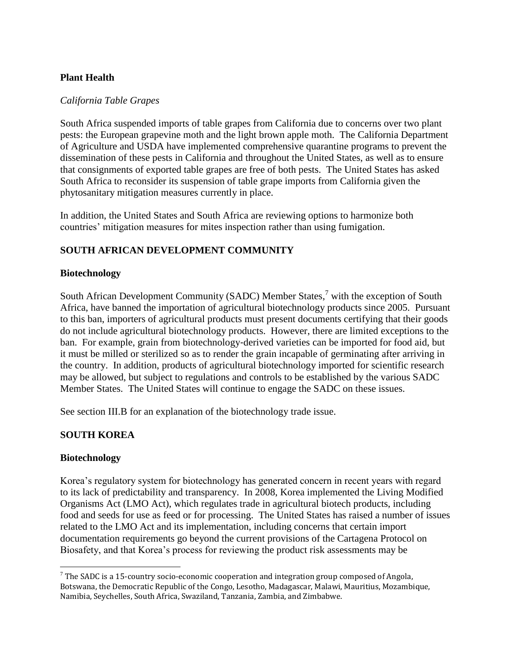### **Plant Health**

### *California Table Grapes*

South Africa suspended imports of table grapes from California due to concerns over two plant pests: the European grapevine moth and the light brown apple moth. The California Department of Agriculture and USDA have implemented comprehensive quarantine programs to prevent the dissemination of these pests in California and throughout the United States, as well as to ensure that consignments of exported table grapes are free of both pests. The United States has asked South Africa to reconsider its suspension of table grape imports from California given the phytosanitary mitigation measures currently in place.

In addition, the United States and South Africa are reviewing options to harmonize both countries' mitigation measures for mites inspection rather than using fumigation.

## **SOUTH AFRICAN DEVELOPMENT COMMUNITY**

### **Biotechnology**

South African Development Community (SADC) Member States,<sup>7</sup> with the exception of South Africa, have banned the importation of agricultural biotechnology products since 2005. Pursuant to this ban, importers of agricultural products must present documents certifying that their goods do not include agricultural biotechnology products. However, there are limited exceptions to the ban. For example, grain from biotechnology‐derived varieties can be imported for food aid, but it must be milled or sterilized so as to render the grain incapable of germinating after arriving in the country. In addition, products of agricultural biotechnology imported for scientific research may be allowed, but subject to regulations and controls to be established by the various SADC Member States. The United States will continue to engage the SADC on these issues.

See section III.B for an explanation of the biotechnology trade issue.

### **SOUTH KOREA**

### **Biotechnology**

 $\overline{\phantom{a}}$ 

Korea's regulatory system for biotechnology has generated concern in recent years with regard to its lack of predictability and transparency. In 2008, Korea implemented the Living Modified Organisms Act (LMO Act), which regulates trade in agricultural biotech products, including food and seeds for use as feed or for processing. The United States has raised a number of issues related to the LMO Act and its implementation, including concerns that certain import documentation requirements go beyond the current provisions of the Cartagena Protocol on Biosafety, and that Korea's process for reviewing the product risk assessments may be

 $7$  The SADC is a 15-country socio-economic cooperation and integration group composed of Angola, Botswana, the Democratic Republic of the Congo, Lesotho, Madagascar, Malawi, Mauritius, Mozambique, Namibia, Seychelles, South Africa, Swaziland, Tanzania, Zambia, and Zimbabwe.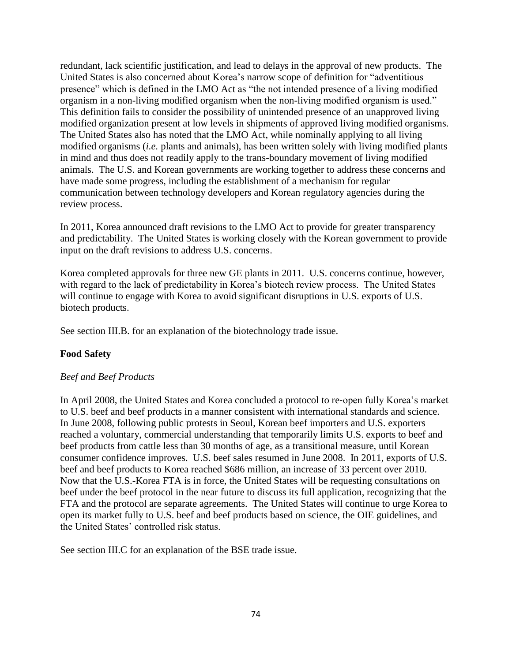redundant, lack scientific justification, and lead to delays in the approval of new products. The United States is also concerned about Korea's narrow scope of definition for "adventitious presence" which is defined in the LMO Act as "the not intended presence of a living modified organism in a non-living modified organism when the non-living modified organism is used." This definition fails to consider the possibility of unintended presence of an unapproved living modified organization present at low levels in shipments of approved living modified organisms. The United States also has noted that the LMO Act, while nominally applying to all living modified organisms (*i.e.* plants and animals), has been written solely with living modified plants in mind and thus does not readily apply to the trans-boundary movement of living modified animals. The U.S. and Korean governments are working together to address these concerns and have made some progress, including the establishment of a mechanism for regular communication between technology developers and Korean regulatory agencies during the review process.

In 2011, Korea announced draft revisions to the LMO Act to provide for greater transparency and predictability. The United States is working closely with the Korean government to provide input on the draft revisions to address U.S. concerns.

Korea completed approvals for three new GE plants in 2011. U.S. concerns continue, however, with regard to the lack of predictability in Korea's biotech review process. The United States will continue to engage with Korea to avoid significant disruptions in U.S. exports of U.S. biotech products.

See section III.B. for an explanation of the biotechnology trade issue.

### **Food Safety**

### *Beef and Beef Products*

In April 2008, the United States and Korea concluded a protocol to re‐open fully Korea's market to U.S. beef and beef products in a manner consistent with international standards and science. In June 2008, following public protests in Seoul, Korean beef importers and U.S. exporters reached a voluntary, commercial understanding that temporarily limits U.S. exports to beef and beef products from cattle less than 30 months of age, as a transitional measure, until Korean consumer confidence improves. U.S. beef sales resumed in June 2008. In 2011, exports of U.S. beef and beef products to Korea reached \$686 million, an increase of 33 percent over 2010. Now that the U.S.-Korea FTA is in force, the United States will be requesting consultations on beef under the beef protocol in the near future to discuss its full application, recognizing that the FTA and the protocol are separate agreements. The United States will continue to urge Korea to open its market fully to U.S. beef and beef products based on science, the OIE guidelines, and the United States' controlled risk status.

See section III.C for an explanation of the BSE trade issue.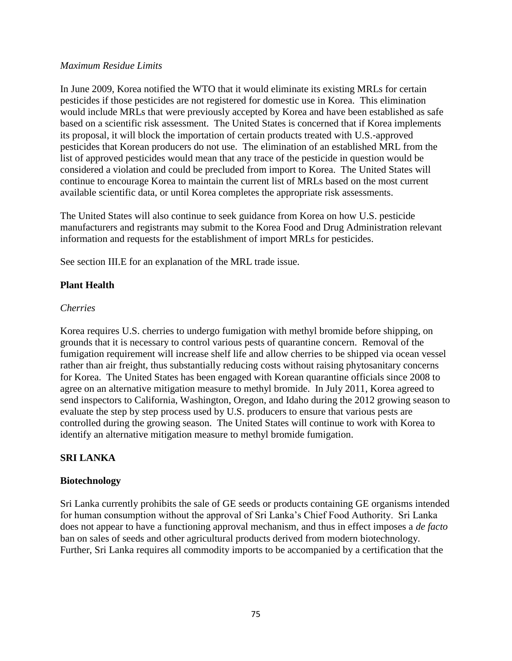#### *Maximum Residue Limits*

In June 2009, Korea notified the WTO that it would eliminate its existing MRLs for certain pesticides if those pesticides are not registered for domestic use in Korea. This elimination would include MRLs that were previously accepted by Korea and have been established as safe based on a scientific risk assessment. The United States is concerned that if Korea implements its proposal, it will block the importation of certain products treated with U.S.‐approved pesticides that Korean producers do not use. The elimination of an established MRL from the list of approved pesticides would mean that any trace of the pesticide in question would be considered a violation and could be precluded from import to Korea. The United States will continue to encourage Korea to maintain the current list of MRLs based on the most current available scientific data, or until Korea completes the appropriate risk assessments.

The United States will also continue to seek guidance from Korea on how U.S. pesticide manufacturers and registrants may submit to the Korea Food and Drug Administration relevant information and requests for the establishment of import MRLs for pesticides.

See section III.E for an explanation of the MRL trade issue.

### **Plant Health**

#### *Cherries*

Korea requires U.S. cherries to undergo fumigation with methyl bromide before shipping, on grounds that it is necessary to control various pests of quarantine concern. Removal of the fumigation requirement will increase shelf life and allow cherries to be shipped via ocean vessel rather than air freight, thus substantially reducing costs without raising phytosanitary concerns for Korea. The United States has been engaged with Korean quarantine officials since 2008 to agree on an alternative mitigation measure to methyl bromide. In July 2011, Korea agreed to send inspectors to California, Washington, Oregon, and Idaho during the 2012 growing season to evaluate the step by step process used by U.S. producers to ensure that various pests are controlled during the growing season. The United States will continue to work with Korea to identify an alternative mitigation measure to methyl bromide fumigation.

### **SRI LANKA**

#### **Biotechnology**

Sri Lanka currently prohibits the sale of GE seeds or products containing GE organisms intended for human consumption without the approval of Sri Lanka's Chief Food Authority. Sri Lanka does not appear to have a functioning approval mechanism, and thus in effect imposes a *de facto*  ban on sales of seeds and other agricultural products derived from modern biotechnology. Further, Sri Lanka requires all commodity imports to be accompanied by a certification that the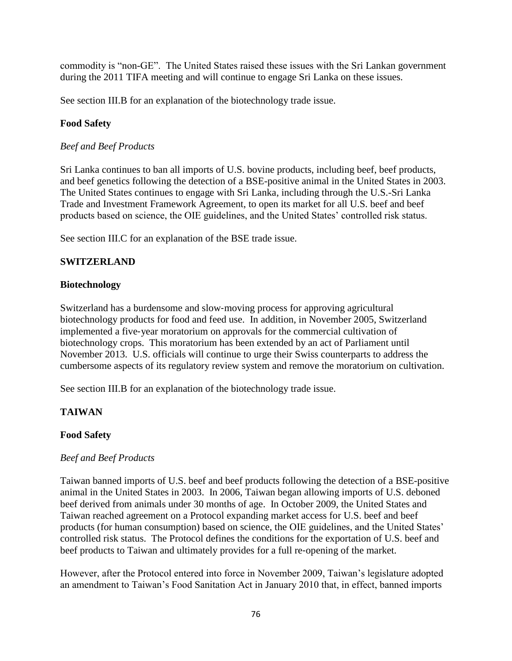commodity is "non-GE". The United States raised these issues with the Sri Lankan government during the 2011 TIFA meeting and will continue to engage Sri Lanka on these issues.

See section III.B for an explanation of the biotechnology trade issue.

## **Food Safety**

### *Beef and Beef Products*

Sri Lanka continues to ban all imports of U.S. bovine products, including beef, beef products, and beef genetics following the detection of a BSE-positive animal in the United States in 2003. The United States continues to engage with Sri Lanka, including through the U.S.-Sri Lanka Trade and Investment Framework Agreement, to open its market for all U.S. beef and beef products based on science, the OIE guidelines, and the United States' controlled risk status.

See section III.C for an explanation of the BSE trade issue.

## **SWITZERLAND**

### **Biotechnology**

Switzerland has a burdensome and slow‐moving process for approving agricultural biotechnology products for food and feed use. In addition, in November 2005, Switzerland implemented a five-year moratorium on approvals for the commercial cultivation of biotechnology crops. This moratorium has been extended by an act of Parliament until November 2013. U.S. officials will continue to urge their Swiss counterparts to address the cumbersome aspects of its regulatory review system and remove the moratorium on cultivation.

See section III.B for an explanation of the biotechnology trade issue.

# **TAIWAN**

### **Food Safety**

### *Beef and Beef Products*

Taiwan banned imports of U.S. beef and beef products following the detection of a BSE-positive animal in the United States in 2003. In 2006, Taiwan began allowing imports of U.S. deboned beef derived from animals under 30 months of age. In October 2009, the United States and Taiwan reached agreement on a Protocol expanding market access for U.S. beef and beef products (for human consumption) based on science, the OIE guidelines, and the United States' controlled risk status. The Protocol defines the conditions for the exportation of U.S. beef and beef products to Taiwan and ultimately provides for a full re-opening of the market.

However, after the Protocol entered into force in November 2009, Taiwan's legislature adopted an amendment to Taiwan's Food Sanitation Act in January 2010 that, in effect, banned imports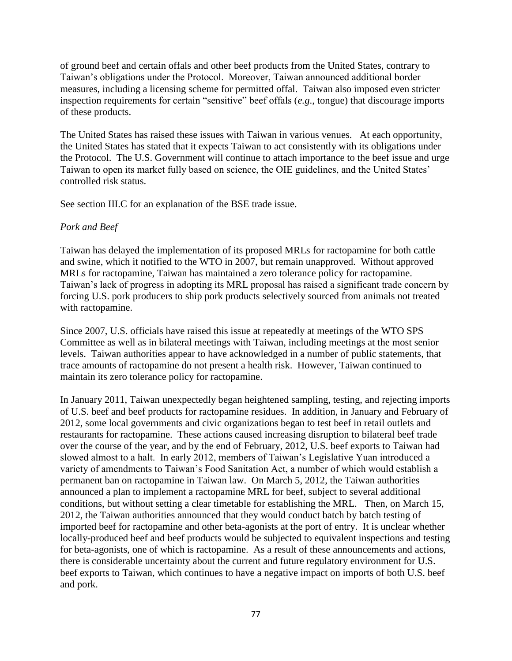of ground beef and certain offals and other beef products from the United States, contrary to Taiwan's obligations under the Protocol. Moreover, Taiwan announced additional border measures, including a licensing scheme for permitted offal. Taiwan also imposed even stricter inspection requirements for certain "sensitive" beef offals (*e.g*., tongue) that discourage imports of these products.

The United States has raised these issues with Taiwan in various venues. At each opportunity, the United States has stated that it expects Taiwan to act consistently with its obligations under the Protocol. The U.S. Government will continue to attach importance to the beef issue and urge Taiwan to open its market fully based on science, the OIE guidelines, and the United States' controlled risk status.

See section III.C for an explanation of the BSE trade issue.

### *Pork and Beef*

Taiwan has delayed the implementation of its proposed MRLs for ractopamine for both cattle and swine, which it notified to the WTO in 2007, but remain unapproved. Without approved MRLs for ractopamine, Taiwan has maintained a zero tolerance policy for ractopamine. Taiwan's lack of progress in adopting its MRL proposal has raised a significant trade concern by forcing U.S. pork producers to ship pork products selectively sourced from animals not treated with ractopamine.

Since 2007, U.S. officials have raised this issue at repeatedly at meetings of the WTO SPS Committee as well as in bilateral meetings with Taiwan, including meetings at the most senior levels. Taiwan authorities appear to have acknowledged in a number of public statements, that trace amounts of ractopamine do not present a health risk. However, Taiwan continued to maintain its zero tolerance policy for ractopamine.

In January 2011, Taiwan unexpectedly began heightened sampling, testing, and rejecting imports of U.S. beef and beef products for ractopamine residues. In addition, in January and February of 2012, some local governments and civic organizations began to test beef in retail outlets and restaurants for ractopamine. These actions caused increasing disruption to bilateral beef trade over the course of the year, and by the end of February, 2012, U.S. beef exports to Taiwan had slowed almost to a halt. In early 2012, members of Taiwan's Legislative Yuan introduced a variety of amendments to Taiwan's Food Sanitation Act, a number of which would establish a permanent ban on ractopamine in Taiwan law. On March 5, 2012, the Taiwan authorities announced a plan to implement a ractopamine MRL for beef, subject to several additional conditions, but without setting a clear timetable for establishing the MRL. Then, on March 15, 2012, the Taiwan authorities announced that they would conduct batch by batch testing of imported beef for ractopamine and other beta-agonists at the port of entry. It is unclear whether locally-produced beef and beef products would be subjected to equivalent inspections and testing for beta-agonists, one of which is ractopamine. As a result of these announcements and actions, there is considerable uncertainty about the current and future regulatory environment for U.S. beef exports to Taiwan, which continues to have a negative impact on imports of both U.S. beef and pork.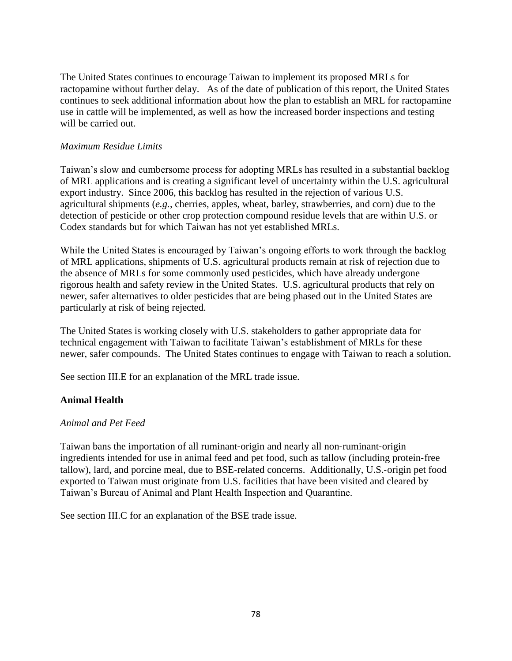The United States continues to encourage Taiwan to implement its proposed MRLs for ractopamine without further delay. As of the date of publication of this report, the United States continues to seek additional information about how the plan to establish an MRL for ractopamine use in cattle will be implemented, as well as how the increased border inspections and testing will be carried out.

### *Maximum Residue Limits*

Taiwan's slow and cumbersome process for adopting MRLs has resulted in a substantial backlog of MRL applications and is creating a significant level of uncertainty within the U.S. agricultural export industry. Since 2006, this backlog has resulted in the rejection of various U.S. agricultural shipments (*e.g.*, cherries, apples, wheat, barley, strawberries, and corn) due to the detection of pesticide or other crop protection compound residue levels that are within U.S. or Codex standards but for which Taiwan has not yet established MRLs.

While the United States is encouraged by Taiwan's ongoing efforts to work through the backlog of MRL applications, shipments of U.S. agricultural products remain at risk of rejection due to the absence of MRLs for some commonly used pesticides, which have already undergone rigorous health and safety review in the United States. U.S. agricultural products that rely on newer, safer alternatives to older pesticides that are being phased out in the United States are particularly at risk of being rejected.

The United States is working closely with U.S. stakeholders to gather appropriate data for technical engagement with Taiwan to facilitate Taiwan's establishment of MRLs for these newer, safer compounds. The United States continues to engage with Taiwan to reach a solution.

See section III.E for an explanation of the MRL trade issue.

### **Animal Health**

#### *Animal and Pet Feed*

Taiwan bans the importation of all ruminant‐origin and nearly all non‐ruminant‐origin ingredients intended for use in animal feed and pet food, such as tallow (including protein‐free tallow), lard, and porcine meal, due to BSE‐related concerns. Additionally, U.S.‐origin pet food exported to Taiwan must originate from U.S. facilities that have been visited and cleared by Taiwan's Bureau of Animal and Plant Health Inspection and Quarantine.

See section III.C for an explanation of the BSE trade issue.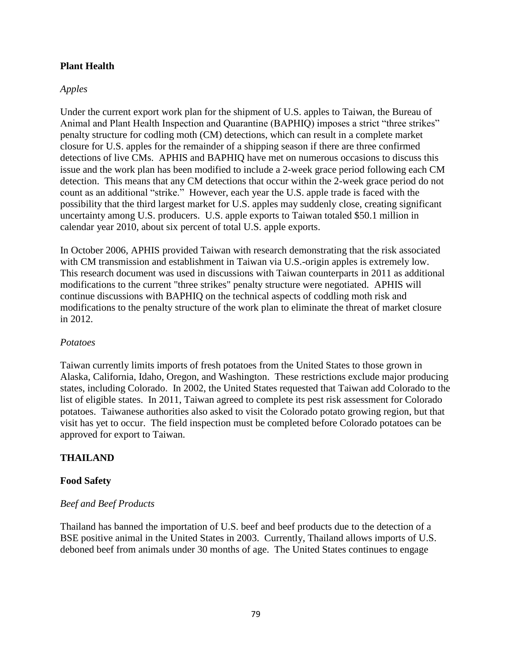### **Plant Health**

#### *Apples*

Under the current export work plan for the shipment of U.S. apples to Taiwan, the Bureau of Animal and Plant Health Inspection and Quarantine (BAPHIQ) imposes a strict "three strikes" penalty structure for codling moth (CM) detections, which can result in a complete market closure for U.S. apples for the remainder of a shipping season if there are three confirmed detections of live CMs. APHIS and BAPHIQ have met on numerous occasions to discuss this issue and the work plan has been modified to include a 2-week grace period following each CM detection. This means that any CM detections that occur within the 2-week grace period do not count as an additional "strike." However, each year the U.S. apple trade is faced with the possibility that the third largest market for U.S. apples may suddenly close, creating significant uncertainty among U.S. producers. U.S. apple exports to Taiwan totaled \$50.1 million in calendar year 2010, about six percent of total U.S. apple exports.

In October 2006, APHIS provided Taiwan with research demonstrating that the risk associated with CM transmission and establishment in Taiwan via U.S.-origin apples is extremely low. This research document was used in discussions with Taiwan counterparts in 2011 as additional modifications to the current "three strikes" penalty structure were negotiated. APHIS will continue discussions with BAPHIQ on the technical aspects of coddling moth risk and modifications to the penalty structure of the work plan to eliminate the threat of market closure in 2012.

#### *Potatoes*

Taiwan currently limits imports of fresh potatoes from the United States to those grown in Alaska, California, Idaho, Oregon, and Washington. These restrictions exclude major producing states, including Colorado. In 2002, the United States requested that Taiwan add Colorado to the list of eligible states. In 2011, Taiwan agreed to complete its pest risk assessment for Colorado potatoes. Taiwanese authorities also asked to visit the Colorado potato growing region, but that visit has yet to occur. The field inspection must be completed before Colorado potatoes can be approved for export to Taiwan.

### **THAILAND**

#### **Food Safety**

#### *Beef and Beef Products*

Thailand has banned the importation of U.S. beef and beef products due to the detection of a BSE positive animal in the United States in 2003. Currently, Thailand allows imports of U.S. deboned beef from animals under 30 months of age. The United States continues to engage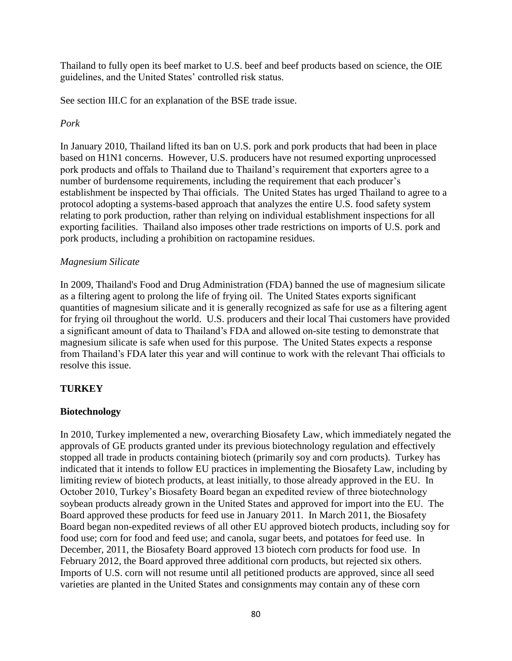Thailand to fully open its beef market to U.S. beef and beef products based on science, the OIE guidelines, and the United States' controlled risk status.

See section III.C for an explanation of the BSE trade issue.

### *Pork*

In January 2010, Thailand lifted its ban on U.S. pork and pork products that had been in place based on H1N1 concerns. However, U.S. producers have not resumed exporting unprocessed pork products and offals to Thailand due to Thailand's requirement that exporters agree to a number of burdensome requirements, including the requirement that each producer's establishment be inspected by Thai officials. The United States has urged Thailand to agree to a protocol adopting a systems-based approach that analyzes the entire U.S. food safety system relating to pork production, rather than relying on individual establishment inspections for all exporting facilities. Thailand also imposes other trade restrictions on imports of U.S. pork and pork products, including a prohibition on ractopamine residues.

### *Magnesium Silicate*

In 2009, Thailand's Food and Drug Administration (FDA) banned the use of magnesium silicate as a filtering agent to prolong the life of frying oil. The United States exports significant quantities of magnesium silicate and it is generally recognized as safe for use as a filtering agent for frying oil throughout the world. U.S. producers and their local Thai customers have provided a significant amount of data to Thailand's FDA and allowed on-site testing to demonstrate that magnesium silicate is safe when used for this purpose. The United States expects a response from Thailand's FDA later this year and will continue to work with the relevant Thai officials to resolve this issue.

### **TURKEY**

### **Biotechnology**

In 2010, Turkey implemented a new, overarching Biosafety Law, which immediately negated the approvals of GE products granted under its previous biotechnology regulation and effectively stopped all trade in products containing biotech (primarily soy and corn products). Turkey has indicated that it intends to follow EU practices in implementing the Biosafety Law, including by limiting review of biotech products, at least initially, to those already approved in the EU. In October 2010, Turkey's Biosafety Board began an expedited review of three biotechnology soybean products already grown in the United States and approved for import into the EU. The Board approved these products for feed use in January 2011. In March 2011, the Biosafety Board began non-expedited reviews of all other EU approved biotech products, including soy for food use; corn for food and feed use; and canola, sugar beets, and potatoes for feed use. In December, 2011, the Biosafety Board approved 13 biotech corn products for food use. In February 2012, the Board approved three additional corn products, but rejected six others. Imports of U.S. corn will not resume until all petitioned products are approved, since all seed varieties are planted in the United States and consignments may contain any of these corn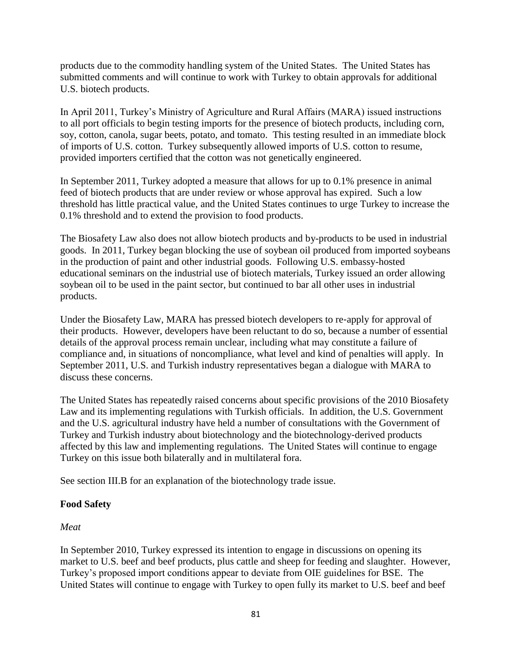products due to the commodity handling system of the United States. The United States has submitted comments and will continue to work with Turkey to obtain approvals for additional U.S. biotech products.

In April 2011, Turkey's Ministry of Agriculture and Rural Affairs (MARA) issued instructions to all port officials to begin testing imports for the presence of biotech products, including corn, soy, cotton, canola, sugar beets, potato, and tomato. This testing resulted in an immediate block of imports of U.S. cotton. Turkey subsequently allowed imports of U.S. cotton to resume, provided importers certified that the cotton was not genetically engineered.

In September 2011, Turkey adopted a measure that allows for up to 0.1% presence in animal feed of biotech products that are under review or whose approval has expired. Such a low threshold has little practical value, and the United States continues to urge Turkey to increase the 0.1% threshold and to extend the provision to food products.

The Biosafety Law also does not allow biotech products and by-products to be used in industrial goods. In 2011, Turkey began blocking the use of soybean oil produced from imported soybeans in the production of paint and other industrial goods. Following U.S. embassy-hosted educational seminars on the industrial use of biotech materials, Turkey issued an order allowing soybean oil to be used in the paint sector, but continued to bar all other uses in industrial products.

Under the Biosafety Law, MARA has pressed biotech developers to re‐apply for approval of their products. However, developers have been reluctant to do so, because a number of essential details of the approval process remain unclear, including what may constitute a failure of compliance and, in situations of noncompliance, what level and kind of penalties will apply. In September 2011, U.S. and Turkish industry representatives began a dialogue with MARA to discuss these concerns.

The United States has repeatedly raised concerns about specific provisions of the 2010 Biosafety Law and its implementing regulations with Turkish officials. In addition, the U.S. Government and the U.S. agricultural industry have held a number of consultations with the Government of Turkey and Turkish industry about biotechnology and the biotechnology‐derived products affected by this law and implementing regulations. The United States will continue to engage Turkey on this issue both bilaterally and in multilateral fora.

See section III.B for an explanation of the biotechnology trade issue.

### **Food Safety**

### *Meat*

In September 2010, Turkey expressed its intention to engage in discussions on opening its market to U.S. beef and beef products, plus cattle and sheep for feeding and slaughter. However, Turkey's proposed import conditions appear to deviate from OIE guidelines for BSE. The United States will continue to engage with Turkey to open fully its market to U.S. beef and beef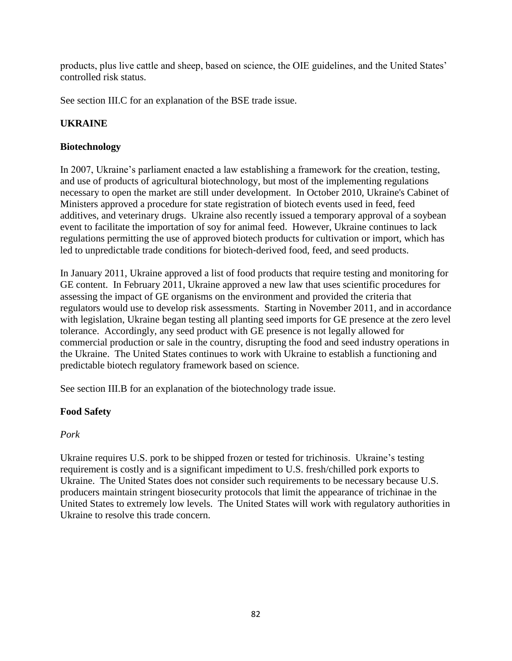products, plus live cattle and sheep, based on science, the OIE guidelines, and the United States' controlled risk status.

See section III.C for an explanation of the BSE trade issue.

# **UKRAINE**

# **Biotechnology**

In 2007, Ukraine's parliament enacted a law establishing a framework for the creation, testing, and use of products of agricultural biotechnology, but most of the implementing regulations necessary to open the market are still under development. In October 2010, Ukraine's Cabinet of Ministers approved a procedure for state registration of biotech events used in feed, feed additives, and veterinary drugs. Ukraine also recently issued a temporary approval of a soybean event to facilitate the importation of soy for animal feed. However, Ukraine continues to lack regulations permitting the use of approved biotech products for cultivation or import, which has led to unpredictable trade conditions for biotech-derived food, feed, and seed products.

In January 2011, Ukraine approved a list of food products that require testing and monitoring for GE content. In February 2011, Ukraine approved a new law that uses scientific procedures for assessing the impact of GE organisms on the environment and provided the criteria that regulators would use to develop risk assessments. Starting in November 2011, and in accordance with legislation, Ukraine began testing all planting seed imports for GE presence at the zero level tolerance. Accordingly, any seed product with GE presence is not legally allowed for commercial production or sale in the country, disrupting the food and seed industry operations in the Ukraine. The United States continues to work with Ukraine to establish a functioning and predictable biotech regulatory framework based on science.

See section III.B for an explanation of the biotechnology trade issue.

# **Food Safety**

# *Pork*

Ukraine requires U.S. pork to be shipped frozen or tested for trichinosis. Ukraine's testing requirement is costly and is a significant impediment to U.S. fresh/chilled pork exports to Ukraine. The United States does not consider such requirements to be necessary because U.S. producers maintain stringent biosecurity protocols that limit the appearance of trichinae in the United States to extremely low levels. The United States will work with regulatory authorities in Ukraine to resolve this trade concern.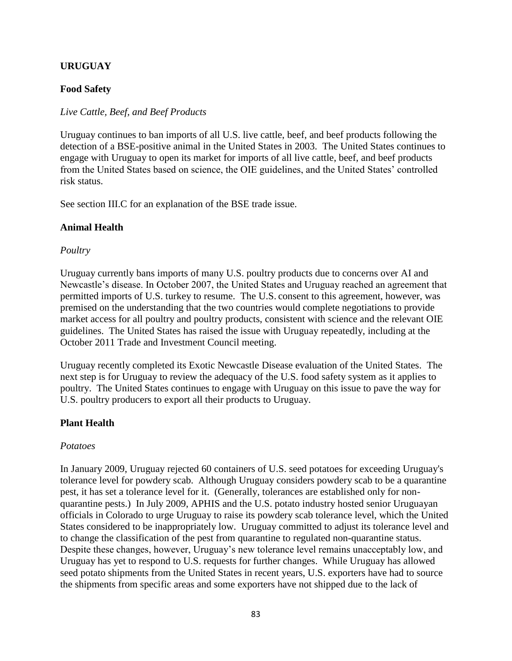### **URUGUAY**

#### **Food Safety**

#### *Live Cattle, Beef, and Beef Products*

Uruguay continues to ban imports of all U.S. live cattle, beef, and beef products following the detection of a BSE-positive animal in the United States in 2003. The United States continues to engage with Uruguay to open its market for imports of all live cattle, beef, and beef products from the United States based on science, the OIE guidelines, and the United States' controlled risk status.

See section III.C for an explanation of the BSE trade issue.

#### **Animal Health**

#### *Poultry*

Uruguay currently bans imports of many U.S. poultry products due to concerns over AI and Newcastle's disease. In October 2007, the United States and Uruguay reached an agreement that permitted imports of U.S. turkey to resume. The U.S. consent to this agreement, however, was premised on the understanding that the two countries would complete negotiations to provide market access for all poultry and poultry products, consistent with science and the relevant OIE guidelines. The United States has raised the issue with Uruguay repeatedly, including at the October 2011 Trade and Investment Council meeting.

Uruguay recently completed its Exotic Newcastle Disease evaluation of the United States. The next step is for Uruguay to review the adequacy of the U.S. food safety system as it applies to poultry. The United States continues to engage with Uruguay on this issue to pave the way for U.S. poultry producers to export all their products to Uruguay.

#### **Plant Health**

#### *Potatoes*

In January 2009, Uruguay rejected 60 containers of U.S. seed potatoes for exceeding Uruguay's tolerance level for powdery scab. Although Uruguay considers powdery scab to be a quarantine pest, it has set a tolerance level for it. (Generally, tolerances are established only for nonquarantine pests.) In July 2009, APHIS and the U.S. potato industry hosted senior Uruguayan officials in Colorado to urge Uruguay to raise its powdery scab tolerance level, which the United States considered to be inappropriately low. Uruguay committed to adjust its tolerance level and to change the classification of the pest from quarantine to regulated non-quarantine status. Despite these changes, however, Uruguay's new tolerance level remains unacceptably low, and Uruguay has yet to respond to U.S. requests for further changes. While Uruguay has allowed seed potato shipments from the United States in recent years, U.S. exporters have had to source the shipments from specific areas and some exporters have not shipped due to the lack of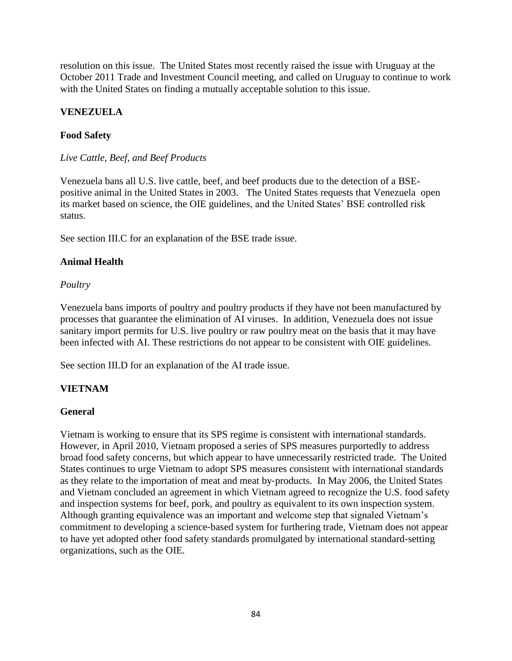resolution on this issue. The United States most recently raised the issue with Uruguay at the October 2011 Trade and Investment Council meeting, and called on Uruguay to continue to work with the United States on finding a mutually acceptable solution to this issue.

## **VENEZUELA**

### **Food Safety**

### *Live Cattle, Beef, and Beef Products*

Venezuela bans all U.S. live cattle, beef, and beef products due to the detection of a BSEpositive animal in the United States in 2003. The United States requests that Venezuela open its market based on science, the OIE guidelines, and the United States' BSE controlled risk status.

See section III.C for an explanation of the BSE trade issue.

## **Animal Health**

## *Poultry*

Venezuela bans imports of poultry and poultry products if they have not been manufactured by processes that guarantee the elimination of AI viruses. In addition, Venezuela does not issue sanitary import permits for U.S. live poultry or raw poultry meat on the basis that it may have been infected with AI. These restrictions do not appear to be consistent with OIE guidelines.

See section III.D for an explanation of the AI trade issue.

# **VIETNAM**

# **General**

Vietnam is working to ensure that its SPS regime is consistent with international standards. However, in April 2010, Vietnam proposed a series of SPS measures purportedly to address broad food safety concerns, but which appear to have unnecessarily restricted trade. The United States continues to urge Vietnam to adopt SPS measures consistent with international standards as they relate to the importation of meat and meat by‐products. In May 2006, the United States and Vietnam concluded an agreement in which Vietnam agreed to recognize the U.S. food safety and inspection systems for beef, pork, and poultry as equivalent to its own inspection system. Although granting equivalence was an important and welcome step that signaled Vietnam's commitment to developing a science‐based system for furthering trade, Vietnam does not appear to have yet adopted other food safety standards promulgated by international standard-setting organizations, such as the OIE.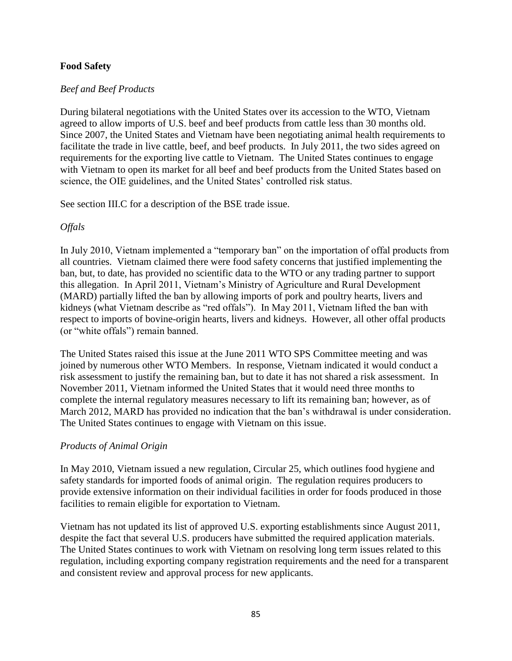### **Food Safety**

#### *Beef and Beef Products*

During bilateral negotiations with the United States over its accession to the WTO, Vietnam agreed to allow imports of U.S. beef and beef products from cattle less than 30 months old. Since 2007, the United States and Vietnam have been negotiating animal health requirements to facilitate the trade in live cattle, beef, and beef products. In July 2011, the two sides agreed on requirements for the exporting live cattle to Vietnam. The United States continues to engage with Vietnam to open its market for all beef and beef products from the United States based on science, the OIE guidelines, and the United States' controlled risk status.

See section III.C for a description of the BSE trade issue.

### *Offals*

In July 2010, Vietnam implemented a "temporary ban" on the importation of offal products from all countries. Vietnam claimed there were food safety concerns that justified implementing the ban, but, to date, has provided no scientific data to the WTO or any trading partner to support this allegation. In April 2011, Vietnam's Ministry of Agriculture and Rural Development (MARD) partially lifted the ban by allowing imports of pork and poultry hearts, livers and kidneys (what Vietnam describe as "red offals"). In May 2011, Vietnam lifted the ban with respect to imports of bovine-origin hearts, livers and kidneys. However, all other offal products (or "white offals") remain banned.

The United States raised this issue at the June 2011 WTO SPS Committee meeting and was joined by numerous other WTO Members. In response, Vietnam indicated it would conduct a risk assessment to justify the remaining ban, but to date it has not shared a risk assessment. In November 2011, Vietnam informed the United States that it would need three months to complete the internal regulatory measures necessary to lift its remaining ban; however, as of March 2012, MARD has provided no indication that the ban's withdrawal is under consideration. The United States continues to engage with Vietnam on this issue.

#### *Products of Animal Origin*

In May 2010, Vietnam issued a new regulation, Circular 25, which outlines food hygiene and safety standards for imported foods of animal origin. The regulation requires producers to provide extensive information on their individual facilities in order for foods produced in those facilities to remain eligible for exportation to Vietnam.

Vietnam has not updated its list of approved U.S. exporting establishments since August 2011, despite the fact that several U.S. producers have submitted the required application materials. The United States continues to work with Vietnam on resolving long term issues related to this regulation, including exporting company registration requirements and the need for a transparent and consistent review and approval process for new applicants.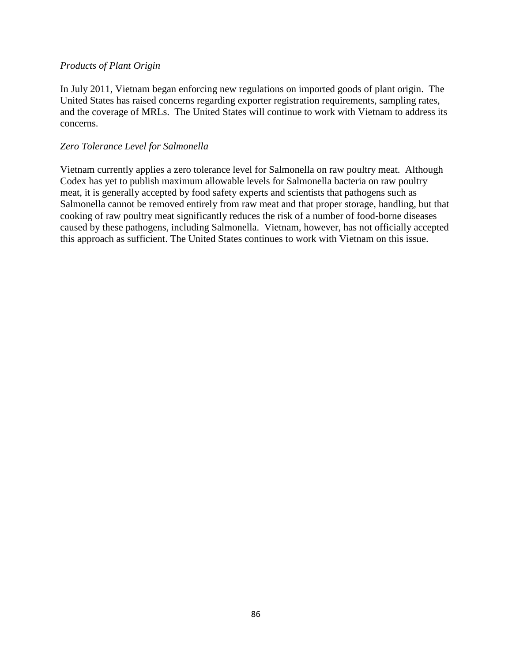#### *Products of Plant Origin*

In July 2011, Vietnam began enforcing new regulations on imported goods of plant origin. The United States has raised concerns regarding exporter registration requirements, sampling rates, and the coverage of MRLs. The United States will continue to work with Vietnam to address its concerns.

#### *Zero Tolerance Level for Salmonella*

Vietnam currently applies a zero tolerance level for Salmonella on raw poultry meat. Although Codex has yet to publish maximum allowable levels for Salmonella bacteria on raw poultry meat, it is generally accepted by food safety experts and scientists that pathogens such as Salmonella cannot be removed entirely from raw meat and that proper storage, handling, but that cooking of raw poultry meat significantly reduces the risk of a number of food‐borne diseases caused by these pathogens, including Salmonella. Vietnam, however, has not officially accepted this approach as sufficient. The United States continues to work with Vietnam on this issue.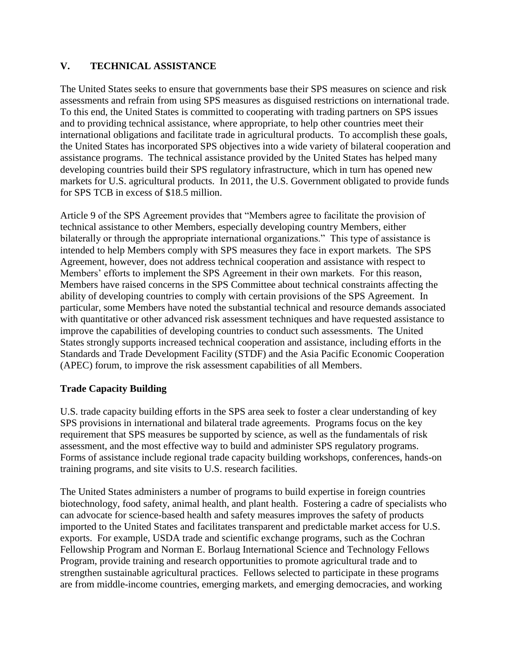## **V. TECHNICAL ASSISTANCE**

The United States seeks to ensure that governments base their SPS measures on science and risk assessments and refrain from using SPS measures as disguised restrictions on international trade. To this end, the United States is committed to cooperating with trading partners on SPS issues and to providing technical assistance, where appropriate, to help other countries meet their international obligations and facilitate trade in agricultural products. To accomplish these goals, the United States has incorporated SPS objectives into a wide variety of bilateral cooperation and assistance programs. The technical assistance provided by the United States has helped many developing countries build their SPS regulatory infrastructure, which in turn has opened new markets for U.S. agricultural products. In 2011, the U.S. Government obligated to provide funds for SPS TCB in excess of \$18.5 million.

Article 9 of the SPS Agreement provides that "Members agree to facilitate the provision of technical assistance to other Members, especially developing country Members, either bilaterally or through the appropriate international organizations." This type of assistance is intended to help Members comply with SPS measures they face in export markets. The SPS Agreement, however, does not address technical cooperation and assistance with respect to Members' efforts to implement the SPS Agreement in their own markets. For this reason, Members have raised concerns in the SPS Committee about technical constraints affecting the ability of developing countries to comply with certain provisions of the SPS Agreement. In particular, some Members have noted the substantial technical and resource demands associated with quantitative or other advanced risk assessment techniques and have requested assistance to improve the capabilities of developing countries to conduct such assessments. The United States strongly supports increased technical cooperation and assistance, including efforts in the Standards and Trade Development Facility (STDF) and the Asia Pacific Economic Cooperation (APEC) forum, to improve the risk assessment capabilities of all Members.

### **Trade Capacity Building**

U.S. trade capacity building efforts in the SPS area seek to foster a clear understanding of key SPS provisions in international and bilateral trade agreements. Programs focus on the key requirement that SPS measures be supported by science, as well as the fundamentals of risk assessment, and the most effective way to build and administer SPS regulatory programs. Forms of assistance include regional trade capacity building workshops, conferences, hands-on training programs, and site visits to U.S. research facilities.

The United States administers a number of programs to build expertise in foreign countries biotechnology, food safety, animal health, and plant health. Fostering a cadre of specialists who can advocate for science-based health and safety measures improves the safety of products imported to the United States and facilitates transparent and predictable market access for U.S. exports. For example, USDA trade and scientific exchange programs, such as the Cochran Fellowship Program and Norman E. Borlaug International Science and Technology Fellows Program, provide training and research opportunities to promote agricultural trade and to strengthen sustainable agricultural practices. Fellows selected to participate in these programs are from middle-income countries, emerging markets, and emerging democracies, and working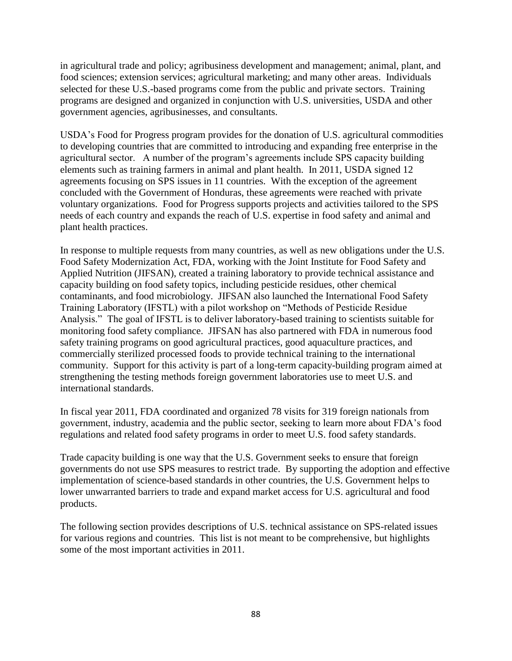in agricultural trade and policy; agribusiness development and management; animal, plant, and food sciences; extension services; agricultural marketing; and many other areas. Individuals selected for these U.S.-based programs come from the public and private sectors. Training programs are designed and organized in conjunction with U.S. universities, USDA and other government agencies, agribusinesses, and consultants.

USDA's Food for Progress program provides for the donation of U.S. agricultural commodities to developing countries that are committed to introducing and expanding free enterprise in the agricultural sector. A number of the program's agreements include SPS capacity building elements such as training farmers in animal and plant health. In 2011, USDA signed 12 agreements focusing on SPS issues in 11 countries. With the exception of the agreement concluded with the Government of Honduras, these agreements were reached with private voluntary organizations. Food for Progress supports projects and activities tailored to the SPS needs of each country and expands the reach of U.S. expertise in food safety and animal and plant health practices.

In response to multiple requests from many countries, as well as new obligations under the U.S. Food Safety Modernization Act, FDA, working with the Joint Institute for Food Safety and Applied Nutrition (JIFSAN), created a training laboratory to provide technical assistance and capacity building on food safety topics, including pesticide residues, other chemical contaminants, and food microbiology. JIFSAN also launched the International Food Safety Training Laboratory (IFSTL) with a pilot workshop on "Methods of Pesticide Residue Analysis." The goal of IFSTL is to deliver laboratory-based training to scientists suitable for monitoring food safety compliance. JIFSAN has also partnered with FDA in numerous food safety training programs on good agricultural practices, good aquaculture practices, and commercially sterilized processed foods to provide technical training to the international community. Support for this activity is part of a long-term capacity-building program aimed at strengthening the testing methods foreign government laboratories use to meet U.S. and international standards.

In fiscal year 2011, FDA coordinated and organized 78 visits for 319 foreign nationals from government, industry, academia and the public sector, seeking to learn more about FDA's food regulations and related food safety programs in order to meet U.S. food safety standards.

Trade capacity building is one way that the U.S. Government seeks to ensure that foreign governments do not use SPS measures to restrict trade. By supporting the adoption and effective implementation of science-based standards in other countries, the U.S. Government helps to lower unwarranted barriers to trade and expand market access for U.S. agricultural and food products.

The following section provides descriptions of U.S. technical assistance on SPS-related issues for various regions and countries. This list is not meant to be comprehensive, but highlights some of the most important activities in 2011.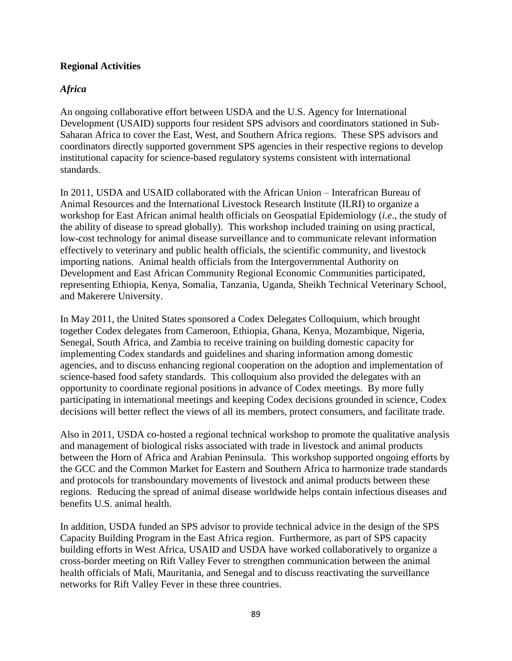### **Regional Activities**

### *Africa*

An ongoing collaborative effort between USDA and the U.S. Agency for International Development (USAID) supports four resident SPS advisors and coordinators stationed in Sub-Saharan Africa to cover the East, West, and Southern Africa regions. These SPS advisors and coordinators directly supported government SPS agencies in their respective regions to develop institutional capacity for science-based regulatory systems consistent with international standards.

In 2011, USDA and USAID collaborated with the African Union – Interafrican Bureau of Animal Resources and the International Livestock Research Institute (ILRI) to organize a workshop for East African animal health officials on Geospatial Epidemiology (*i.e*., the study of the ability of disease to spread globally). This workshop included training on using practical, low-cost technology for animal disease surveillance and to communicate relevant information effectively to veterinary and public health officials, the scientific community, and livestock importing nations. Animal health officials from the Intergovernmental Authority on Development and East African Community Regional Economic Communities participated, representing Ethiopia, Kenya, Somalia, Tanzania, Uganda, Sheikh Technical Veterinary School, and Makerere University.

In May 2011, the United States sponsored a Codex Delegates Colloquium, which brought together Codex delegates from Cameroon, Ethiopia, Ghana, Kenya, Mozambique, Nigeria, Senegal, South Africa, and Zambia to receive training on building domestic capacity for implementing Codex standards and guidelines and sharing information among domestic agencies, and to discuss enhancing regional cooperation on the adoption and implementation of science-based food safety standards. This colloquium also provided the delegates with an opportunity to coordinate regional positions in advance of Codex meetings. By more fully participating in international meetings and keeping Codex decisions grounded in science, Codex decisions will better reflect the views of all its members, protect consumers, and facilitate trade.

Also in 2011, USDA co-hosted a regional technical workshop to promote the qualitative analysis and management of biological risks associated with trade in livestock and animal products between the Horn of Africa and Arabian Peninsula. This workshop supported ongoing efforts by the GCC and the Common Market for Eastern and Southern Africa to harmonize trade standards and protocols for transboundary movements of livestock and animal products between these regions. Reducing the spread of animal disease worldwide helps contain infectious diseases and benefits U.S. animal health.

In addition, USDA funded an SPS advisor to provide technical advice in the design of the SPS Capacity Building Program in the East Africa region. Furthermore, as part of SPS capacity building efforts in West Africa, USAID and USDA have worked collaboratively to organize a cross-border meeting on Rift Valley Fever to strengthen communication between the animal health officials of Mali, Mauritania, and Senegal and to discuss reactivating the surveillance networks for Rift Valley Fever in these three countries.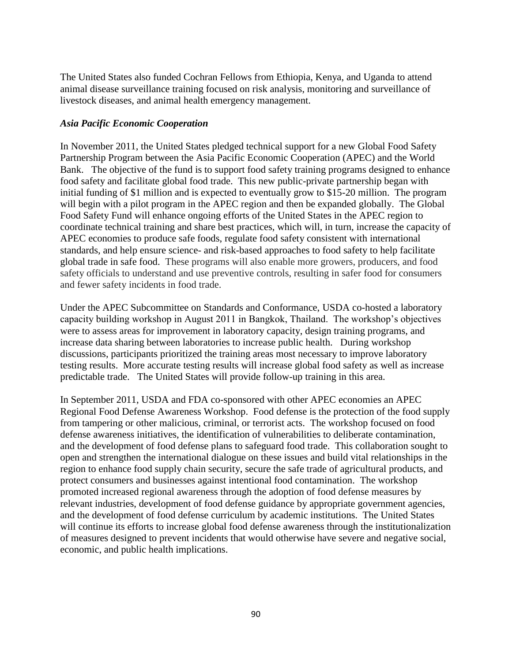The United States also funded Cochran Fellows from Ethiopia, Kenya, and Uganda to attend animal disease surveillance training focused on risk analysis, monitoring and surveillance of livestock diseases, and animal health emergency management.

### *Asia Pacific Economic Cooperation*

In November 2011, the United States pledged technical support for a new Global Food Safety Partnership Program between the Asia Pacific Economic Cooperation (APEC) and the World Bank. The objective of the fund is to support food safety training programs designed to enhance food safety and facilitate global food trade. This new public-private partnership began with initial funding of \$1 million and is expected to eventually grow to \$15-20 million. The program will begin with a pilot program in the APEC region and then be expanded globally. The Global Food Safety Fund will enhance ongoing efforts of the United States in the APEC region to coordinate technical training and share best practices, which will, in turn, increase the capacity of APEC economies to produce safe foods, regulate food safety consistent with international standards, and help ensure science- and risk-based approaches to food safety to help facilitate global trade in safe food. These programs will also enable more growers, producers, and food safety officials to understand and use preventive controls, resulting in safer food for consumers and fewer safety incidents in food trade.

Under the APEC Subcommittee on Standards and Conformance, USDA co-hosted a laboratory capacity building workshop in August 2011 in Bangkok, Thailand. The workshop's objectives were to assess areas for improvement in laboratory capacity, design training programs, and increase data sharing between laboratories to increase public health. During workshop discussions, participants prioritized the training areas most necessary to improve laboratory testing results. More accurate testing results will increase global food safety as well as increase predictable trade. The United States will provide follow-up training in this area.

In September 2011, USDA and FDA co-sponsored with other APEC economies an APEC Regional Food Defense Awareness Workshop. Food defense is the protection of the food supply from tampering or other malicious, criminal, or terrorist acts. The workshop focused on food defense awareness initiatives, the identification of vulnerabilities to deliberate contamination, and the development of food defense plans to safeguard food trade. This collaboration sought to open and strengthen the international dialogue on these issues and build vital relationships in the region to enhance food supply chain security, secure the safe trade of agricultural products, and protect consumers and businesses against intentional food contamination. The workshop promoted increased regional awareness through the adoption of food defense measures by relevant industries, development of food defense guidance by appropriate government agencies, and the development of food defense curriculum by academic institutions. The United States will continue its efforts to increase global food defense awareness through the institutionalization of measures designed to prevent incidents that would otherwise have severe and negative social, economic, and public health implications.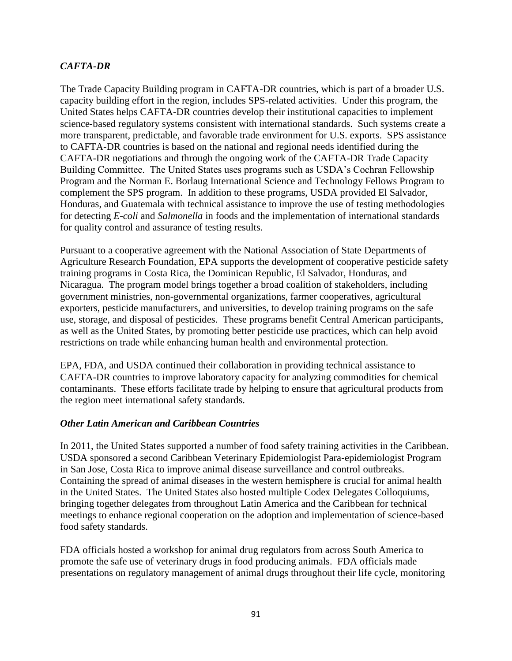## *CAFTA-DR*

The Trade Capacity Building program in CAFTA-DR countries, which is part of a broader U.S. capacity building effort in the region, includes SPS-related activities. Under this program, the United States helps CAFTA-DR countries develop their institutional capacities to implement science-based regulatory systems consistent with international standards. Such systems create a more transparent, predictable, and favorable trade environment for U.S. exports. SPS assistance to CAFTA-DR countries is based on the national and regional needs identified during the CAFTA-DR negotiations and through the ongoing work of the CAFTA-DR Trade Capacity Building Committee. The United States uses programs such as USDA's Cochran Fellowship Program and the Norman E. Borlaug International Science and Technology Fellows Program to complement the SPS program. In addition to these programs, USDA provided El Salvador, Honduras, and Guatemala with technical assistance to improve the use of testing methodologies for detecting *E-coli* and *Salmonella* in foods and the implementation of international standards for quality control and assurance of testing results.

Pursuant to a cooperative agreement with the National Association of State Departments of Agriculture Research Foundation, EPA supports the development of cooperative pesticide safety training programs in Costa Rica, the Dominican Republic, El Salvador, Honduras, and Nicaragua. The program model brings together a broad coalition of stakeholders, including government ministries, non-governmental organizations, farmer cooperatives, agricultural exporters, pesticide manufacturers, and universities, to develop training programs on the safe use, storage, and disposal of pesticides. These programs benefit Central American participants, as well as the United States, by promoting better pesticide use practices, which can help avoid restrictions on trade while enhancing human health and environmental protection.

EPA, FDA, and USDA continued their collaboration in providing technical assistance to CAFTA-DR countries to improve laboratory capacity for analyzing commodities for chemical contaminants. These efforts facilitate trade by helping to ensure that agricultural products from the region meet international safety standards.

#### *Other Latin American and Caribbean Countries*

In 2011, the United States supported a number of food safety training activities in the Caribbean. USDA sponsored a second Caribbean Veterinary Epidemiologist Para-epidemiologist Program in San Jose, Costa Rica to improve animal disease surveillance and control outbreaks. Containing the spread of animal diseases in the western hemisphere is crucial for animal health in the United States. The United States also hosted multiple Codex Delegates Colloquiums, bringing together delegates from throughout Latin America and the Caribbean for technical meetings to enhance regional cooperation on the adoption and implementation of science-based food safety standards.

FDA officials hosted a workshop for animal drug regulators from across South America to promote the safe use of veterinary drugs in food producing animals. FDA officials made presentations on regulatory management of animal drugs throughout their life cycle, monitoring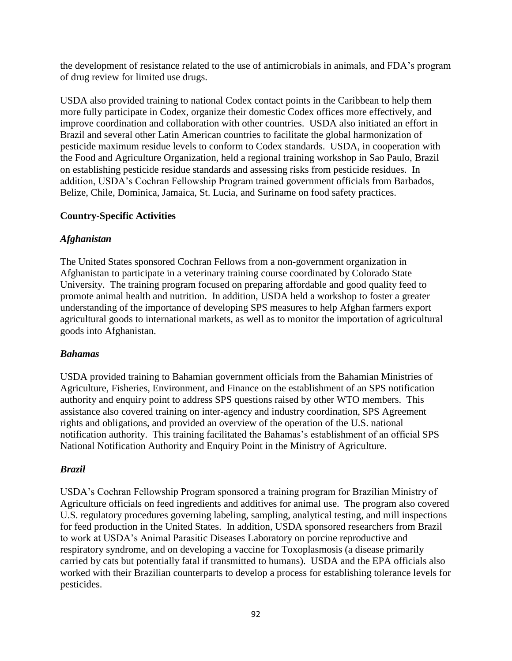the development of resistance related to the use of antimicrobials in animals, and FDA's program of drug review for limited use drugs.

USDA also provided training to national Codex contact points in the Caribbean to help them more fully participate in Codex, organize their domestic Codex offices more effectively, and improve coordination and collaboration with other countries. USDA also initiated an effort in Brazil and several other Latin American countries to facilitate the global harmonization of pesticide maximum residue levels to conform to Codex standards. USDA, in cooperation with the Food and Agriculture Organization, held a regional training workshop in Sao Paulo, Brazil on establishing pesticide residue standards and assessing risks from pesticide residues. In addition, USDA's Cochran Fellowship Program trained government officials from Barbados, Belize, Chile, Dominica, Jamaica, St. Lucia, and Suriname on food safety practices.

## **Country-Specific Activities**

## *Afghanistan*

The United States sponsored Cochran Fellows from a non-government organization in Afghanistan to participate in a veterinary training course coordinated by Colorado State University. The training program focused on preparing affordable and good quality feed to promote animal health and nutrition. In addition, USDA held a workshop to foster a greater understanding of the importance of developing SPS measures to help Afghan farmers export agricultural goods to international markets, as well as to monitor the importation of agricultural goods into Afghanistan.

### *Bahamas*

USDA provided training to Bahamian government officials from the Bahamian Ministries of Agriculture, Fisheries, Environment, and Finance on the establishment of an SPS notification authority and enquiry point to address SPS questions raised by other WTO members. This assistance also covered training on inter-agency and industry coordination, SPS Agreement rights and obligations, and provided an overview of the operation of the U.S. national notification authority. This training facilitated the Bahamas's establishment of an official SPS National Notification Authority and Enquiry Point in the Ministry of Agriculture.

# *Brazil*

USDA's Cochran Fellowship Program sponsored a training program for Brazilian Ministry of Agriculture officials on feed ingredients and additives for animal use. The program also covered U.S. regulatory procedures governing labeling, sampling, analytical testing, and mill inspections for feed production in the United States. In addition, USDA sponsored researchers from Brazil to work at USDA's Animal Parasitic Diseases Laboratory on porcine reproductive and respiratory syndrome, and on developing a vaccine for Toxoplasmosis (a disease primarily carried by cats but potentially fatal if transmitted to humans). USDA and the EPA officials also worked with their Brazilian counterparts to develop a process for establishing tolerance levels for pesticides.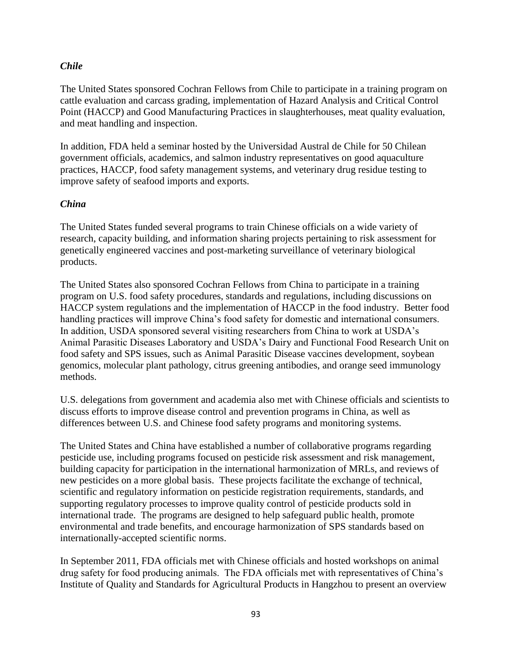### *Chile*

The United States sponsored Cochran Fellows from Chile to participate in a training program on cattle evaluation and carcass grading, implementation of Hazard Analysis and Critical Control Point (HACCP) and Good Manufacturing Practices in slaughterhouses, meat quality evaluation, and meat handling and inspection.

In addition, FDA held a seminar hosted by the Universidad Austral de Chile for 50 Chilean government officials, academics, and salmon industry representatives on good aquaculture practices, HACCP, food safety management systems, and veterinary drug residue testing to improve safety of seafood imports and exports.

#### *China*

The United States funded several programs to train Chinese officials on a wide variety of research, capacity building, and information sharing projects pertaining to risk assessment for genetically engineered vaccines and post-marketing surveillance of veterinary biological products.

The United States also sponsored Cochran Fellows from China to participate in a training program on U.S. food safety procedures, standards and regulations, including discussions on HACCP system regulations and the implementation of HACCP in the food industry. Better food handling practices will improve China's food safety for domestic and international consumers. In addition, USDA sponsored several visiting researchers from China to work at USDA's Animal Parasitic Diseases Laboratory and USDA's Dairy and Functional Food Research Unit on food safety and SPS issues, such as Animal Parasitic Disease vaccines development, soybean genomics, molecular plant pathology, citrus greening antibodies, and orange seed immunology methods.

U.S. delegations from government and academia also met with Chinese officials and scientists to discuss efforts to improve disease control and prevention programs in China, as well as differences between U.S. and Chinese food safety programs and monitoring systems.

The United States and China have established a number of collaborative programs regarding pesticide use, including programs focused on pesticide risk assessment and risk management, building capacity for participation in the international harmonization of MRLs, and reviews of new pesticides on a more global basis. These projects facilitate the exchange of technical, scientific and regulatory information on pesticide registration requirements, standards, and supporting regulatory processes to improve quality control of pesticide products sold in international trade. The programs are designed to help safeguard public health, promote environmental and trade benefits, and encourage harmonization of SPS standards based on internationally-accepted scientific norms.

In September 2011, FDA officials met with Chinese officials and hosted workshops on animal drug safety for food producing animals. The FDA officials met with representatives of China's Institute of Quality and Standards for Agricultural Products in Hangzhou to present an overview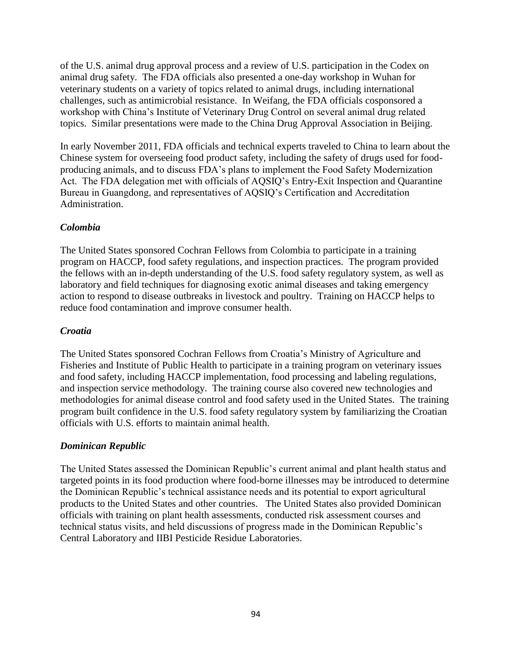of the U.S. animal drug approval process and a review of U.S. participation in the Codex on animal drug safety. The FDA officials also presented a one-day workshop in Wuhan for veterinary students on a variety of topics related to animal drugs, including international challenges, such as antimicrobial resistance. In Weifang, the FDA officials cosponsored a workshop with China's Institute of Veterinary Drug Control on several animal drug related topics. Similar presentations were made to the China Drug Approval Association in Beijing.

In early November 2011, FDA officials and technical experts traveled to China to learn about the Chinese system for overseeing food product safety, including the safety of drugs used for foodproducing animals, and to discuss FDA's plans to implement the Food Safety Modernization Act. The FDA delegation met with officials of AQSIQ's Entry-Exit Inspection and Quarantine Bureau in Guangdong, and representatives of AQSIQ's Certification and Accreditation Administration.

### *Colombia*

The United States sponsored Cochran Fellows from Colombia to participate in a training program on HACCP, food safety regulations, and inspection practices. The program provided the fellows with an in-depth understanding of the U.S. food safety regulatory system, as well as laboratory and field techniques for diagnosing exotic animal diseases and taking emergency action to respond to disease outbreaks in livestock and poultry. Training on HACCP helps to reduce food contamination and improve consumer health.

### *Croatia*

The United States sponsored Cochran Fellows from Croatia's Ministry of Agriculture and Fisheries and Institute of Public Health to participate in a training program on veterinary issues and food safety, including HACCP implementation, food processing and labeling regulations, and inspection service methodology. The training course also covered new technologies and methodologies for animal disease control and food safety used in the United States. The training program built confidence in the U.S. food safety regulatory system by familiarizing the Croatian officials with U.S. efforts to maintain animal health.

### *Dominican Republic*

The United States assessed the Dominican Republic's current animal and plant health status and targeted points in its food production where food-borne illnesses may be introduced to determine the Dominican Republic's technical assistance needs and its potential to export agricultural products to the United States and other countries. The United States also provided Dominican officials with training on plant health assessments, conducted risk assessment courses and technical status visits, and held discussions of progress made in the Dominican Republic's Central Laboratory and IIBI Pesticide Residue Laboratories.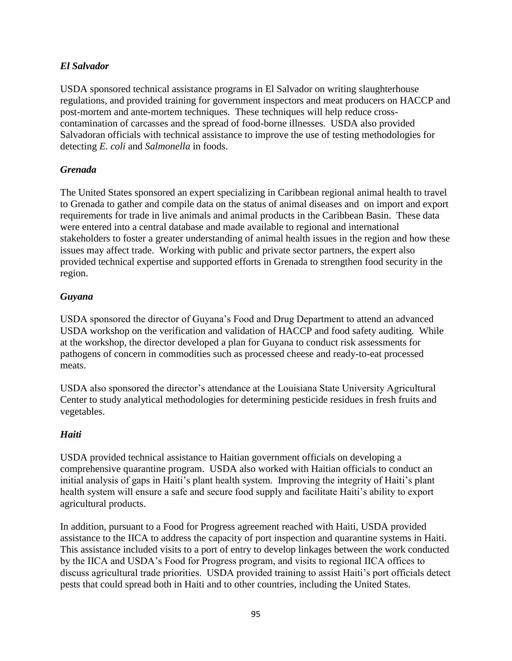## *El Salvador*

USDA sponsored technical assistance programs in El Salvador on writing slaughterhouse regulations, and provided training for government inspectors and meat producers on HACCP and post-mortem and ante-mortem techniques. These techniques will help reduce crosscontamination of carcasses and the spread of food-borne illnesses. USDA also provided Salvadoran officials with technical assistance to improve the use of testing methodologies for detecting *E. coli* and *Salmonella* in foods.

### *Grenada*

The United States sponsored an expert specializing in Caribbean regional animal health to travel to Grenada to gather and compile data on the status of animal diseases and on import and export requirements for trade in live animals and animal products in the Caribbean Basin. These data were entered into a central database and made available to regional and international stakeholders to foster a greater understanding of animal health issues in the region and how these issues may affect trade. Working with public and private sector partners, the expert also provided technical expertise and supported efforts in Grenada to strengthen food security in the region.

## *Guyana*

USDA sponsored the director of Guyana's Food and Drug Department to attend an advanced USDA workshop on the verification and validation of HACCP and food safety auditing. While at the workshop, the director developed a plan for Guyana to conduct risk assessments for pathogens of concern in commodities such as processed cheese and ready-to-eat processed meats.

USDA also sponsored the director's attendance at the Louisiana State University Agricultural Center to study analytical methodologies for determining pesticide residues in fresh fruits and vegetables.

### *Haiti*

USDA provided technical assistance to Haitian government officials on developing a comprehensive quarantine program. USDA also worked with Haitian officials to conduct an initial analysis of gaps in Haiti's plant health system. Improving the integrity of Haiti's plant health system will ensure a safe and secure food supply and facilitate Haiti's ability to export agricultural products.

In addition, pursuant to a Food for Progress agreement reached with Haiti, USDA provided assistance to the IICA to address the capacity of port inspection and quarantine systems in Haiti. This assistance included visits to a port of entry to develop linkages between the work conducted by the IICA and USDA's Food for Progress program, and visits to regional IICA offices to discuss agricultural trade priorities. USDA provided training to assist Haiti's port officials detect pests that could spread both in Haiti and to other countries, including the United States.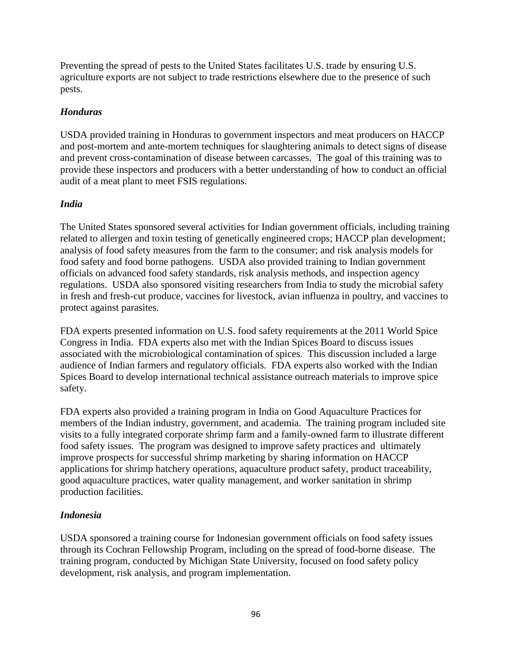Preventing the spread of pests to the United States facilitates U.S. trade by ensuring U.S. agriculture exports are not subject to trade restrictions elsewhere due to the presence of such pests.

### *Honduras*

USDA provided training in Honduras to government inspectors and meat producers on HACCP and post-mortem and ante-mortem techniques for slaughtering animals to detect signs of disease and prevent cross-contamination of disease between carcasses. The goal of this training was to provide these inspectors and producers with a better understanding of how to conduct an official audit of a meat plant to meet FSIS regulations.

## *India*

The United States sponsored several activities for Indian government officials, including training related to allergen and toxin testing of genetically engineered crops; HACCP plan development; analysis of food safety measures from the farm to the consumer; and risk analysis models for food safety and food borne pathogens. USDA also provided training to Indian government officials on advanced food safety standards, risk analysis methods, and inspection agency regulations. USDA also sponsored visiting researchers from India to study the microbial safety in fresh and fresh-cut produce, vaccines for livestock, avian influenza in poultry, and vaccines to protect against parasites.

FDA experts presented information on U.S. food safety requirements at the 2011 World Spice Congress in India. FDA experts also met with the Indian Spices Board to discuss issues associated with the microbiological contamination of spices. This discussion included a large audience of Indian farmers and regulatory officials. FDA experts also worked with the Indian Spices Board to develop international technical assistance outreach materials to improve spice safety.

FDA experts also provided a training program in India on Good Aquaculture Practices for members of the Indian industry, government, and academia. The training program included site visits to a fully integrated corporate shrimp farm and a family-owned farm to illustrate different food safety issues. The program was designed to improve safety practices and ultimately improve prospects for successful shrimp marketing by sharing information on HACCP applications for shrimp hatchery operations, aquaculture product safety, product traceability, good aquaculture practices, water quality management, and worker sanitation in shrimp production facilities.

### *Indonesia*

USDA sponsored a training course for Indonesian government officials on food safety issues through its Cochran Fellowship Program, including on the spread of food-borne disease. The training program, conducted by Michigan State University, focused on food safety policy development, risk analysis, and program implementation.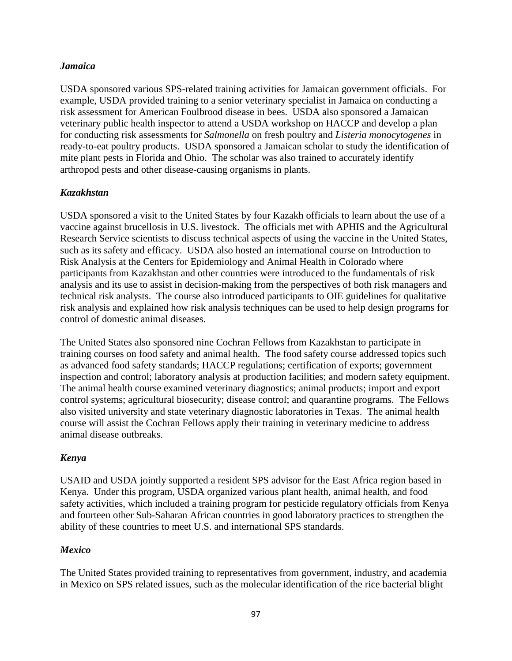### *Jamaica*

USDA sponsored various SPS-related training activities for Jamaican government officials. For example, USDA provided training to a senior veterinary specialist in Jamaica on conducting a risk assessment for American Foulbrood disease in bees. USDA also sponsored a Jamaican veterinary public health inspector to attend a USDA workshop on HACCP and develop a plan for conducting risk assessments for *Salmonella* on fresh poultry and *Listeria monocytogenes* in ready-to-eat poultry products. USDA sponsored a Jamaican scholar to study the identification of mite plant pests in Florida and Ohio. The scholar was also trained to accurately identify arthropod pests and other disease-causing organisms in plants.

## *Kazakhstan*

USDA sponsored a visit to the United States by four Kazakh officials to learn about the use of a vaccine against brucellosis in U.S. livestock. The officials met with APHIS and the Agricultural Research Service scientists to discuss technical aspects of using the vaccine in the United States, such as its safety and efficacy. USDA also hosted an international course on Introduction to Risk Analysis at the Centers for Epidemiology and Animal Health in Colorado where participants from Kazakhstan and other countries were introduced to the fundamentals of risk analysis and its use to assist in decision-making from the perspectives of both risk managers and technical risk analysts. The course also introduced participants to OIE guidelines for qualitative risk analysis and explained how risk analysis techniques can be used to help design programs for control of domestic animal diseases.

The United States also sponsored nine Cochran Fellows from Kazakhstan to participate in training courses on food safety and animal health. The food safety course addressed topics such as advanced food safety standards; HACCP regulations; certification of exports; government inspection and control; laboratory analysis at production facilities; and modern safety equipment. The animal health course examined veterinary diagnostics; animal products; import and export control systems; agricultural biosecurity; disease control; and quarantine programs. The Fellows also visited university and state veterinary diagnostic laboratories in Texas. The animal health course will assist the Cochran Fellows apply their training in veterinary medicine to address animal disease outbreaks.

### *Kenya*

USAID and USDA jointly supported a resident SPS advisor for the East Africa region based in Kenya. Under this program, USDA organized various plant health, animal health, and food safety activities, which included a training program for pesticide regulatory officials from Kenya and fourteen other Sub-Saharan African countries in good laboratory practices to strengthen the ability of these countries to meet U.S. and international SPS standards.

### *Mexico*

The United States provided training to representatives from government, industry, and academia in Mexico on SPS related issues, such as the molecular identification of the rice bacterial blight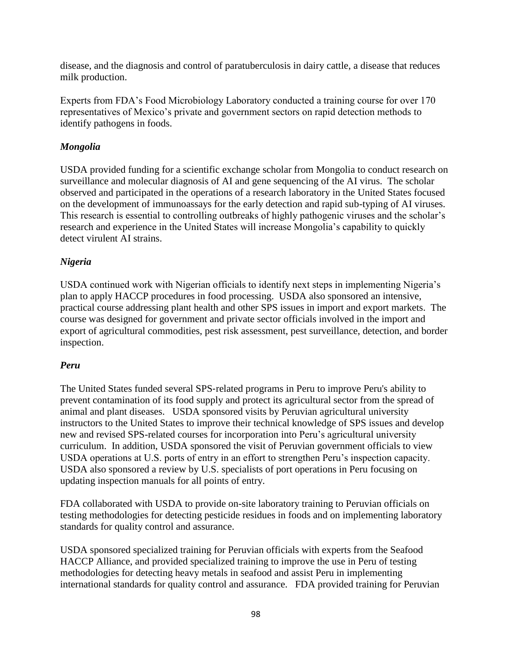disease, and the diagnosis and control of paratuberculosis in dairy cattle, a disease that reduces milk production.

Experts from FDA's Food Microbiology Laboratory conducted a training course for over 170 representatives of Mexico's private and government sectors on rapid detection methods to identify pathogens in foods.

## *Mongolia*

USDA provided funding for a scientific exchange scholar from Mongolia to conduct research on surveillance and molecular diagnosis of AI and gene sequencing of the AI virus. The scholar observed and participated in the operations of a research laboratory in the United States focused on the development of immunoassays for the early detection and rapid sub-typing of AI viruses. This research is essential to controlling outbreaks of highly pathogenic viruses and the scholar's research and experience in the United States will increase Mongolia's capability to quickly detect virulent AI strains.

# *Nigeria*

USDA continued work with Nigerian officials to identify next steps in implementing Nigeria's plan to apply HACCP procedures in food processing. USDA also sponsored an intensive, practical course addressing plant health and other SPS issues in import and export markets. The course was designed for government and private sector officials involved in the import and export of agricultural commodities, pest risk assessment, pest surveillance, detection, and border inspection.

# *Peru*

The United States funded several SPS‐related programs in Peru to improve Peru's ability to prevent contamination of its food supply and protect its agricultural sector from the spread of animal and plant diseases. USDA sponsored visits by Peruvian agricultural university instructors to the United States to improve their technical knowledge of SPS issues and develop new and revised SPS-related courses for incorporation into Peru's agricultural university curriculum. In addition, USDA sponsored the visit of Peruvian government officials to view USDA operations at U.S. ports of entry in an effort to strengthen Peru's inspection capacity. USDA also sponsored a review by U.S. specialists of port operations in Peru focusing on updating inspection manuals for all points of entry.

FDA collaborated with USDA to provide on-site laboratory training to Peruvian officials on testing methodologies for detecting pesticide residues in foods and on implementing laboratory standards for quality control and assurance.

USDA sponsored specialized training for Peruvian officials with experts from the Seafood HACCP Alliance, and provided specialized training to improve the use in Peru of testing methodologies for detecting heavy metals in seafood and assist Peru in implementing international standards for quality control and assurance. FDA provided training for Peruvian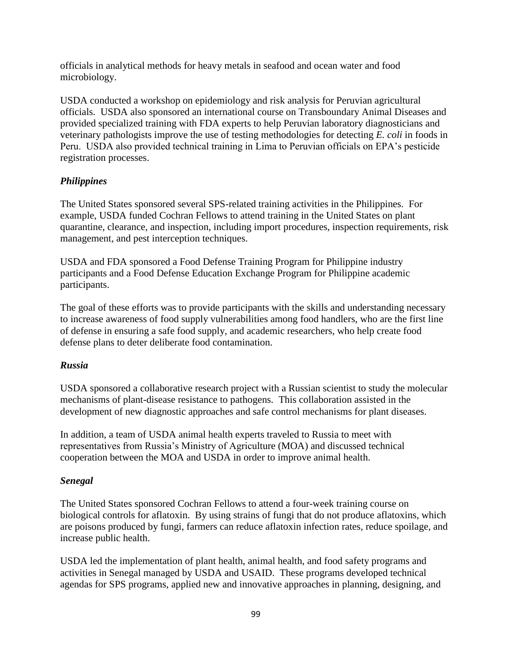officials in analytical methods for heavy metals in seafood and ocean water and food microbiology.

USDA conducted a workshop on epidemiology and risk analysis for Peruvian agricultural officials. USDA also sponsored an international course on Transboundary Animal Diseases and provided specialized training with FDA experts to help Peruvian laboratory diagnosticians and veterinary pathologists improve the use of testing methodologies for detecting *E. coli* in foods in Peru. USDA also provided technical training in Lima to Peruvian officials on EPA's pesticide registration processes.

## *Philippines*

The United States sponsored several SPS-related training activities in the Philippines. For example, USDA funded Cochran Fellows to attend training in the United States on plant quarantine, clearance, and inspection, including import procedures, inspection requirements, risk management, and pest interception techniques.

USDA and FDA sponsored a Food Defense Training Program for Philippine industry participants and a Food Defense Education Exchange Program for Philippine academic participants.

The goal of these efforts was to provide participants with the skills and understanding necessary to increase awareness of food supply vulnerabilities among food handlers, who are the first line of defense in ensuring a safe food supply, and academic researchers, who help create food defense plans to deter deliberate food contamination.

### *Russia*

USDA sponsored a collaborative research project with a Russian scientist to study the molecular mechanisms of plant-disease resistance to pathogens. This collaboration assisted in the development of new diagnostic approaches and safe control mechanisms for plant diseases.

In addition, a team of USDA animal health experts traveled to Russia to meet with representatives from Russia's Ministry of Agriculture (MOA) and discussed technical cooperation between the MOA and USDA in order to improve animal health.

# *Senegal*

The United States sponsored Cochran Fellows to attend a four-week training course on biological controls for aflatoxin. By using strains of fungi that do not produce aflatoxins, which are poisons produced by fungi, farmers can reduce aflatoxin infection rates, reduce spoilage, and increase public health.

USDA led the implementation of plant health, animal health, and food safety programs and activities in Senegal managed by USDA and USAID. These programs developed technical agendas for SPS programs, applied new and innovative approaches in planning, designing, and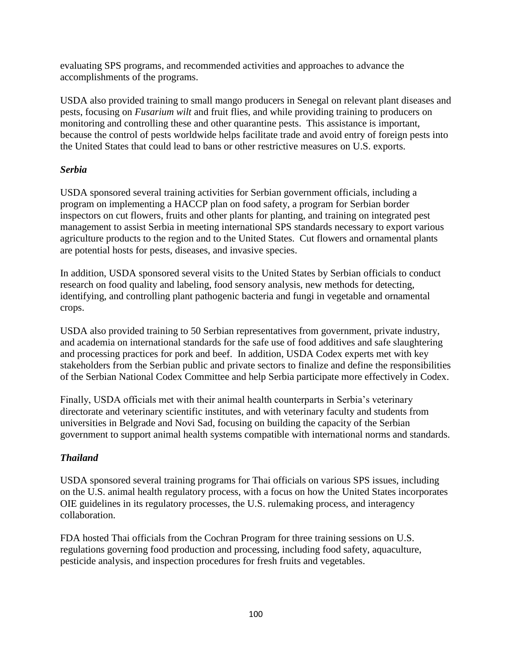evaluating SPS programs, and recommended activities and approaches to advance the accomplishments of the programs.

USDA also provided training to small mango producers in Senegal on relevant plant diseases and pests, focusing on *Fusarium wilt* and fruit flies, and while providing training to producers on monitoring and controlling these and other quarantine pests. This assistance is important, because the control of pests worldwide helps facilitate trade and avoid entry of foreign pests into the United States that could lead to bans or other restrictive measures on U.S. exports.

## *Serbia*

USDA sponsored several training activities for Serbian government officials, including a program on implementing a HACCP plan on food safety, a program for Serbian border inspectors on cut flowers, fruits and other plants for planting, and training on integrated pest management to assist Serbia in meeting international SPS standards necessary to export various agriculture products to the region and to the United States. Cut flowers and ornamental plants are potential hosts for pests, diseases, and invasive species.

In addition, USDA sponsored several visits to the United States by Serbian officials to conduct research on food quality and labeling, food sensory analysis, new methods for detecting, identifying, and controlling plant pathogenic bacteria and fungi in vegetable and ornamental crops.

USDA also provided training to 50 Serbian representatives from government, private industry, and academia on international standards for the safe use of food additives and safe slaughtering and processing practices for pork and beef. In addition, USDA Codex experts met with key stakeholders from the Serbian public and private sectors to finalize and define the responsibilities of the Serbian National Codex Committee and help Serbia participate more effectively in Codex.

Finally, USDA officials met with their animal health counterparts in Serbia's veterinary directorate and veterinary scientific institutes, and with veterinary faculty and students from universities in Belgrade and Novi Sad, focusing on building the capacity of the Serbian government to support animal health systems compatible with international norms and standards.

# *Thailand*

USDA sponsored several training programs for Thai officials on various SPS issues, including on the U.S. animal health regulatory process, with a focus on how the United States incorporates OIE guidelines in its regulatory processes, the U.S. rulemaking process, and interagency collaboration.

FDA hosted Thai officials from the Cochran Program for three training sessions on U.S. regulations governing food production and processing, including food safety, aquaculture, pesticide analysis, and inspection procedures for fresh fruits and vegetables.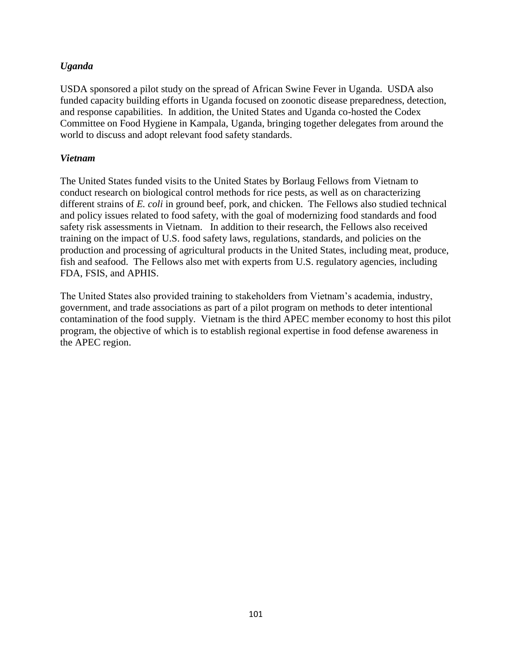## *Uganda*

USDA sponsored a pilot study on the spread of African Swine Fever in Uganda. USDA also funded capacity building efforts in Uganda focused on zoonotic disease preparedness, detection, and response capabilities. In addition, the United States and Uganda co-hosted the Codex Committee on Food Hygiene in Kampala, Uganda, bringing together delegates from around the world to discuss and adopt relevant food safety standards.

#### *Vietnam*

The United States funded visits to the United States by Borlaug Fellows from Vietnam to conduct research on biological control methods for rice pests, as well as on characterizing different strains of *E. coli* in ground beef, pork, and chicken. The Fellows also studied technical and policy issues related to food safety, with the goal of modernizing food standards and food safety risk assessments in Vietnam. In addition to their research, the Fellows also received training on the impact of U.S. food safety laws, regulations, standards, and policies on the production and processing of agricultural products in the United States, including meat, produce, fish and seafood. The Fellows also met with experts from U.S. regulatory agencies, including FDA, FSIS, and APHIS.

The United States also provided training to stakeholders from Vietnam's academia, industry, government, and trade associations as part of a pilot program on methods to deter intentional contamination of the food supply. Vietnam is the third APEC member economy to host this pilot program, the objective of which is to establish regional expertise in food defense awareness in the APEC region.